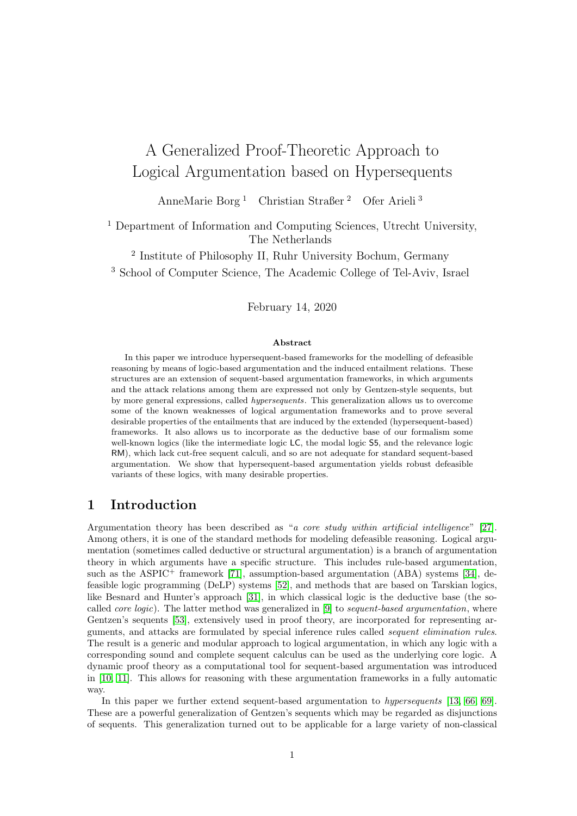# A Generalized Proof-Theoretic Approach to Logical Argumentation based on Hypersequents

AnneMarie Borg <sup>1</sup> Christian Straßer <sup>2</sup> Ofer Arieli <sup>3</sup>

<sup>1</sup> Department of Information and Computing Sciences, Utrecht University, The Netherlands

2 Institute of Philosophy II, Ruhr University Bochum, Germany

<sup>3</sup> School of Computer Science, The Academic College of Tel-Aviv, Israel

February 14, 2020

#### Abstract

In this paper we introduce hypersequent-based frameworks for the modelling of defeasible reasoning by means of logic-based argumentation and the induced entailment relations. These structures are an extension of sequent-based argumentation frameworks, in which arguments and the attack relations among them are expressed not only by Gentzen-style sequents, but by more general expressions, called hypersequents. This generalization allows us to overcome some of the known weaknesses of logical argumentation frameworks and to prove several desirable properties of the entailments that are induced by the extended (hypersequent-based) frameworks. It also allows us to incorporate as the deductive base of our formalism some well-known logics (like the intermediate logic LC, the modal logic S5, and the relevance logic RM), which lack cut-free sequent calculi, and so are not adequate for standard sequent-based argumentation. We show that hypersequent-based argumentation yields robust defeasible variants of these logics, with many desirable properties.

## 1 Introduction

Argumentation theory has been described as "a core study within artificial intelligence" [\[27\]](#page-42-0). Among others, it is one of the standard methods for modeling defeasible reasoning. Logical argumentation (sometimes called deductive or structural argumentation) is a branch of argumentation theory in which arguments have a specific structure. This includes rule-based argumentation, such as the ASPIC<sup>+</sup> framework [\[71\]](#page-45-0), assumption-based argumentation (ABA) systems [\[34\]](#page-43-0), defeasible logic programming (DeLP) systems [\[52\]](#page-44-0), and methods that are based on Tarskian logics, like Besnard and Hunter's approach [\[31\]](#page-42-1), in which classical logic is the deductive base (the socalled *core logic*). The latter method was generalized in  $[9]$  to *sequent-based argumentation*, where Gentzen's sequents [\[53\]](#page-44-1), extensively used in proof theory, are incorporated for representing arguments, and attacks are formulated by special inference rules called sequent elimination rules. The result is a generic and modular approach to logical argumentation, in which any logic with a corresponding sound and complete sequent calculus can be used as the underlying core logic. A dynamic proof theory as a computational tool for sequent-based argumentation was introduced in [\[10,](#page-41-1) [11\]](#page-41-2). This allows for reasoning with these argumentation frameworks in a fully automatic way.

In this paper we further extend sequent-based argumentation to hypersequents [\[13,](#page-41-3) [66,](#page-44-2) [69\]](#page-45-1). These are a powerful generalization of Gentzen's sequents which may be regarded as disjunctions of sequents. This generalization turned out to be applicable for a large variety of non-classical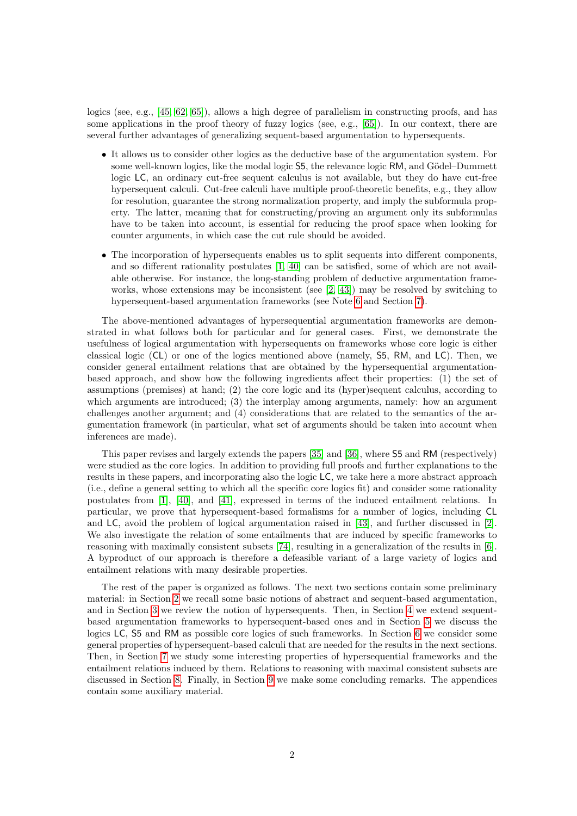logics (see, e.g., [\[45,](#page-43-1) [62,](#page-44-3) [65\]](#page-44-4)), allows a high degree of parallelism in constructing proofs, and has some applications in the proof theory of fuzzy logics (see, e.g., [\[65\]](#page-44-4)). In our context, there are several further advantages of generalizing sequent-based argumentation to hypersequents.

- It allows us to consider other logics as the deductive base of the argumentation system. For some well-known logics, like the modal logic 55, the relevance logic RM, and Gödel–Dummett logic LC, an ordinary cut-free sequent calculus is not available, but they do have cut-free hypersequent calculi. Cut-free calculi have multiple proof-theoretic benefits, e.g., they allow for resolution, guarantee the strong normalization property, and imply the subformula property. The latter, meaning that for constructing/proving an argument only its subformulas have to be taken into account, is essential for reducing the proof space when looking for counter arguments, in which case the cut rule should be avoided.
- The incorporation of hypersequents enables us to split sequents into different components, and so different rationality postulates [\[1,](#page-41-4) [40\]](#page-43-2) can be satisfied, some of which are not available otherwise. For instance, the long-standing problem of deductive argumentation frameworks, whose extensions may be inconsistent (see [\[2,](#page-41-5) [43\]](#page-43-3)) may be resolved by switching to hypersequent-based argumentation frameworks (see Note [6](#page-12-0) and Section [7\)](#page-24-0).

The above-mentioned advantages of hypersequential argumentation frameworks are demonstrated in what follows both for particular and for general cases. First, we demonstrate the usefulness of logical argumentation with hypersequents on frameworks whose core logic is either classical logic (CL) or one of the logics mentioned above (namely, S5, RM, and LC). Then, we consider general entailment relations that are obtained by the hypersequential argumentationbased approach, and show how the following ingredients affect their properties: (1) the set of assumptions (premises) at hand; (2) the core logic and its (hyper)sequent calculus, according to which arguments are introduced; (3) the interplay among arguments, namely: how an argument challenges another argument; and (4) considerations that are related to the semantics of the argumentation framework (in particular, what set of arguments should be taken into account when inferences are made).

This paper revises and largely extends the papers [\[35\]](#page-43-4) and [\[36\]](#page-43-5), where S5 and RM (respectively) were studied as the core logics. In addition to providing full proofs and further explanations to the results in these papers, and incorporating also the logic LC, we take here a more abstract approach (i.e., define a general setting to which all the specific core logics fit) and consider some rationality postulates from [\[1\]](#page-41-4), [\[40\]](#page-43-2), and [\[41\]](#page-43-6), expressed in terms of the induced entailment relations. In particular, we prove that hypersequent-based formalisms for a number of logics, including CL and LC, avoid the problem of logical argumentation raised in [\[43\]](#page-43-3), and further discussed in [\[2\]](#page-41-5). We also investigate the relation of some entailments that are induced by specific frameworks to reasoning with maximally consistent subsets [\[74\]](#page-45-2), resulting in a generalization of the results in [\[6\]](#page-41-6). A byproduct of our approach is therefore a defeasible variant of a large variety of logics and entailment relations with many desirable properties.

The rest of the paper is organized as follows. The next two sections contain some preliminary material: in Section [2](#page-2-0) we recall some basic notions of abstract and sequent-based argumentation, and in Section [3](#page-7-0) we review the notion of hypersequents. Then, in Section [4](#page-8-0) we extend sequentbased argumentation frameworks to hypersequent-based ones and in Section [5](#page-12-1) we discuss the logics LC, S5 and RM as possible core logics of such frameworks. In Section [6](#page-19-0) we consider some general properties of hypersequent-based calculi that are needed for the results in the next sections. Then, in Section [7](#page-24-0) we study some interesting properties of hypersequential frameworks and the entailment relations induced by them. Relations to reasoning with maximal consistent subsets are discussed in Section [8.](#page-36-0) Finally, in Section [9](#page-39-0) we make some concluding remarks. The appendices contain some auxiliary material.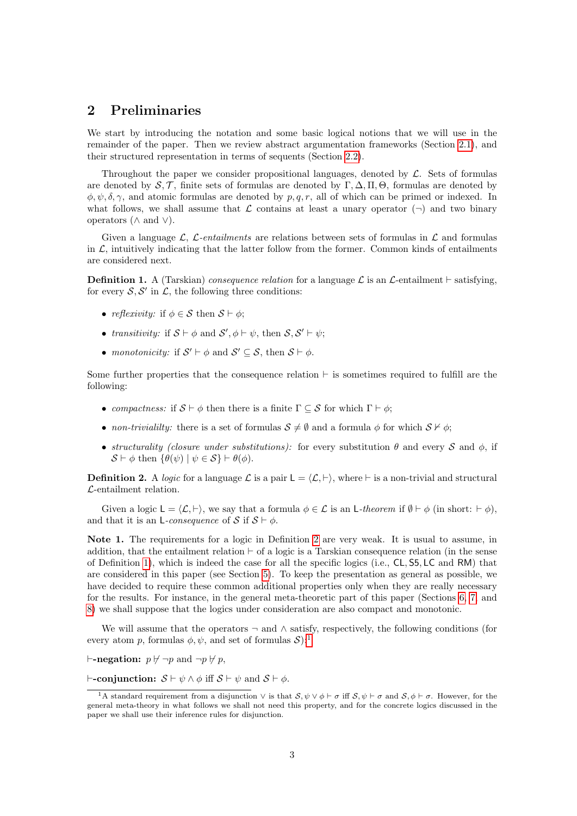## <span id="page-2-0"></span>2 Preliminaries

We start by introducing the notation and some basic logical notions that we will use in the remainder of the paper. Then we review abstract argumentation frameworks (Section [2.1\)](#page-3-0), and their structured representation in terms of sequents (Section [2.2\)](#page-4-0).

Throughout the paper we consider propositional languages, denoted by  $\mathcal{L}$ . Sets of formulas are denoted by  $\mathcal{S}, \mathcal{T}$ , finite sets of formulas are denoted by Γ, Δ, Π, Θ, formulas are denoted by  $\phi, \psi, \delta, \gamma$ , and atomic formulas are denoted by p, q, r, all of which can be primed or indexed. In what follows, we shall assume that  $\mathcal L$  contains at least a unary operator  $(\neg)$  and two binary operators ( $\wedge$  and  $\vee$ ).

Given a language  $\mathcal{L}$ ,  $\mathcal{L}\text{-}entailments$  are relations between sets of formulas in  $\mathcal{L}$  and formulas in  $\mathcal{L}$ , intuitively indicating that the latter follow from the former. Common kinds of entailments are considered next.

<span id="page-2-2"></span>**Definition 1.** A (Tarskian) consequence relation for a language  $\mathcal{L}$  is an  $\mathcal{L}$ -entailment  $\vdash$  satisfying, for every  $S, S'$  in  $\mathcal{L}$ , the following three conditions:

- reflexivity: if  $\phi \in \mathcal{S}$  then  $\mathcal{S} \vdash \phi$ ;
- transitivity: if  $S \vdash \phi$  and  $S', \phi \vdash \psi$ , then  $S, S' \vdash \psi$ ;
- monotonicity: if  $S' \vdash \phi$  and  $S' \subseteq S$ , then  $S \vdash \phi$ .

Some further properties that the consequence relation  $\vdash$  is sometimes required to fulfill are the following:

- compactness: if  $S \vdash \phi$  then there is a finite  $\Gamma \subseteq S$  for which  $\Gamma \vdash \phi$ ;
- non-trivialilty: there is a set of formulas  $S \neq \emptyset$  and a formula  $\phi$  for which  $S \nvdash \phi$ ;
- structurality (closure under substitutions): for every substitution  $\theta$  and every S and  $\phi$ , if  $\mathcal{S} \vdash \phi$  then  $\{\theta(\psi) \mid \psi \in \mathcal{S}\} \vdash \theta(\phi)$ .

<span id="page-2-1"></span>**Definition 2.** A logic for a language  $\mathcal{L}$  is a pair  $L = \langle \mathcal{L}, \vdash \rangle$ , where  $\vdash$  is a non-trivial and structural L-entailment relation.

Given a logic  $L = \langle \mathcal{L}, \vdash \rangle$ , we say that a formula  $\phi \in \mathcal{L}$  is an L-theorem if  $\emptyset \vdash \phi$  (in short:  $\vdash \phi$ ), and that it is an L-consequence of S if  $S \vdash \phi$ .

Note 1. The requirements for a logic in Definition [2](#page-2-1) are very weak. It is usual to assume, in addition, that the entailment relation  $\vdash$  of a logic is a Tarskian consequence relation (in the sense of Definition [1\)](#page-2-2), which is indeed the case for all the specific logics (i.e., CL, S5, LC and RM) that are considered in this paper (see Section [5\)](#page-12-1). To keep the presentation as general as possible, we have decided to require these common additional properties only when they are really necessary for the results. For instance, in the general meta-theoretic part of this paper (Sections [6,](#page-19-0) [7,](#page-24-0) and [8\)](#page-36-0) we shall suppose that the logics under consideration are also compact and monotonic.

We will assume that the operators  $\neg$  and  $\wedge$  satisfy, respectively, the following conditions (for every atom p, formulas  $\phi, \psi$ , and set of formulas  $\mathcal{S}$ ):

 $\vdash$ -negation:  $p \not\vdash \neg p$  and  $\neg p \not\vdash p$ ,

 $\vdash$ -conjunction:  $S \vdash \psi \land \phi$  iff  $S \vdash \psi$  and  $S \vdash \phi$ .

<span id="page-2-3"></span><sup>&</sup>lt;sup>1</sup>A standard requirement from a disjunction  $\vee$  is that  $S, \psi \vee \phi \vdash \sigma$  iff  $S, \psi \vdash \sigma$  and  $S, \phi \vdash \sigma$ . However, for the general meta-theory in what follows we shall not need this property, and for the concrete logics discussed in the paper we shall use their inference rules for disjunction.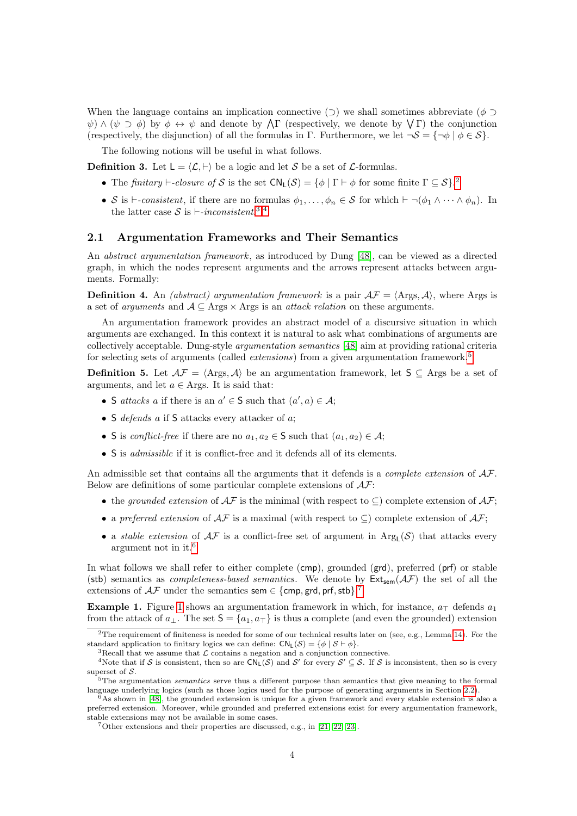When the language contains an implication connective ( $\supset$ ) we shall sometimes abbreviate ( $\phi$ )  $\psi$ )  $\wedge$  ( $\psi \supset \phi$ ) by  $\phi \leftrightarrow \psi$  and denote by  $\Lambda \Gamma$  (respectively, we denote by  $\vee \Gamma$ ) the conjunction (respectively, the disjunction) of all the formulas in Γ. Furthermore, we let  $\neg S = {\neg \phi \mid \phi \in S}$ .

The following notions will be useful in what follows.

<span id="page-3-9"></span>**Definition 3.** Let  $L = \langle \mathcal{L}, \vdash \rangle$  be a logic and let S be a set of L-formulas.

- The finitary  $\vdash$ -closure of S is the set  $CN_L(S) = \{ \phi \mid \Gamma \vdash \phi \text{ for some finite } \Gamma \subseteq S \}$ .
- S is  $\vdash$ -consistent, if there are no formulas  $\phi_1, \ldots, \phi_n \in \mathcal{S}$  for which  $\vdash \neg(\phi_1 \land \cdots \land \phi_n)$ . In the latter case S is  $\vdash$ -inconsistent.<sup>[3](#page-3-2),[4](#page-3-3)</sup>

### <span id="page-3-0"></span>2.1 Argumentation Frameworks and Their Semantics

An *abstract argumentation framework*, as introduced by Dung [\[48\]](#page-43-7), can be viewed as a directed graph, in which the nodes represent arguments and the arrows represent attacks between arguments. Formally:

**Definition 4.** An *(abstract) argumentation framework* is a pair  $\mathcal{AF} = \langle \text{Args}, \mathcal{A} \rangle$ , where Args is a set of *arguments* and  $A \subseteq \text{Args} \times \text{Args}$  is an *attack relation* on these arguments.

An argumentation framework provides an abstract model of a discursive situation in which arguments are exchanged. In this context it is natural to ask what combinations of arguments are collectively acceptable. Dung-style argumentation semantics [\[48\]](#page-43-7) aim at providing rational criteria for selecting sets of arguments (called *extensions*) from a given argumentation framework.<sup>[5](#page-3-4)</sup>

<span id="page-3-8"></span>**Definition 5.** Let  $A\mathcal{F} = \langle \text{Args}, \mathcal{A} \rangle$  be an argumentation framework, let  $S \subseteq \text{Args}$  be a set of arguments, and let  $a \in \text{Args.}$  It is said that:

- S attacks a if there is an  $a' \in S$  such that  $(a', a) \in A$ ;
- S defends a if S attacks every attacker of a;
- S is conflict-free if there are no  $a_1, a_2 \in S$  such that  $(a_1, a_2) \in A$ ;
- S is *admissible* if it is conflict-free and it defends all of its elements.

An admissible set that contains all the arguments that it defends is a *complete extension* of  $A\mathcal{F}$ . Below are definitions of some particular complete extensions of  $A\mathcal{F}$ :

- the grounded extension of  $A\mathcal{F}$  is the minimal (with respect to  $\subseteq$ ) complete extension of  $A\mathcal{F}$ ;
- a preferred extension of  $\mathcal{AF}$  is a maximal (with respect to  $\subseteq$ ) complete extension of  $\mathcal{AF}$ ;
- a *stable extension* of  $A\mathcal{F}$  is a conflict-free set of argument in  $Arg<sub>L</sub>(S)$  that attacks every argument not in it.[6](#page-3-5)

In what follows we shall refer to either complete (cmp), grounded (grd), preferred (prf) or stable (stb) semantics as *completeness-based semantics*. We denote by  $Ext_{sem}(\mathcal{AF})$  the set of all the extensions of  $A\mathcal{F}$  under the semantics sem  $\in \{\text{cmp}, \text{grd}, \text{prf}, \text{stb}\}$ .<sup>[7](#page-3-6)</sup>

<span id="page-3-7"></span>**Example [1](#page-4-1).** Figure 1 shows an argumentation framework in which, for instance,  $a_{\perp}$  defends  $a_1$ from the attack of  $a_{\perp}$ . The set  $S = \{a_1, a_{\perp}\}\$ is thus a complete (and even the grounded) extension

<span id="page-3-1"></span><sup>&</sup>lt;sup>2</sup>The requirement of finiteness is needed for some of our technical results later on (see, e.g., Lemma [14\)](#page-28-0). For the standard application to finitary logics we can define:  $CN_L(S) = \{ \phi \mid S \vdash \phi \}.$ 

<span id="page-3-3"></span><span id="page-3-2"></span> ${}^{3}$ Recall that we assume that  $\mathcal{L}$  contains a negation and a conjunction connective.

<sup>&</sup>lt;sup>4</sup>Note that if S is consistent, then so are  $CN_L(S)$  and S' for every  $S' \subseteq S$ . If S is inconsistent, then so is every superset of S.

<span id="page-3-4"></span> $5$ The argumentation *semantics* serve thus a different purpose than semantics that give meaning to the formal language underlying logics (such as those logics used for the purpose of generating arguments in Section [2.2\)](#page-4-0).

<span id="page-3-5"></span> $6$ As shown in [\[48\]](#page-43-7), the grounded extension is unique for a given framework and every stable extension is also a preferred extension. Moreover, while grounded and preferred extensions exist for every argumentation framework, stable extensions may not be available in some cases.

<span id="page-3-6"></span><sup>7</sup>Other extensions and their properties are discussed, e.g., in [\[21,](#page-42-2) [22,](#page-42-3) [23\]](#page-42-4).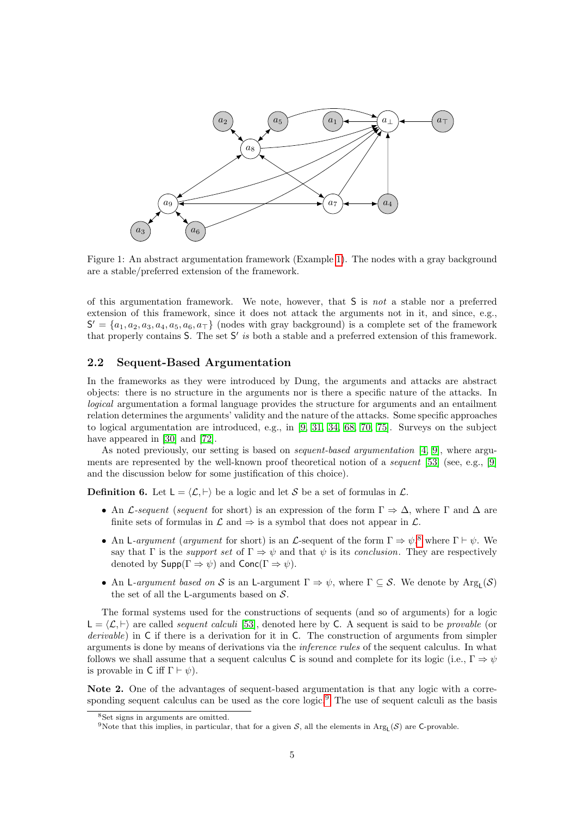

<span id="page-4-1"></span>Figure 1: An abstract argumentation framework (Example [1\)](#page-3-7). The nodes with a gray background are a stable/preferred extension of the framework.

of this argumentation framework. We note, however, that S is not a stable nor a preferred extension of this framework, since it does not attack the arguments not in it, and since, e.g.,  $S' = \{a_1, a_2, a_3, a_4, a_5, a_6, a_7\}$  (nodes with gray background) is a complete set of the framework that properly contains  $S$ . The set  $S'$  is both a stable and a preferred extension of this framework.

### <span id="page-4-0"></span>2.2 Sequent-Based Argumentation

In the frameworks as they were introduced by Dung, the arguments and attacks are abstract objects: there is no structure in the arguments nor is there a specific nature of the attacks. In logical argumentation a formal language provides the structure for arguments and an entailment relation determines the arguments' validity and the nature of the attacks. Some specific approaches to logical argumentation are introduced, e.g., in [\[9,](#page-41-0) [31,](#page-42-1) [34,](#page-43-0) [68,](#page-45-3) [70,](#page-45-4) [75\]](#page-45-5). Surveys on the subject have appeared in [\[30\]](#page-42-5) and [\[72\]](#page-45-6).

As noted previously, our setting is based on sequent-based argumentation [\[4,](#page-41-7) [9\]](#page-41-0), where arguments are represented by the well-known proof theoretical notion of a *sequent* [\[53\]](#page-44-1) (see, e.g., [\[9\]](#page-41-0) and the discussion below for some justification of this choice).

<span id="page-4-4"></span>**Definition 6.** Let  $L = \langle \mathcal{L}, \vdash \rangle$  be a logic and let S be a set of formulas in  $\mathcal{L}$ .

- An L-sequent (sequent for short) is an expression of the form  $\Gamma \Rightarrow \Delta$ , where  $\Gamma$  and  $\Delta$  are finite sets of formulas in  $\mathcal L$  and  $\Rightarrow$  is a symbol that does not appear in  $\mathcal L$ .
- An L-argument (argument for short) is an L-sequent of the form  $\Gamma \Rightarrow \psi$ ,<sup>[8](#page-4-2)</sup> where  $\Gamma \vdash \psi$ . We say that Γ is the *support set* of  $\Gamma \Rightarrow \psi$  and that  $\psi$  is its *conclusion*. They are respectively denoted by  $\mathsf{Supp}(\Gamma \Rightarrow \psi)$  and  $\mathsf{Conc}(\Gamma \Rightarrow \psi)$ .
- An L-argument based on S is an L-argument  $\Gamma \Rightarrow \psi$ , where  $\Gamma \subseteq S$ . We denote by  $Arg_L(S)$ the set of all the L-arguments based on  $S$ .

The formal systems used for the constructions of sequents (and so of arguments) for a logic  $L = \langle \mathcal{L}, \vdash \rangle$  are called *sequent calculi* [\[53\]](#page-44-1), denoted here by C. A sequent is said to be *provable* (or derivable) in C if there is a derivation for it in C. The construction of arguments from simpler arguments is done by means of derivations via the inference rules of the sequent calculus. In what follows we shall assume that a sequent calculus C is sound and complete for its logic (i.e.,  $\Gamma \Rightarrow \psi$ is provable in C iff  $\Gamma \vdash \psi$ ).

Note 2. One of the advantages of sequent-based argumentation is that any logic with a corre-sponding sequent calculus can be used as the core logic.<sup>[9](#page-4-3)</sup> The use of sequent calculi as the basis

<span id="page-4-2"></span><sup>8</sup>Set signs in arguments are omitted.

<span id="page-4-3"></span><sup>&</sup>lt;sup>9</sup>Note that this implies, in particular, that for a given S, all the elements in  $Arg<sub>L</sub>(S)$  are C-provable.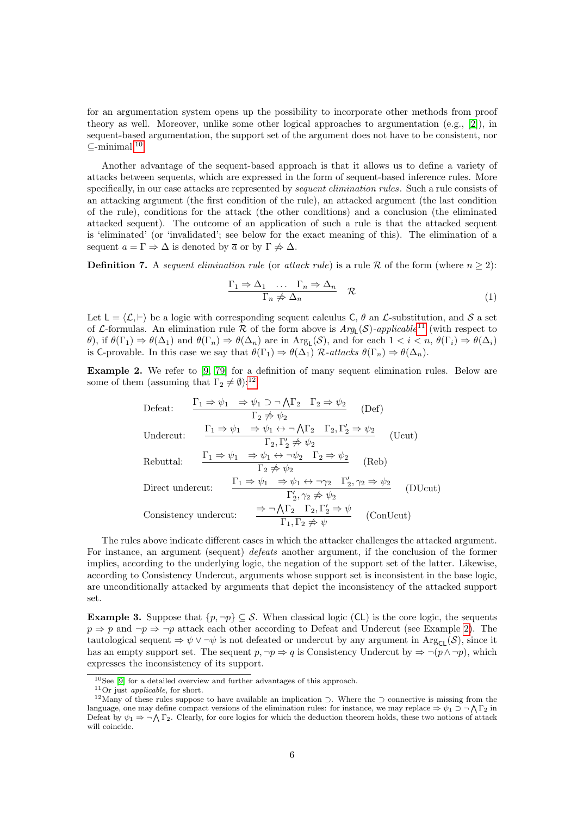for an argumentation system opens up the possibility to incorporate other methods from proof theory as well. Moreover, unlike some other logical approaches to argumentation  $(e.g., [2])$  $(e.g., [2])$  $(e.g., [2])$ , in sequent-based argumentation, the support set of the argument does not have to be consistent, nor  $\subset$ -minimal.<sup>[10](#page-5-0)</sup>

Another advantage of the sequent-based approach is that it allows us to define a variety of attacks between sequents, which are expressed in the form of sequent-based inference rules. More specifically, in our case attacks are represented by *sequent elimination rules*. Such a rule consists of an attacking argument (the first condition of the rule), an attacked argument (the last condition of the rule), conditions for the attack (the other conditions) and a conclusion (the eliminated attacked sequent). The outcome of an application of such a rule is that the attacked sequent is 'eliminated' (or 'invalidated'; see below for the exact meaning of this). The elimination of a sequent  $a = \Gamma \Rightarrow \Delta$  is denoted by  $\overline{a}$  or by  $\Gamma \not\Rightarrow \Delta$ .

<span id="page-5-5"></span>**Definition 7.** A sequent elimination rule (or attack rule) is a rule R of the form (where  $n \geq 2$ ):

$$
\frac{\Gamma_1 \Rightarrow \Delta_1 \quad \dots \quad \Gamma_n \Rightarrow \Delta_n}{\Gamma_n \not\Rightarrow \Delta_n} \quad \mathcal{R} \tag{1}
$$

Let  $L = \langle \mathcal{L}, \vdash \rangle$  be a logic with corresponding sequent calculus C,  $\theta$  an  $\mathcal{L}$ -substitution, and S a set of L-formulas. An elimination rule R of the form above is  $Arg_{L}(S)$ -applicable<sup>[11](#page-5-1)</sup> (with respect to  $\theta$ , if  $\theta(\Gamma_1) \Rightarrow \theta(\Delta_1)$  and  $\theta(\Gamma_n) \Rightarrow \theta(\Delta_n)$  are in Arg<sub>L</sub>(S), and for each  $1 < i < n$ ,  $\theta(\Gamma_i) \Rightarrow \theta(\Delta_i)$ is C-provable. In this case we say that  $\theta(\Gamma_1) \Rightarrow \theta(\Delta_1)$  R-attacks  $\theta(\Gamma_n) \Rightarrow \theta(\Delta_n)$ .

<span id="page-5-3"></span>Example 2. We refer to [\[9,](#page-41-0) [79\]](#page-45-7) for a definition of many sequent elimination rules. Below are some of them (assuming that  $\Gamma_2 \neq \emptyset$ ):<sup>[12](#page-5-2)</sup>

Defeat:

\n
$$
\frac{\Gamma_1 \Rightarrow \psi_1 \Rightarrow \psi_1 \supset \neg \bigwedge \Gamma_2 \quad \Gamma_2 \Rightarrow \psi_2}{\Gamma_2 \not\Rightarrow \psi_2} \quad \text{(Def)}
$$
\nUndercut:

\n
$$
\frac{\Gamma_1 \Rightarrow \psi_1 \Rightarrow \psi_1 \leftrightarrow \neg \bigwedge \Gamma_2 \quad \Gamma_2, \Gamma'_2 \Rightarrow \psi_2}{\Gamma_2, \Gamma'_2 \not\Rightarrow \psi_2} \quad \text{(Ucut)}
$$
\nRebuttal:

\n
$$
\frac{\Gamma_1 \Rightarrow \psi_1 \Rightarrow \psi_1 \leftrightarrow \neg \psi_2 \quad \Gamma_2 \Rightarrow \psi_2}{\Gamma_2 \not\Rightarrow \psi_2} \quad \text{(Reb)}
$$
\nDirect undercut:

\n
$$
\frac{\Gamma_1 \Rightarrow \psi_1 \Rightarrow \psi_1 \leftrightarrow \neg \gamma_2 \quad \Gamma'_2, \gamma_2 \Rightarrow \psi_2}{\Gamma'_2, \gamma_2 \not\Rightarrow \psi_2} \quad \text{(DUcut)}
$$
\nConsistency undercut:

\n
$$
\frac{\Rightarrow \neg \bigwedge \Gamma_2 \quad \Gamma_2, \Gamma'_2 \Rightarrow \psi}{\Gamma_1, \Gamma_2 \not\Rightarrow \psi} \quad \text{(ConUcut)}
$$

The rules above indicate different cases in which the attacker challenges the attacked argument. For instance, an argument (sequent) defeats another argument, if the conclusion of the former implies, according to the underlying logic, the negation of the support set of the latter. Likewise, according to Consistency Undercut, arguments whose support set is inconsistent in the base logic, are unconditionally attacked by arguments that depict the inconsistency of the attacked support set.

<span id="page-5-4"></span>**Example 3.** Suppose that  $\{p, \neg p\} \subseteq S$ . When classical logic (CL) is the core logic, the sequents  $p \Rightarrow p$  and  $\neg p \Rightarrow \neg p$  attack each other according to Defeat and Undercut (see Example [2\)](#page-5-3). The tautological sequent  $\Rightarrow \psi \vee \neg \psi$  is not defeated or undercut by any argument in Arg<sub>CL</sub>(S), since it has an empty support set. The sequent  $p, \neg p \Rightarrow q$  is Consistency Undercut by  $\Rightarrow \neg (p \land \neg p)$ , which expresses the inconsistency of its support.

<span id="page-5-0"></span> $10$ See [\[9\]](#page-41-0) for a detailed overview and further advantages of this approach.

<span id="page-5-2"></span><span id="page-5-1"></span><sup>11</sup>Or just applicable, for short.

<sup>&</sup>lt;sup>12</sup>Many of these rules suppose to have available an implication  $\supset$ . Where the  $\supset$  connective is missing from the language, one may define compact versions of the elimination rules: for instance, we may replace  $\Rightarrow \psi_1 \supset \neg \bigwedge \Gamma_2$  in Defeat by  $\psi_1 \Rightarrow \neg \bigwedge \Gamma_2$ . Clearly, for core logics for which the deduction theorem holds, these two notions of attack will coincide.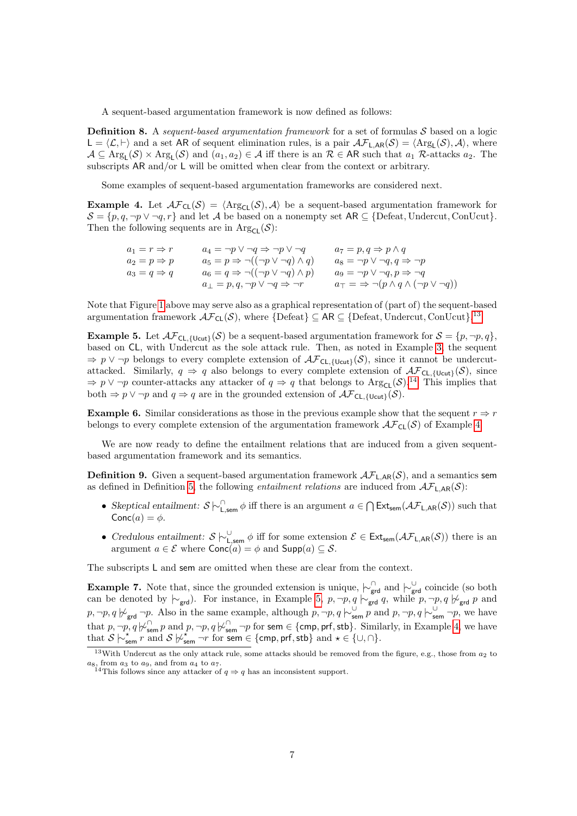A sequent-based argumentation framework is now defined as follows:

<span id="page-6-4"></span>**Definition 8.** A sequent-based argumentation framework for a set of formulas  $S$  based on a logic  $\mathsf{L} = \langle \mathcal{L}, \vdash \rangle$  and a set AR of sequent elimination rules, is a pair  $\mathcal{AF}_{\mathsf{L},AR}(\mathcal{S}) = \langle \text{Arg}_{\mathsf{L}}(\mathcal{S}), \mathcal{A} \rangle$ , where  $\mathcal{A} \subseteq \text{Arg}_{\mathsf{L}}(\mathcal{S}) \times \text{Arg}_{\mathsf{L}}(\mathcal{S})$  and  $(a_1, a_2) \in \mathcal{A}$  iff there is an  $\mathcal{R} \in \mathsf{AR}$  such that  $a_1$  R-attacks  $a_2$ . The subscripts AR and/or L will be omitted when clear from the context or arbitrary.

Some examples of sequent-based argumentation frameworks are considered next.

<span id="page-6-2"></span>**Example 4.** Let  $\mathcal{AF}_{CL}(\mathcal{S}) = \langle \text{Arg}_{CL}(\mathcal{S}), \mathcal{A} \rangle$  be a sequent-based argumentation framework for  $\mathcal{S} = \{p, q, \neg p \lor \neg q, r\}$  and let A be based on a nonempty set AR  $\subseteq$  {Defeat, Undercut, ConUcut}. Then the following sequents are in  $Arg_{Cl}(\mathcal{S})$ :

$$
a_1 = r \Rightarrow r \qquad a_4 = \neg p \lor \neg q \Rightarrow \neg p \lor \neg q \qquad a_7 = p, q \Rightarrow p \land q
$$
  
\n
$$
a_2 = p \Rightarrow p \qquad a_5 = p \Rightarrow \neg ((\neg p \lor \neg q) \land q) \qquad a_8 = \neg p \lor \neg q, q \Rightarrow \neg p
$$
  
\n
$$
a_3 = q \Rightarrow q \qquad a_6 = q \Rightarrow \neg ((\neg p \lor \neg q) \land p) \qquad a_9 = \neg p \lor \neg q, p \Rightarrow \neg q
$$
  
\n
$$
a_1 = p, q, \neg p \lor \neg q \Rightarrow \neg r \qquad a_1 = \Rightarrow \neg (p \land q \land (\neg p \lor \neg q))
$$

Note that Figure [1](#page-4-1) above may serve also as a graphical representation of (part of) the sequent-based argumentation framework  $\mathcal{AF}_{CL}(\mathcal{S})$ , where  $\{\text{Defeat}\}\subseteq \text{AR} \subseteq \{\text{Defeat}, \text{Undercut}, \text{ConUcut}\}.^{13}$  $\{\text{Defeat}\}\subseteq \text{AR} \subseteq \{\text{Defeat}, \text{Undercut}, \text{ConUcut}\}.^{13}$  $\{\text{Defeat}\}\subseteq \text{AR} \subseteq \{\text{Defeat}, \text{Undercut}, \text{ConUcut}\}.^{13}$ 

<span id="page-6-3"></span>**Example 5.** Let  $\mathcal{AF}_{CL, \{Ucut\}}(\mathcal{S})$  be a sequent-based argumentation framework for  $\mathcal{S} = \{p, \neg p, q\}$ , based on CL, with Undercut as the sole attack rule. Then, as noted in Example [3,](#page-5-4) the sequent  $\Rightarrow p \vee \neg p$  belongs to every complete extension of  $\mathcal{AF}_{CL, \{Ucut\}}(\mathcal{S})$ , since it cannot be undercutattacked. Similarly,  $q \Rightarrow q$  also belongs to every complete extension of  $\mathcal{AF}_{CL, \{Ucut\}}(\mathcal{S})$ , since  $\Rightarrow p \vee \neg p$  counter-attacks any attacker of  $q \Rightarrow q$  that belongs to Arg<sub>CL</sub>(S).<sup>[14](#page-6-1)</sup> This implies that both  $\Rightarrow p \vee \neg p$  and  $q \Rightarrow q$  are in the grounded extension of  $\mathcal{AF}_{\text{CL}, \{\text{Ucut}\}}(\mathcal{S})$ .

**Example 6.** Similar considerations as those in the previous example show that the sequent  $r \Rightarrow r$ belongs to every complete extension of the argumentation framework  $\mathcal{AF}_{CL}(\mathcal{S})$  of Example [4.](#page-6-2)

We are now ready to define the entailment relations that are induced from a given sequentbased argumentation framework and its semantics.

<span id="page-6-5"></span>**Definition 9.** Given a sequent-based argumentation framework  $A\mathcal{F}_{L,AR}(\mathcal{S})$ , and a semantics sem as defined in Definition [5,](#page-3-8) the following *entailment relations* are induced from  $\mathcal{AF}_{L,AR}(S)$ :

- Skeptical entailment:  $S \n\sim \bigcap_{n=1}^{\infty} \phi$  iff there is an argument  $a \in \bigcap \text{Ext}_{sem}(\mathcal{AF}_{L,AR}(\mathcal{S}))$  such that  $Conc(a) = \phi$ .
- Credulous entailment:  $S \vdash^{\cup}_{\mathsf{L,sem}} \phi$  iff for some extension  $\mathcal{E} \in \mathsf{Ext}_{\mathsf{sem}}(\mathcal{AF}_{\mathsf{L,AR}}(\mathcal{S}))$  there is an argument  $a \in \mathcal{E}$  where  $\mathsf{Conc}(a) = \phi$  and  $\mathsf{Supp}(a) \subseteq \mathcal{S}$ .

The subscripts L and sem are omitted when these are clear from the context.

**Example 7.** Note that, since the grounded extension is unique,  $\sim_{\text{grd}}^{\cap}$  and  $\sim_{\text{grd}}^{\cup}$  coincide (so both can be denoted by  $\vdash_{\mathsf{grd}})$ . For instance, in Example [5,](#page-6-3) p, ¬p, q  $\vdash_{\mathsf{grd}} q$ , while p, ¬p, q  $\vdash_{\mathsf{grd}} p$  and  $p, \neg p, q \not\sim_{\textsf{grd}} \neg p$ . Also in the same example, although  $p, \neg p, q \n\sim_{\textsf{sem}}' p$  and  $p, \neg p, q \n\sim_{\textsf{sem}}' \neg p$ , we have that  $p, \neg p, q \not\sim_{sem}^{\cap} p$  and  $p, \neg p, q \not\sim_{sem}^{\cap} \neg p$  for sem  $\in \{\text{cmp}, \text{prf}, \text{stb}\}.$  Similarly, in Example [4,](#page-6-2) we have that  $S \nightharpoonup_{\text{sem}}^* r$  and  $S \nightharpoonup_{\text{sem}}^* \neg r$  for sem  $\in \{\text{cmp}, \text{prf}, \text{stb}\}$  and  $\star \in \{\cup, \cap\}.$ 

<span id="page-6-0"></span><sup>&</sup>lt;sup>13</sup>With Undercut as the only attack rule, some attacks should be removed from the figure, e.g., those from  $a_2$  to  $a_8$ , from  $a_3$  to  $a_9$ , and from  $a_4$  to  $a_7$ .

<span id="page-6-1"></span><sup>&</sup>lt;sup>14</sup>This follows since any attacker of  $q \Rightarrow q$  has an inconsistent support.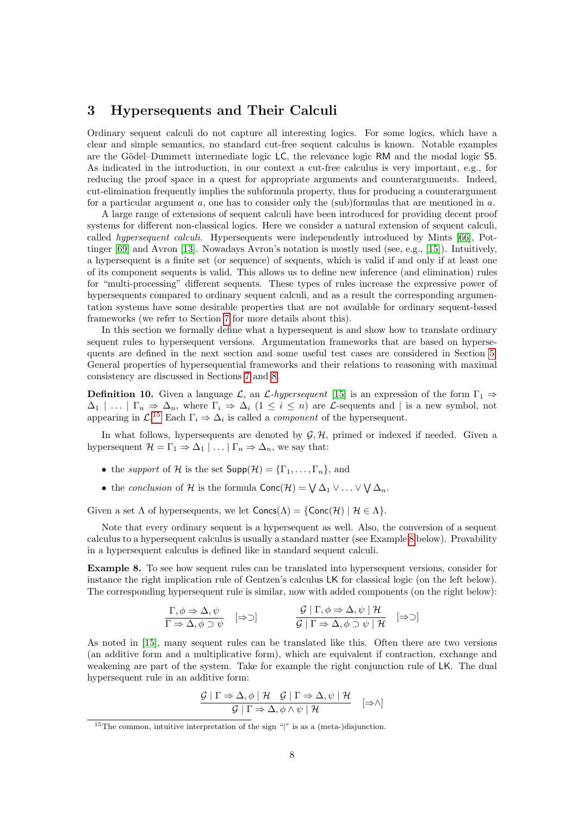## <span id="page-7-0"></span>3 Hypersequents and Their Calculi

Ordinary sequent calculi do not capture all interesting logics. For some logics, which have a clear and simple semantics, no standard cut-free sequent calculus is known. Notable examples are the Gödel–Dummett intermediate logic LC, the relevance logic RM and the modal logic S5. As indicated in the introduction, in our context a cut-free calculus is very important, e.g., for reducing the proof space in a quest for appropriate arguments and counterarguments. Indeed, cut-elimination frequently implies the subformula property, thus for producing a counterargument for a particular argument  $a$ , one has to consider only the (sub)formulas that are mentioned in  $a$ .

A large range of extensions of sequent calculi have been introduced for providing decent proof systems for different non-classical logics. Here we consider a natural extension of sequent calculi, called hypersequent calculi. Hypersequents were independently introduced by Mints [\[66\]](#page-44-2), Pottinger [\[69\]](#page-45-1) and Avron [\[13\]](#page-41-3). Nowadays Avron's notation is mostly used (see, e.g., [\[15\]](#page-41-8)). Intuitively, a hypersequent is a finite set (or sequence) of sequents, which is valid if and only if at least one of its component sequents is valid. This allows us to define new inference (and elimination) rules for "multi-processing" different sequents. These types of rules increase the expressive power of hypersequents compared to ordinary sequent calculi, and as a result the corresponding argumentation systems have some desirable properties that are not available for ordinary sequent-based frameworks (we refer to Section [7](#page-24-0) for more details about this).

In this section we formally define what a hypersequent is and show how to translate ordinary sequent rules to hypersequent versions. Argumentation frameworks that are based on hypersequents are defined in the next section and some useful test cases are considered in Section [5.](#page-12-1) General properties of hypersequential frameworks and their relations to reasoning with maximal consistency are discussed in Sections [7](#page-24-0) and [8.](#page-36-0)

**Definition 10.** Given a language  $\mathcal{L}$ , an  $\mathcal{L}$ -hypersequent [\[15\]](#page-41-8) is an expression of the form  $\Gamma_1 \Rightarrow$  $\Delta_1 \mid \ldots \mid \Gamma_n \Rightarrow \Delta_n$ , where  $\Gamma_i \Rightarrow \Delta_i \ (1 \leq i \leq n)$  are *L*-sequents and  $\mid$  is a new symbol, not appearing in  $\mathcal{L}^{15}$  $\mathcal{L}^{15}$  $\mathcal{L}^{15}$  Each  $\Gamma_i \Rightarrow \Delta_i$  is called a *component* of the hypersequent.

In what follows, hypersequents are denoted by  $\mathcal{G}, \mathcal{H}$ , primed or indexed if needed. Given a hypersequent  $\mathcal{H} = \Gamma_1 \Rightarrow \Delta_1 \mid \ldots \mid \Gamma_n \Rightarrow \Delta_n$ , we say that:

- the support of H is the set  $\mathsf{Supp}(\mathcal{H}) = {\Gamma_1, \ldots, \Gamma_n}$ , and
- the conclusion of H is the formula  $Conc(\mathcal{H}) = \bigvee \Delta_1 \vee ... \vee \bigvee \Delta_n$ .

Given a set  $\Lambda$  of hypersequents, we let  $Concs(\Lambda) = \{Conc(\mathcal{H}) \mid \mathcal{H} \in \Lambda\}.$ 

Note that every ordinary sequent is a hypersequent as well. Also, the conversion of a sequent calculus to a hypersequent calculus is usually a standard matter (see Example [8](#page-7-2) below). Provability in a hypersequent calculus is defined like in standard sequent calculi.

<span id="page-7-2"></span>Example 8. To see how sequent rules can be translated into hypersequent versions, consider for instance the right implication rule of Gentzen's calculus LK for classical logic (on the left below). The corresponding hypersequent rule is similar, now with added components (on the right below):

$$
\frac{\Gamma, \phi \Rightarrow \Delta, \psi}{\Gamma \Rightarrow \Delta, \phi \supset \psi} \quad [\Rightarrow \supset] \qquad \frac{\mathcal{G} \mid \Gamma, \phi \Rightarrow \Delta, \psi \mid \mathcal{H}}{\mathcal{G} \mid \Gamma \Rightarrow \Delta, \phi \supset \psi \mid \mathcal{H}} \quad [\Rightarrow \supset]
$$

As noted in [\[15\]](#page-41-8), many sequent rules can be translated like this. Often there are two versions (an additive form and a multiplicative form), which are equivalent if contraction, exchange and weakening are part of the system. Take for example the right conjunction rule of LK. The dual hypersequent rule in an additive form:

$$
\frac{\mathcal{G} | \Gamma \Rightarrow \Delta, \phi | \mathcal{H} \mathcal{G} | \Gamma \Rightarrow \Delta, \psi | \mathcal{H}}{\mathcal{G} | \Gamma \Rightarrow \Delta, \phi \wedge \psi | \mathcal{H}} \quad [\Rightarrow \wedge]
$$

<span id="page-7-1"></span><sup>&</sup>lt;sup>15</sup>The common, intuitive interpretation of the sign "|" is as a (meta-)disjunction.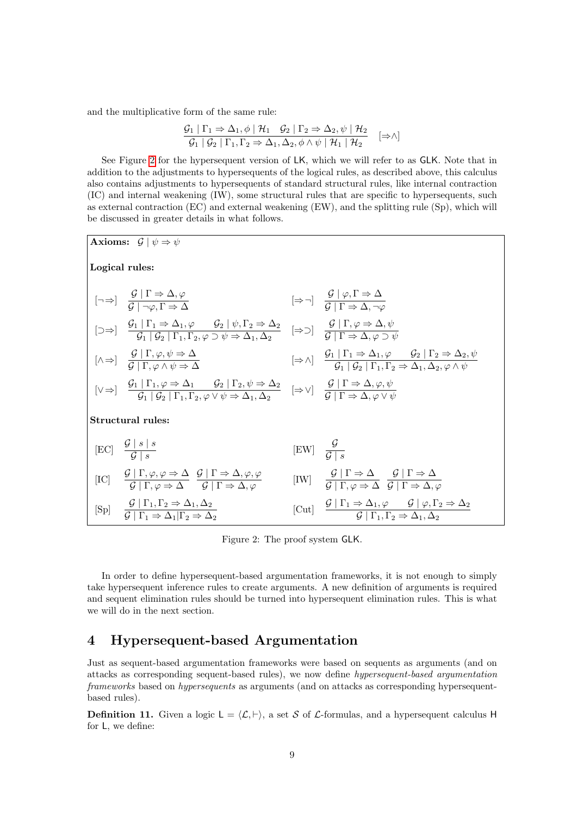and the multiplicative form of the same rule:

$$
\frac{G_1 | \Gamma_1 \Rightarrow \Delta_1, \phi | \mathcal{H}_1 \quad \mathcal{G}_2 | \Gamma_2 \Rightarrow \Delta_2, \psi | \mathcal{H}_2}{\mathcal{G}_1 | \mathcal{G}_2 | \Gamma_1, \Gamma_2 \Rightarrow \Delta_1, \Delta_2, \phi \land \psi | \mathcal{H}_1 | \mathcal{H}_2} \quad [\Rightarrow \land]
$$

See Figure [2](#page-8-1) for the hypersequent version of LK, which we will refer to as GLK. Note that in addition to the adjustments to hypersequents of the logical rules, as described above, this calculus also contains adjustments to hypersequents of standard structural rules, like internal contraction (IC) and internal weakening (IW), some structural rules that are specific to hypersequents, such as external contraction (EC) and external weakening (EW), and the splitting rule (Sp), which will be discussed in greater details in what follows.



<span id="page-8-1"></span>Figure 2: The proof system GLK.

In order to define hypersequent-based argumentation frameworks, it is not enough to simply take hypersequent inference rules to create arguments. A new definition of arguments is required and sequent elimination rules should be turned into hypersequent elimination rules. This is what we will do in the next section.

## <span id="page-8-0"></span>4 Hypersequent-based Argumentation

Just as sequent-based argumentation frameworks were based on sequents as arguments (and on attacks as corresponding sequent-based rules), we now define hypersequent-based argumentation frameworks based on hypersequents as arguments (and on attacks as corresponding hypersequentbased rules).

**Definition 11.** Given a logic  $L = \langle L, \vdash \rangle$ , a set S of L-formulas, and a hypersequent calculus H for L, we define: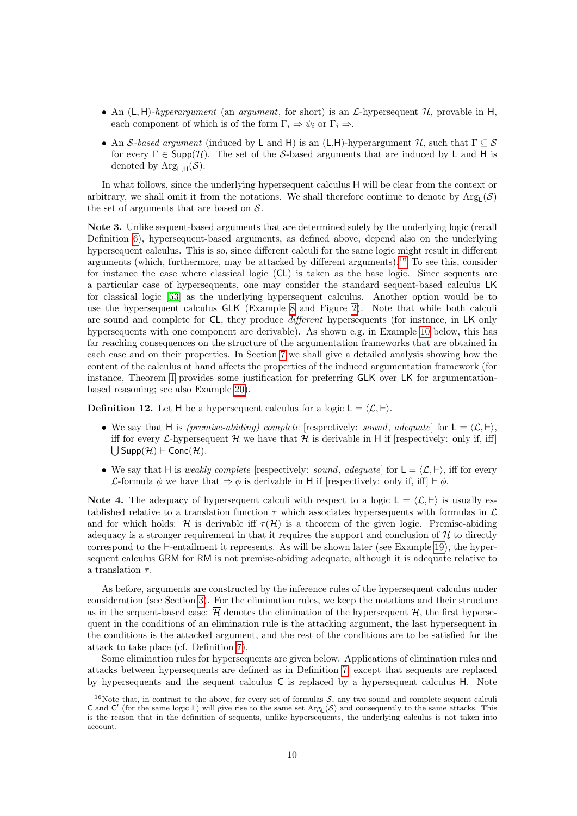- An  $(L, H)$ -hyperargument (an argument, for short) is an  $\mathcal{L}$ -hypersequent  $\mathcal{H}$ , provable in H, each component of which is of the form  $\Gamma_i \Rightarrow \psi_i$  or  $\Gamma_i \Rightarrow$ .
- An S-based argument (induced by L and H) is an (L,H)-hyperargument H, such that  $\Gamma \subseteq S$ for every  $\Gamma \in \text{Supp}(\mathcal{H})$ . The set of the S-based arguments that are induced by L and H is denoted by Arg<sub>LH</sub>(S).

In what follows, since the underlying hypersequent calculus H will be clear from the context or arbitrary, we shall omit it from the notations. We shall therefore continue to denote by  $Arg<sub>L</sub>(S)$ the set of arguments that are based on  $S$ .

<span id="page-9-1"></span>Note 3. Unlike sequent-based arguments that are determined solely by the underlying logic (recall Definition [6\)](#page-4-4), hypersequent-based arguments, as defined above, depend also on the underlying hypersequent calculus. This is so, since different calculi for the same logic might result in different arguments (which, furthermore, may be attacked by different arguments).<sup>[16](#page-9-0)</sup> To see this, consider for instance the case where classical logic (CL) is taken as the base logic. Since sequents are a particular case of hypersequents, one may consider the standard sequent-based calculus LK for classical logic [\[53\]](#page-44-1) as the underlying hypersequent calculus. Another option would be to use the hypersequent calculus GLK (Example [8](#page-7-2) and Figure [2\)](#page-8-1). Note that while both calculi are sound and complete for CL, they produce different hypersequents (for instance, in LK only hypersequents with one component are derivable). As shown e.g. in Example [10](#page-11-0) below, this has far reaching consequences on the structure of the argumentation frameworks that are obtained in each case and on their properties. In Section [7](#page-24-0) we shall give a detailed analysis showing how the content of the calculus at hand affects the properties of the induced argumentation framework (for instance, Theorem [1](#page-30-0) provides some justification for preferring GLK over LK for argumentationbased reasoning; see also Example [20\)](#page-30-1).

<span id="page-9-2"></span>**Definition 12.** Let H be a hypersequent calculus for a logic  $L = \langle \mathcal{L}, \vdash \rangle$ .

- We say that H is *(premise-abiding) complete* [respectively: *sound, adequate*] for  $L = \langle \mathcal{L}, \vdash \rangle$ , iff for every L-hypersequent H we have that H is derivable in H if [respectively: only if, iff]  $\bigcup$  Supp $(\mathcal{H}) \vdash$  Conc $(\mathcal{H})$ .
- We say that H is weakly complete [respectively: sound, adequate] for  $L = \langle \mathcal{L}, \vdash \rangle$ , iff for every L-formula  $\phi$  we have that  $\Rightarrow \phi$  is derivable in H if [respectively: only if, iff]  $\vdash \phi$ .

Note 4. The adequacy of hypersequent calculi with respect to a logic  $L = \langle \mathcal{L}, \vdash \rangle$  is usually established relative to a translation function  $\tau$  which associates hypersequents with formulas in  $\mathcal{L}$ and for which holds: H is derivable iff  $\tau(\mathcal{H})$  is a theorem of the given logic. Premise-abiding adequacy is a stronger requirement in that it requires the support and conclusion of  $H$  to directly correspond to the  $\vdash$ -entailment it represents. As will be shown later (see Example [19\)](#page-18-0), the hypersequent calculus GRM for RM is not premise-abiding adequate, although it is adequate relative to a translation  $\tau$ .

As before, arguments are constructed by the inference rules of the hypersequent calculus under consideration (see Section [3\)](#page-7-0). For the elimination rules, we keep the notations and their structure as in the sequent-based case:  $\overline{\mathcal{H}}$  denotes the elimination of the hypersequent  $\mathcal{H}$ , the first hypersequent in the conditions of an elimination rule is the attacking argument, the last hypersequent in the conditions is the attacked argument, and the rest of the conditions are to be satisfied for the attack to take place (cf. Definition [7\)](#page-5-5).

Some elimination rules for hypersequents are given below. Applications of elimination rules and attacks between hypersequents are defined as in Definition [7,](#page-5-5) except that sequents are replaced by hypersequents and the sequent calculus C is replaced by a hypersequent calculus H. Note

<span id="page-9-0"></span><sup>&</sup>lt;sup>16</sup>Note that, in contrast to the above, for every set of formulas  $S$ , any two sound and complete sequent calculi C and C' (for the same logic L) will give rise to the same set  $Arg<sub>L</sub>(S)$  and consequently to the same attacks. This is the reason that in the definition of sequents, unlike hypersequents, the underlying calculus is not taken into account.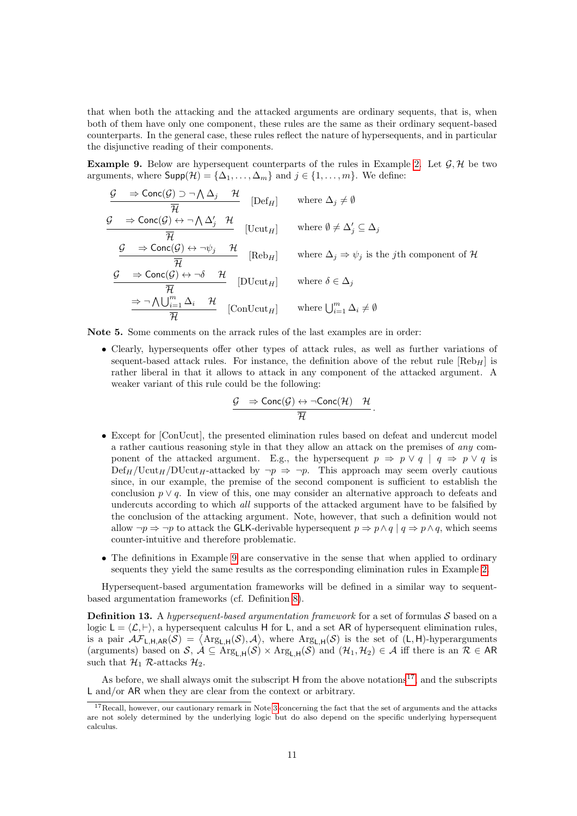that when both the attacking and the attacked arguments are ordinary sequents, that is, when both of them have only one component, these rules are the same as their ordinary sequent-based counterparts. In the general case, these rules reflect the nature of hypersequents, and in particular the disjunctive reading of their components.

<span id="page-10-0"></span>**Example 9.** Below are hypersequent counterparts of the rules in Example [2.](#page-5-3) Let  $\mathcal{G}, \mathcal{H}$  be two arguments, where  $\mathsf{Supp}(\mathcal{H}) = {\Delta_1, \ldots, \Delta_m}$  and  $j \in \{1, \ldots, m\}$ . We define:

$$
\frac{\mathcal{G} \rightarrow \text{Conc}(\mathcal{G}) \supset \neg \bigwedge \Delta_j \mathcal{H}}{\overline{\mathcal{H}}}
$$
 [Def<sub>H</sub>] where  $\Delta_j \neq \emptyset$   
\n
$$
\frac{\mathcal{G} \rightarrow \text{Conc}(\mathcal{G}) \leftrightarrow \neg \bigwedge \Delta'_j \mathcal{H}}{\overline{\mathcal{H}}}
$$
 [Ucut<sub>H</sub>] where  $\emptyset \neq \Delta'_j \subseteq \Delta_j$   
\n
$$
\frac{\mathcal{G} \rightarrow \text{Conc}(\mathcal{G}) \leftrightarrow \neg \psi_j \mathcal{H}}{\overline{\mathcal{H}}}
$$
 [Reb<sub>H</sub>] where  $\Delta_j \Rightarrow \psi_j$  is the *j*th component of  $\mathcal{H}$   
\n
$$
\frac{\mathcal{G} \rightarrow \text{Conc}(\mathcal{G}) \leftrightarrow \neg \delta \mathcal{H}}{\overline{\mathcal{H}}}
$$
 [DUcut<sub>H</sub>] where  $\delta \in \Delta_j$   
\n
$$
\frac{\Rightarrow \neg \bigwedge \bigcup_{i=1}^m \Delta_i \mathcal{H}}{\overline{\mathcal{H}}}
$$
 [ConUcut<sub>H</sub>] where  $\bigcup_{i=1}^m \Delta_i \neq \emptyset$ 

Note 5. Some comments on the arrack rules of the last examples are in order:

• Clearly, hypersequents offer other types of attack rules, as well as further variations of sequent-based attack rules. For instance, the definition above of the rebut rule  $[\text{Reb}_H]$  is rather liberal in that it allows to attack in any component of the attacked argument. A weaker variant of this rule could be the following:

$$
\frac{\mathcal{G} \quad \Rightarrow \mathsf{Conc}(\mathcal{G}) \leftrightarrow \neg \mathsf{Conc}(\mathcal{H}) \quad \mathcal{H}}{\overline{\mathcal{H}}}.
$$

- Except for [ConUcut], the presented elimination rules based on defeat and undercut model a rather cautious reasoning style in that they allow an attack on the premises of any component of the attacked argument. E.g., the hypersequent  $p \Rightarrow p \vee q \mid q \Rightarrow p \vee q$  is  $\text{Def}_{H}/\text{Ucut}_{H}/\text{DUcut}_{H}$ -attacked by  $\neg p \Rightarrow \neg p$ . This approach may seem overly cautious since, in our example, the premise of the second component is sufficient to establish the conclusion  $p \vee q$ . In view of this, one may consider an alternative approach to defeats and undercuts according to which all supports of the attacked argument have to be falsified by the conclusion of the attacking argument. Note, however, that such a definition would not allow  $\neg p \Rightarrow \neg p$  to attack the GLK-derivable hypersequent  $p \Rightarrow p \land q \mid q \Rightarrow p \land q$ , which seems counter-intuitive and therefore problematic.
- The definitions in Example [9](#page-10-0) are conservative in the sense that when applied to ordinary sequents they yield the same results as the corresponding elimination rules in Example [2.](#page-5-3)

Hypersequent-based argumentation frameworks will be defined in a similar way to sequentbased argumentation frameworks (cf. Definition [8\)](#page-6-4).

**Definition 13.** A hypersequent-based argumentation framework for a set of formulas  $S$  based on a logic  $L = \langle \mathcal{L}, \vdash \rangle$ , a hypersequent calculus H for L, and a set AR of hypersequent elimination rules, is a pair  $\mathcal{AF}_{\mathsf{L},\mathsf{H},\mathsf{AR}}(\mathcal{S}) = \langle \mathrm{Arg}_{\mathsf{L},\mathsf{H}}(\mathcal{S}),\mathcal{A}\rangle$ , where  $\mathrm{Arg}_{\mathsf{L},\mathsf{H}}(\mathcal{S})$  is the set of  $(\mathsf{L},\mathsf{H})$ -hyperarguments (arguments) based on S,  $\mathcal{A} \subseteq \text{Arg}_{\mathsf{L},\mathsf{H}}(\mathcal{S}) \times \text{Arg}_{\mathsf{L},\mathsf{H}}(\mathcal{S})$  and  $(\mathcal{H}_1, \mathcal{H}_2) \in \mathcal{A}$  iff there is an  $\mathcal{R} \in \mathsf{AR}$ such that  $\mathcal{H}_1$  R-attacks  $\mathcal{H}_2$ .

As before, we shall always omit the subscript  $H$  from the above notations<sup>[17](#page-10-1)</sup>, and the subscripts L and/or AR when they are clear from the context or arbitrary.

<span id="page-10-1"></span> $17$ Recall, however, our cautionary remark in Note [3](#page-9-1) concerning the fact that the set of arguments and the attacks are not solely determined by the underlying logic but do also depend on the specific underlying hypersequent calculus.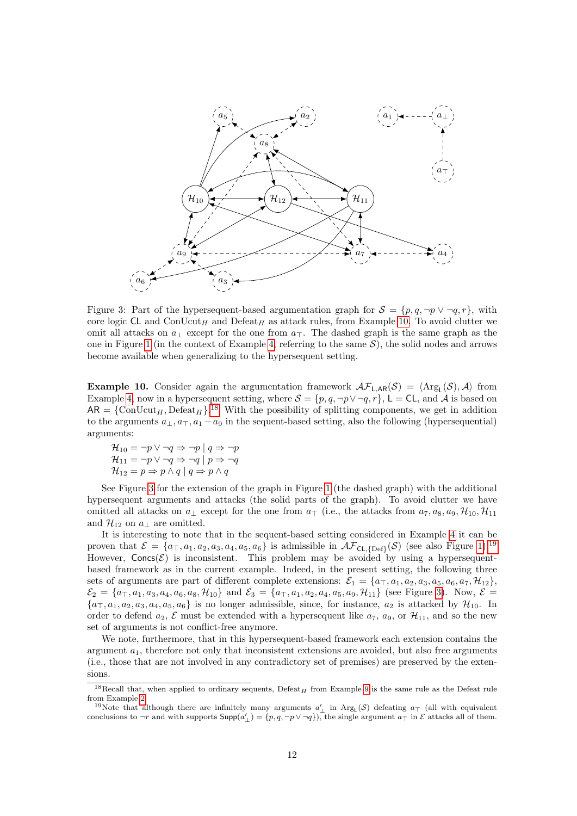

<span id="page-11-2"></span>Figure 3: Part of the hypersequent-based argumentation graph for  $S = \{p, q, \neg p \lor \neg q, r\}$ , with core logic CL and ConUcut<sub>H</sub> and Defeat<sub>H</sub> as attack rules, from Example [10.](#page-11-0) To avoid clutter we omit all attacks on  $a_{\perp}$  except for the one from  $a_{\perp}$ . The dashed graph is the same graph as the one in Figure [1](#page-4-1) (in the context of Example [4,](#page-6-2) referring to the same  $S$ ), the solid nodes and arrows become available when generalizing to the hypersequent setting.

<span id="page-11-0"></span>**Example 10.** Consider again the argumentation framework  $\mathcal{AF}_{L,AR}(\mathcal{S}) = \langle \text{Arg}_L(\mathcal{S}), \mathcal{A} \rangle$  from Example [4,](#page-6-2) now in a hypersequent setting, where  $S = \{p, q, \neg p \lor \neg q, r\}$ ,  $\mathsf{L} = \mathsf{CL}$ , and A is based on  $AR = \{ConUcut_H, Defeat_H\}.$ <sup>[18](#page-11-1)</sup> With the possibility of splitting components, we get in addition to the arguments  $a_{\perp}, a_{\perp}, a_1 - a_9$  in the sequent-based setting, also the following (hypersequential) arguments:

$$
\mathcal{H}_{10} = \neg p \lor \neg q \Rightarrow \neg p \mid q \Rightarrow \neg p
$$
  

$$
\mathcal{H}_{11} = \neg p \lor \neg q \Rightarrow \neg q \mid p \Rightarrow \neg q
$$
  

$$
\mathcal{H}_{12} = p \Rightarrow p \land q \mid q \Rightarrow p \land q
$$

See Figure [3](#page-11-2) for the extension of the graph in Figure [1](#page-4-1) (the dashed graph) with the additional hypersequent arguments and attacks (the solid parts of the graph). To avoid clutter we have omitted all attacks on  $a_{\perp}$  except for the one from  $a_{\perp}$  (i.e., the attacks from  $a_{7}, a_{8}, a_{9}, \mathcal{H}_{10}, \mathcal{H}_{11}$ and  $\mathcal{H}_{12}$  on  $a_{\perp}$  are omitted.

It is interesting to note that in the sequent-based setting considered in Example [4](#page-6-2) it can be proven that  $\mathcal{E} = \{a_{\top}, a_1, a_2, a_3, a_4, a_5, a_6\}$  is admissible in  $\mathcal{AF}_{\text{CL-IDE}}(\mathcal{S})$  (see also Figure [1\)](#page-4-1).<sup>[19](#page-11-3)</sup> However,  $Concs(\mathcal{E})$  is inconsistent. This problem may be avoided by using a hypersequentbased framework as in the current example. Indeed, in the present setting, the following three sets of arguments are part of different complete extensions:  $\mathcal{E}_1 = \{a_{\top}, a_1, a_2, a_3, a_5, a_6, a_7, \mathcal{H}_{12}\},\$  $\mathcal{E}_2 = \{a_{\top}, a_1, a_3, a_4, a_6, a_8, \mathcal{H}_{10}\}\$ and  $\mathcal{E}_3 = \{a_{\top}, a_1, a_2, a_4, a_5, a_9, \mathcal{H}_{11}\}\$ (see Figure [3\)](#page-11-2). Now,  $\mathcal{E} =$  ${a_{\top}, a_1, a_2, a_3, a_4, a_5, a_6}$  is no longer admissible, since, for instance,  $a_2$  is attacked by  $\mathcal{H}_{10}$ . In order to defend  $a_2$ , E must be extended with a hypersequent like  $a_7$ ,  $a_9$ , or  $\mathcal{H}_{11}$ , and so the new set of arguments is not conflict-free anymore.

We note, furthermore, that in this hypersequent-based framework each extension contains the argument  $a_1$ , therefore not only that inconsistent extensions are avoided, but also free arguments (i.e., those that are not involved in any contradictory set of premises) are preserved by the extensions.

<span id="page-11-1"></span><sup>&</sup>lt;sup>18</sup>Recall that, when applied to ordinary sequents, Defeat<sub>H</sub> from Example [9](#page-10-0) is the same rule as the Defeat rule from Example [2.](#page-5-3)

<span id="page-11-3"></span><sup>&</sup>lt;sup>19</sup>Note that although there are infinitely many arguments  $a'_\perp$  in Arg<sub>L</sub>(S) defeating  $a_\perp$  (all with equivalent conclusions to  $\neg r$  and with supports  $\textsf{Supp}(a'_{\perp}) = \{p, q, \neg p \lor \neg q\}$ , the single argument  $a_{\top}$  in  $\mathcal E$  attacks all of them.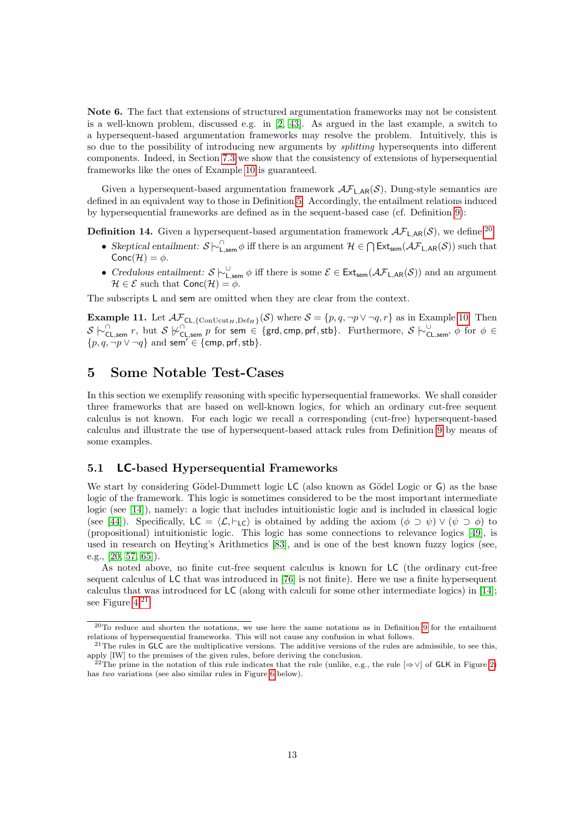<span id="page-12-0"></span>Note 6. The fact that extensions of structured argumentation frameworks may not be consistent is a well-known problem, discussed e.g. in [\[2,](#page-41-5) [43\]](#page-43-3). As argued in the last example, a switch to a hypersequent-based argumentation frameworks may resolve the problem. Intuitively, this is so due to the possibility of introducing new arguments by *splitting* hypersequents into different components. Indeed, in Section [7.3](#page-27-0) we show that the consistency of extensions of hypersequential frameworks like the ones of Example [10](#page-11-0) is guaranteed.

Given a hypersequent-based argumentation framework  $\mathcal{AF}_{L,AR}(\mathcal{S})$ , Dung-style semantics are defined in an equivalent way to those in Definition [5.](#page-3-8) Accordingly, the entailment relations induced by hypersequential frameworks are defined as in the sequent-based case (cf. Definition [9\)](#page-6-5):

<span id="page-12-5"></span>**Definition 14.** Given a hypersequent-based argumentation framework  $\mathcal{AF}_{LAR}(S)$ , we define:<sup>[20](#page-12-2)</sup>

- Skeptical entailment:  $S \sim \bigcap_{k=1}^{n} \phi$  iff there is an argument  $\mathcal{H} \in \bigcap \mathsf{Ext}_{sem}(\mathcal{AF}_{L,AR}(\mathcal{S}))$  such that  $Conc(\mathcal{H}) = \phi$ .
- Credulous entailment:  $S \n\vdash_{\mathsf{L,sem}}^{\cup} \phi$  iff there is some  $\mathcal{E} \in \mathsf{Ext}_{sem}(\mathcal{AF}_{\mathsf{L,AR}}(\mathcal{S}))$  and an argument  $\mathcal{H} \in \mathcal{E} \text{ such that } \mathsf{Conc}(\mathcal{H}) = \phi.$

The subscripts L and sem are omitted when they are clear from the context.

<span id="page-12-6"></span>**Example 11.** Let  $\mathcal{AF}_{\text{CL}, \{\text{ConUcut}_H, \text{Def}_H\}}(\mathcal{S})$  where  $\mathcal{S} = \{p, q, \neg p \lor \neg q, r\}$  as in Example [10.](#page-11-0) Then  $S \n\vdash_{\mathsf{CL,sem}}^{\cap} r$ , but  $S \not\vdash_{\mathsf{CL,sem}}^{\cap} p$  for sem  $\in \{\text{grd,cmp, prf, stb}\}.$  Furthermore,  $S \n\vdash_{\mathsf{CL,sem}}^{\cup} \phi$  for  $\phi \in$  $\{p, q, \neg p \vee \neg q\}$  and sem<sup>'</sup>  $\in$  {cmp, prf, stb}.

## <span id="page-12-1"></span>5 Some Notable Test-Cases

In this section we exemplify reasoning with specific hypersequential frameworks. We shall consider three frameworks that are based on well-known logics, for which an ordinary cut-free sequent calculus is not known. For each logic we recall a corresponding (cut-free) hypersequent-based calculus and illustrate the use of hypersequent-based attack rules from Definition [9](#page-10-0) by means of some examples.

### 5.1 LC-based Hypersequential Frameworks

We start by considering Gödel-Dummett logic  $\mathsf{LC}$  (also known as Gödel Logic or  $\mathsf{G}$ ) as the base logic of the framework. This logic is sometimes considered to be the most important intermediate logic (see [\[14\]](#page-41-9)), namely: a logic that includes intuitionistic logic and is included in classical logic (see [\[44\]](#page-43-8)). Specifically,  $LC = \langle \mathcal{L}, \vdash_{LC} \rangle$  is obtained by adding the axiom  $(\phi \supset \psi) \vee (\psi \supset \phi)$  to (propositional) intuitionistic logic. This logic has some connections to relevance logics [\[49\]](#page-44-5), is used in research on Heyting's Arithmetics [\[83\]](#page-45-8), and is one of the best known fuzzy logics (see, e.g., [\[20,](#page-42-6) [57,](#page-44-6) [65\]](#page-44-4)).

As noted above, no finite cut-free sequent calculus is known for LC (the ordinary cut-free sequent calculus of LC that was introduced in [\[76\]](#page-45-9) is not finite). Here we use a finite hypersequent calculus that was introduced for LC (along with calculi for some other intermediate logics) in [\[14\]](#page-41-9); see Figure [4.](#page-13-0)<sup>[21](#page-12-3)</sup>

<span id="page-12-2"></span><sup>20</sup>To reduce and shorten the notations, we use here the same notations as in Definition [9](#page-6-5) for the entailment relations of hypersequential frameworks. This will not cause any confusion in what follows.

<span id="page-12-3"></span> $21$ The rules in GLC are the multiplicative versions. The additive versions of the rules are admissible, to see this, apply [IW] to the premises of the given rules, before deriving the conclusion.

<span id="page-12-4"></span><sup>&</sup>lt;sup>2</sup>The prime in the notation of this rule indicates that the rule (unlike, e.g., the rule  $[\Rightarrow \vee]$  of GLK in Figure [2\)](#page-8-1) has two variations (see also similar rules in Figure [6](#page-18-1) below).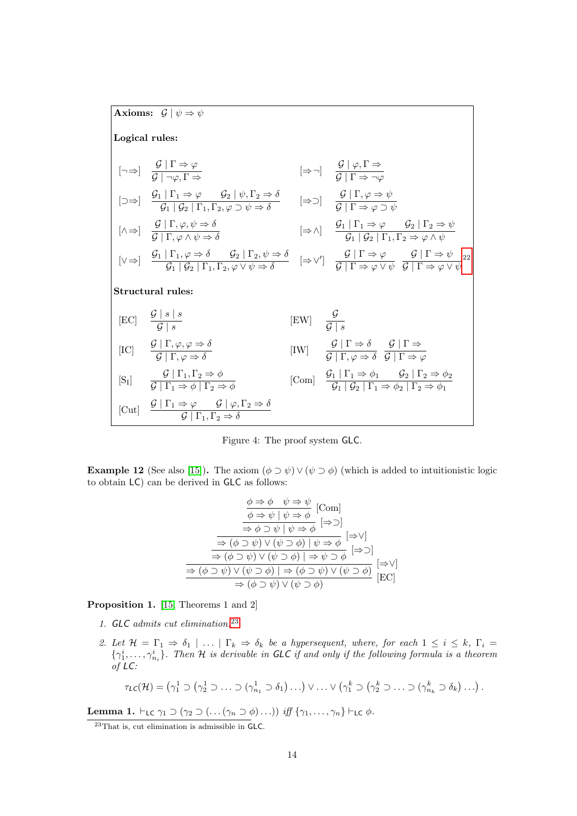Axioms:  $\mathcal{G} | \psi \Rightarrow \psi$ 

Logical rules:

| Example 1.1                 |                                                                                                                                                                           |                         |                                                                                                                                                              |
|-----------------------------|---------------------------------------------------------------------------------------------------------------------------------------------------------------------------|-------------------------|--------------------------------------------------------------------------------------------------------------------------------------------------------------|
| $[-\Rightarrow]$            | $\frac{G \mid \Gamma \Rightarrow \varphi}{G \mid \neg \varphi, \Gamma \Rightarrow}$                                                                                       | $[\Rightarrow \neg]$    | $\frac{G \mid \varphi, \Gamma \Rightarrow}{G \mid \Gamma \Rightarrow \neg \varphi}$                                                                          |
| $[\Rightarrow \Rightarrow]$ | $\frac{G_1 \mid \Gamma_1 \Rightarrow \varphi}{G_1 \mid G_2 \mid \Gamma_1, \Gamma_2, \varphi \supset \psi \Rightarrow \delta}$                                             | $[\Rightarrow \supset]$ | $\frac{G \mid \Gamma, \varphi \Rightarrow \psi}{G \mid \Gamma \Rightarrow \varphi \supset \psi}$                                                             |
| $[\land \Rightarrow]$       | $\frac{G \mid \Gamma, \varphi, \psi \Rightarrow \delta}{G \mid \Gamma, \varphi \land \psi \Rightarrow \delta}$                                                            | $[\Rightarrow \land]$   | $\frac{G_1 \mid \Gamma_1 \Rightarrow \varphi \quad G_2 \mid \Gamma_2 \Rightarrow \psi}{G_1 \mid G_2 \mid \Gamma_1, \Gamma_2 \Rightarrow \varphi \land \psi}$ |
| $[\lor \Rightarrow]$        | $\frac{G_1 \mid \Gamma_1, \varphi \Rightarrow \delta \quad G_2 \mid \Gamma_2, \psi \Rightarrow \delta}{G_1 \mid G_2 \mid \Gamma_2, \varphi \lor \psi \Rightarrow \delta}$ | $[\Rightarrow \lor']$   | $\frac{G \mid \Gamma \Rightarrow \varphi \quad G \mid \Gamma \Rightarrow \psi}{G \mid \Gamma \Rightarrow \varphi \lor \psi}$                                 |
| <b>Structural rules:</b>    |                                                                                                                                                                           |                         |                                                                                                                                                              |
| $[\text{EC}]$               | $\frac{G \mid s \mid s}{G \mid s}$                                                                                                                                        | $[\text{EW}]$           | $\frac{G}{G \mid s}$                                                                                                                                         |
| $[\text{IC}]$               | $\frac{G \mid \Gamma, \varphi, \varphi \Rightarrow \delta}{G \mid \Gamma, \varphi \Rightarrow \delta}$                                                                    | $[\text{IW}]$           | $\frac{G \mid \Gamma \Rightarrow \delta$                                                                                                                     |

<span id="page-13-0"></span>Figure 4: The proof system GLC.

**Example 12** (See also [\[15\]](#page-41-8)). The axiom  $(\phi \supset \psi) \vee (\psi \supset \phi)$  (which is added to intuitionistic logic to obtain LC) can be derived in GLC as follows:

$$
\frac{\phi \Rightarrow \phi \quad \psi \Rightarrow \psi}{\phi \Rightarrow \psi \mid \psi \Rightarrow \phi} [\text{Com}]
$$
\n
$$
\frac{\phi \Rightarrow \psi \mid \psi \Rightarrow \phi}{\Rightarrow \phi \supset \psi \mid \psi \Rightarrow \phi} [\Rightarrow \supset]
$$
\n
$$
\frac{\Rightarrow (\phi \supset \psi) \vee (\psi \supset \phi) \mid \psi \Rightarrow \phi}{\Rightarrow (\phi \supset \psi) \vee (\psi \supset \phi) \mid \Rightarrow \psi \supset \phi} [\Rightarrow \supset]
$$
\n
$$
\frac{\Rightarrow (\phi \supset \psi) \vee (\psi \supset \phi) \mid \Rightarrow (\phi \supset \psi) \vee (\psi \supset \phi)}{\Rightarrow (\phi \supset \psi) \vee (\psi \supset \phi)} [\Rightarrow \supseteq]
$$
\n[EC]

<span id="page-13-2"></span>Proposition 1. [\[15,](#page-41-8) Theorems 1 and 2]

- 1. GLC admits cut elimination.[23](#page-13-1)
- <span id="page-13-3"></span>2. Let  $\mathcal{H} = \Gamma_1 \Rightarrow \delta_1 \mid \ldots \mid \Gamma_k \Rightarrow \delta_k$  be a hypersequent, where, for each  $1 \leq i \leq k$ ,  $\Gamma_i =$  $\{\gamma_1^i,\ldots,\gamma_{n_i}^i\}$ . Then H is derivable in GLC if and only if the following formula is a theorem of LC:

$$
\tau_{\mathsf{LC}}(\mathcal{H}) = \left(\gamma_1^1 \supset (\gamma_2^1 \supset \ldots \supset (\gamma_{n_1}^1 \supset \delta_1) \ldots) \vee \ldots \vee (\gamma_1^k \supset (\gamma_2^k \supset \ldots \supset (\gamma_{n_k}^k \supset \delta_k) \ldots)\right).
$$

<span id="page-13-4"></span>**Lemma 1.**  $\vdash_{\mathsf{LC}} \gamma_1 \supset (\gamma_2 \supset (\dots(\gamma_n \supset \phi) \dots))$  iff  $\{\gamma_1, \dots, \gamma_n\} \vdash_{\mathsf{LC}} \phi$ .

<span id="page-13-1"></span><sup>23</sup>That is, cut elimination is admissible in GLC.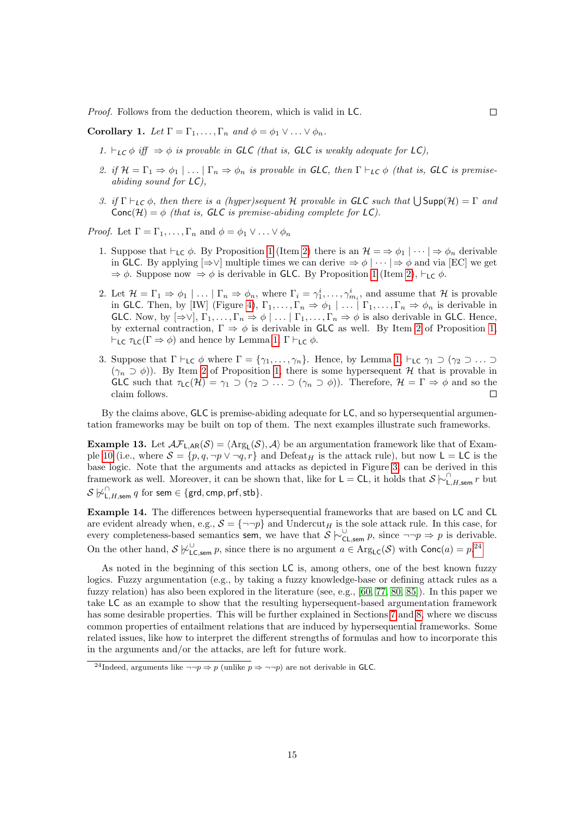Proof. Follows from the deduction theorem, which is valid in LC.

Corollary 1. Let  $\Gamma = \Gamma_1, \ldots, \Gamma_n$  and  $\phi = \phi_1 \vee \ldots \vee \phi_n$ .

- 1.  $\vdash_{LC} \phi$  iff  $\Rightarrow \phi$  is provable in GLC (that is, GLC is weakly adequate for LC),
- 2. if  $\mathcal{H} = \Gamma_1 \Rightarrow \phi_1 \mid \ldots \mid \Gamma_n \Rightarrow \phi_n$  is provable in GLC, then  $\Gamma \vdash_{LC} \phi$  (that is, GLC is premiseabiding sound for LC),
- 3. if  $\Gamma \vdash_{LC} \phi$ , then there is a (hyper)sequent H provable in GLC such that  $\bigcup \text{Supp}(\mathcal{H}) = \Gamma$  and  $Conc(\mathcal{H}) = \phi$  (that is, GLC is premise-abiding complete for LC).

*Proof.* Let  $\Gamma = \Gamma_1, \ldots, \Gamma_n$  and  $\phi = \phi_1 \vee \ldots \vee \phi_n$ 

- 1. Suppose that  $\vdash_{LC} \phi$ . By Proposition [1](#page-13-2) (Item [2\)](#page-13-3) there is an  $\mathcal{H} = \Rightarrow \phi_1 \mid \cdots \mid \Rightarrow \phi_n$  derivable in GLC. By applying  $[\Rightarrow \vee]$  multiple times we can derive  $\Rightarrow \phi | \cdots | \Rightarrow \phi$  and via [EC] we get  $\Rightarrow \phi$ . Suppose now  $\Rightarrow \phi$  is derivable in GLC. By Proposition [1](#page-13-2) (Item [2\)](#page-13-3),  $\vdash_{LC} \phi$ .
- 2. Let  $\mathcal{H} = \Gamma_1 \Rightarrow \phi_1 \mid \ldots \mid \Gamma_n \Rightarrow \phi_n$ , where  $\Gamma_i = \gamma_1^i, \ldots, \gamma_{m_i}^i$ , and assume that  $\mathcal{H}$  is provable in GLC. Then, by [IW] (Figure [4\)](#page-13-0),  $\Gamma_1, \ldots, \Gamma_n \Rightarrow \phi_1 \mid \ldots \mid \Gamma_1, \ldots, \Gamma_n \Rightarrow \phi_n$  is derivable in GLC. Now, by  $[\Rightarrow\vee], \Gamma_1,\ldots,\Gamma_n \Rightarrow \phi \mid \ldots \mid \Gamma_1,\ldots,\Gamma_n \Rightarrow \phi$  is also derivable in GLC. Hence, by external contraction,  $\Gamma \Rightarrow \phi$  is derivable in GLC as well. By Item [2](#page-13-3) of Proposition [1,](#page-13-2)  $\vdash_{LC} \tau_{LC}(\Gamma \Rightarrow \phi)$  and hence by Lemma [1,](#page-13-4)  $\Gamma \vdash_{LC} \phi$ .
- 3. Suppose that  $\Gamma \vdash_{LC} \phi$  where  $\Gamma = \{\gamma_1, \ldots, \gamma_n\}$ . Hence, by Lemma [1,](#page-13-4)  $\vdash_{LC} \gamma_1 \supset (\gamma_2 \supset \ldots \supset \phi_n)$  $(\gamma_n \supset \phi)$ ). By Item [2](#page-13-3) of Proposition [1,](#page-13-2) there is some hypersequent H that is provable in GLC such that  $\tau_{\text{LC}}(\mathcal{H}) = \gamma_1 \supset (\gamma_2 \supset \ldots \supset (\gamma_n \supset \phi)).$  Therefore,  $\mathcal{H} = \Gamma \Rightarrow \phi$  and so the claim follows.  $\Box$

By the claims above, GLC is premise-abiding adequate for LC, and so hypersequential argumentation frameworks may be built on top of them. The next examples illustrate such frameworks.

**Example 13.** Let  $\mathcal{AF}_{L,AR}(\mathcal{S}) = \langle \text{Arg}_L(\mathcal{S}), \mathcal{A} \rangle$  be an argumentation framework like that of Exam-ple [10](#page-11-0) (i.e., where  $S = \{p, q, \neg p \vee \neg q, r\}$  and Defeat<sub>H</sub> is the attack rule), but now  $L = LC$  is the base logic. Note that the arguments and attacks as depicted in Figure [3,](#page-11-2) can be derived in this framework as well. Moreover, it can be shown that, like for  $\mathsf{L} = \mathsf{CL}$ , it holds that  $\mathcal{S} \models_{\mathsf{L},H,\mathsf{sem}}^{\cap} r$  but  $\mathcal{S} \not\!\!\!\sim_{\mathsf{L},H,\mathsf{sem}}^{\cap} q$  for sem  $\in \{\mathsf{grd},\mathsf{cmp},\mathsf{prf},\mathsf{stb}\}.$ 

Example 14. The differences between hypersequential frameworks that are based on LC and CL are evident already when, e.g.,  $S = \{\neg \neg p\}$  and Undercut<sub>H</sub> is the sole attack rule. In this case, for every completeness-based semantics sem, we have that  $\overline{S} \models_{\mathsf{CL,sem}}^{\cup} p$ , since  $\neg\neg p \Rightarrow p$  is derivable. On the other hand,  $S \not\vdash^{\cup}_{\mathsf{LC,sem}} p$ , since there is no argument  $a \in \mathrm{Arg}_{\mathsf{LC}}(S)$  with  $\mathrm{Conc}(a) = p^{24}$  $\mathrm{Conc}(a) = p^{24}$  $\mathrm{Conc}(a) = p^{24}$ 

As noted in the beginning of this section LC is, among others, one of the best known fuzzy logics. Fuzzy argumentation (e.g., by taking a fuzzy knowledge-base or defining attack rules as a fuzzy relation) has also been explored in the literature (see, e.g., [\[60,](#page-44-7) [77,](#page-45-10) [80,](#page-45-11) [85\]](#page-45-12)). In this paper we take LC as an example to show that the resulting hypersequent-based argumentation framework has some desirable properties. This will be further explained in Sections [7](#page-24-0) and [8,](#page-36-0) where we discuss common properties of entailment relations that are induced by hypersequential frameworks. Some related issues, like how to interpret the different strengths of formulas and how to incorporate this in the arguments and/or the attacks, are left for future work.

<span id="page-14-0"></span><sup>&</sup>lt;sup>24</sup>Indeed, arguments like  $\neg\neg p \Rightarrow p$  (unlike  $p \Rightarrow \neg\neg p$ ) are not derivable in GLC.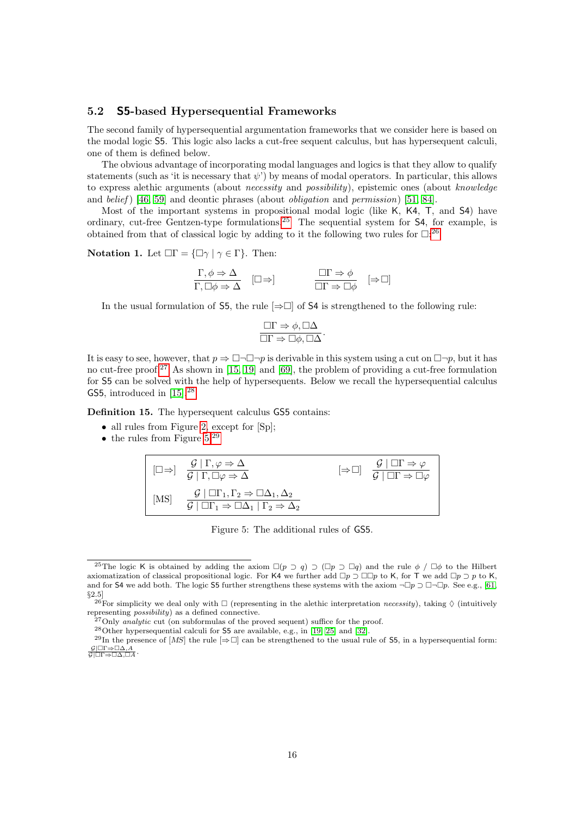### 5.2 S5-based Hypersequential Frameworks

The second family of hypersequential argumentation frameworks that we consider here is based on the modal logic S5. This logic also lacks a cut-free sequent calculus, but has hypersequent calculi, one of them is defined below.

The obvious advantage of incorporating modal languages and logics is that they allow to qualify statements (such as 'it is necessary that  $\psi$ ) by means of modal operators. In particular, this allows to express alethic arguments (about necessity and possibility), epistemic ones (about knowledge and belief)  $[46, 59]$  $[46, 59]$  and deontic phrases (about *obligation* and *permission*)  $[51, 84]$  $[51, 84]$ .

Most of the important systems in propositional modal logic (like K, K4, T, and S4) have ordinary, cut-free Gentzen-type formulations.[25](#page-15-0) The sequential system for S4, for example, is obtained from that of classical logic by adding to it the following two rules for  $\Box^{26}$  $\Box^{26}$  $\Box^{26}$ 

Notation 1. Let  $\Box \Gamma = {\Box \gamma \mid \gamma \in \Gamma}$ . Then:

$$
\frac{\Gamma, \phi \Rightarrow \Delta}{\Gamma, \Box \phi \Rightarrow \Delta} \quad [\Box \Rightarrow] \qquad \qquad \frac{\Box \Gamma \Rightarrow \phi}{\Box \Gamma \Rightarrow \Box \phi} \quad [\Rightarrow \Box]
$$

In the usual formulation of S5, the rule  $[\Rightarrow \Box]$  of S4 is strengthened to the following rule:

$$
\frac{\Box \Gamma \Rightarrow \phi, \Box \Delta}{\Box \Gamma \Rightarrow \Box \phi, \Box \Delta}.
$$

It is easy to see, however, that  $p \Rightarrow \Box \neg \Box \neg p$  is derivable in this system using a cut on  $\Box \neg p$ , but it has no cut-free proof.[27](#page-15-2) As shown in [\[15,](#page-41-8) [19\]](#page-42-7) and [\[69\]](#page-45-1), the problem of providing a cut-free formulation for S5 can be solved with the help of hypersequents. Below we recall the hypersequential calculus GS5, introduced in  $[15]$ .<sup>[28](#page-15-3)</sup>

Definition 15. The hypersequent calculus GS5 contains:

- all rules from Figure [2,](#page-8-1) except for  $[Sp]$ ;
- the rules from Figure  $5.^{29}$  $5.^{29}$  $5.^{29}$

$$
\begin{array}{|c|c|c|c|}\n\hline\n\text{[} \Box \Rightarrow \text{]} & \frac{\mathcal{G} \mid \Gamma, \varphi \Rightarrow \Delta}{\mathcal{G} \mid \Gamma, \Box \varphi \Rightarrow \Delta} & \text{[} \Rightarrow \Box \text{]} & \frac{\mathcal{G} \mid \Box \Gamma \Rightarrow \varphi}{\mathcal{G} \mid \Box \Gamma \Rightarrow \Box \varphi} \\
\hline\n\text{[MS]} & \frac{\mathcal{G} \mid \Box \Gamma_1, \Gamma_2 \Rightarrow \Box \Delta_1, \Delta_2}{\mathcal{G} \mid \Box \Gamma_1 \Rightarrow \Box \Delta_1 \mid \Gamma_2 \Rightarrow \Delta_2}\n\end{array}
$$

<span id="page-15-4"></span>Figure 5: The additional rules of GS5.

<span id="page-15-0"></span><sup>&</sup>lt;sup>25</sup>The logic K is obtained by adding the axiom  $\Box(p \supset q) \supset (\Box p \supset \Box q)$  and the rule  $\phi / \Box \phi$  to the Hilbert axiomatization of classical propositional logic. For K4 we further add  $\Box p \supset \Box \Box p$  to K, for T we add  $\Box p \supset p$  to K, and for S4 we add both. The logic S5 further strengthens these systems with the axiom  $\neg \Box p \supset \Box \neg \Box p$ . See e.g., [\[61,](#page-44-10) §2.5]<br><sup>26</sup>For simplicity we deal only with  $\Box$  (representing in the alethic interpretation *necessity*), taking  $\Diamond$  (intuitively

<span id="page-15-1"></span>representing possibility) as a defined connective.

<span id="page-15-2"></span> $^{27}$ Only *analytic* cut (on subformulas of the proved sequent) suffice for the proof.

<span id="page-15-5"></span><span id="page-15-3"></span><sup>28</sup>Other hypersequential calculi for S5 are available, e.g., in [\[19,](#page-42-7) [25\]](#page-42-8) and [\[32\]](#page-43-10).

<sup>&</sup>lt;sup>29</sup>In the presence of [MS] the rule  $[\Rightarrow \Box]$  can be strengthened to the usual rule of 55, in a hypersequential form:  $\frac{\mathcal{G}|\Box\Gamma\Rightarrow\Box\Delta,A}{\mathcal{G}|\Box\Gamma\Rightarrow\Box\Delta,\Box A}.$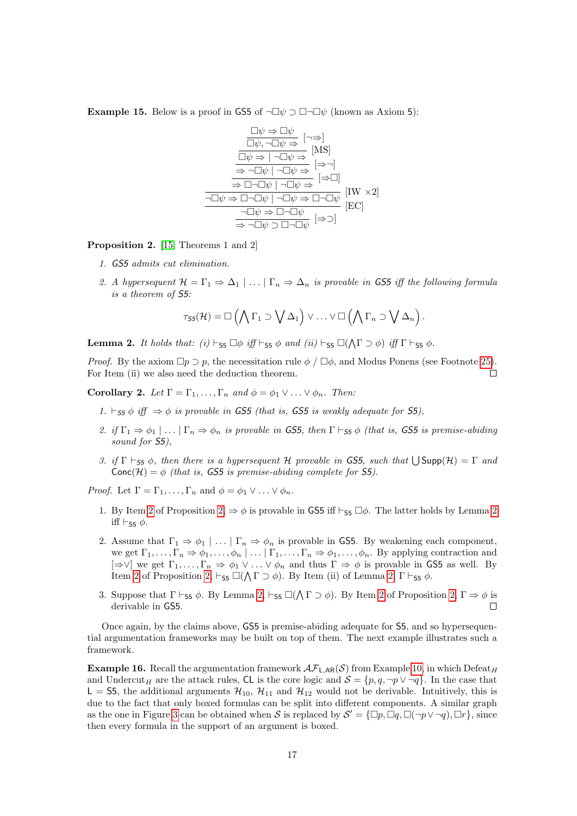**Example 15.** Below is a proof in GS5 of  $\neg \Box \psi \supset \Box \neg \Box \psi$  (known as Axiom 5):

$$
\frac{\Box \psi \Rightarrow \Box \psi}{\Box \psi, \neg \Box \psi \Rightarrow} [\neg \Rightarrow]
$$
\n
$$
\frac{\Box \psi \Rightarrow \Box \psi}{\Box \psi \Rightarrow [\neg \Box \psi \Rightarrow} [\text{MS}]
$$
\n
$$
\Rightarrow \neg \Box \psi \mid \neg \Box \psi \Rightarrow [\Rightarrow \neg]
$$
\n
$$
\frac{\neg \Box \psi \Rightarrow \Box \neg \Box \psi}{\Diamond \neg \Box \psi \Rightarrow \Box \neg \Box \psi} [\Rightarrow \Box]
$$
\n
$$
\frac{\neg \Box \psi \Rightarrow \Box \neg \Box \psi \mid \neg \Box \psi \Rightarrow \Box \neg \Box \psi}{\neg \Box \psi \Rightarrow \Box \neg \Box \psi} [\text{EC}]
$$
\n
$$
\frac{\neg \Box \psi \Rightarrow \Box \neg \Box \psi}{\Rightarrow \neg \Box \psi \Rightarrow \Box \neg \Box \psi} [\Rightarrow \supset]
$$

<span id="page-16-1"></span>Proposition 2. [\[15,](#page-41-8) Theorems 1 and 2]

- 1. GS5 admits cut elimination.
- <span id="page-16-0"></span>2. A hypersequent  $\mathcal{H} = \Gamma_1 \Rightarrow \Delta_1 \mid \ldots \mid \Gamma_n \Rightarrow \Delta_n$  is provable in GS5 iff the following formula is a theorem of S5:

$$
\tau_{\mathsf{S5}}(\mathcal{H}) = \square \left( \bigwedge \Gamma_1 \supset \bigvee \Delta_1 \right) \vee \ldots \vee \square \left( \bigwedge \Gamma_n \supset \bigvee \Delta_n \right).
$$

<span id="page-16-2"></span>**Lemma 2.** It holds that: (i)  $\vdash_{\mathsf{S5}} \Box \phi$  iff  $\vdash_{\mathsf{S5}} \phi$  and (ii)  $\vdash_{\mathsf{S5}} \Box (\bigwedge \Gamma \supset \phi)$  iff  $\Gamma \vdash_{\mathsf{S5}} \phi$ .

*Proof.* By the axiom  $\Box p \supset p$ , the necessitation rule  $\phi / \Box \phi$ , and Modus Ponens (see Footnote [25\)](#page-15-0). For Item (ii) we also need the deduction theorem.  $\Box$ 

Corollary 2. Let  $\Gamma = \Gamma_1, \ldots, \Gamma_n$  and  $\phi = \phi_1 \vee \ldots \vee \phi_n$ . Then:

- 1.  $\vdash$   $\varsigma$ 5  $\phi$  iff  $\Rightarrow$   $\phi$  is provable in GS5 (that is, GS5 is weakly adequate for S5).
- 2. if  $\Gamma_1 \Rightarrow \phi_1 | \dots | \Gamma_n \Rightarrow \phi_n$  is provable in GS5, then  $\Gamma \vdash_{\mathsf{S5}} \phi$  (that is, GS5 is premise-abiding sound for  $\mathsf{S5}$ ).
- 3. if  $\Gamma \vdash_{\mathsf{S5}} \phi$ , then there is a hypersequent H provable in GS5, such that  $\bigcup \mathsf{Supp}(\mathcal{H}) = \Gamma$  and  $Conc(\mathcal{H}) = \phi$  (that is, GS5 is premise-abiding complete for S5).

*Proof.* Let  $\Gamma = \Gamma_1, \ldots, \Gamma_n$  and  $\phi = \phi_1 \vee \ldots \vee \phi_n$ .

- 1. By Item [2](#page-16-2) of Proposition  $2, \Rightarrow \phi$  is provable in GS5 iff  $\vdash_{\mathsf{SS}} \Box \phi$ . The latter holds by Lemma 2 iff  $\vdash_{\mathsf{S5}} \phi$ .
- 2. Assume that  $\Gamma_1 \Rightarrow \phi_1 \mid \ldots \mid \Gamma_n \Rightarrow \phi_n$  is provable in GS5. By weakening each component, we get  $\Gamma_1,\ldots,\Gamma_n \Rightarrow \phi_1,\ldots,\phi_n \mid \ldots \mid \Gamma_1,\ldots,\Gamma_n \Rightarrow \phi_1,\ldots,\phi_n$ . By applying contraction and  $[\Rightarrow \vee]$  we get  $\Gamma_1, \ldots, \Gamma_n \Rightarrow \phi_1 \vee \ldots \vee \phi_n$  and thus  $\Gamma \Rightarrow \phi$  is provable in GS5 as well. By Item [2](#page-16-0) of Proposition [2,](#page-16-2)  $\vdash_{\mathsf{S5}} \Box(\bigwedge \Gamma \supset \phi)$ . By Item (ii) of Lemma 2,  $\Gamma \vdash_{\mathsf{S5}} \phi$ .
- 3. Suppose that  $\Gamma \vdash_{\mathsf{S}_5} \phi$ . By Lemma [2,](#page-16-1)  $\vdash_{\mathsf{S}_5} \Box(\bigwedge \Gamma \supset \phi)$ . By Item [2](#page-16-0) of Proposition 2,  $\Gamma \Rightarrow \phi$  is derivable in GS5.  $\Box$

Once again, by the claims above, GS5 is premise-abiding adequate for S5, and so hypersequential argumentation frameworks may be built on top of them. The next example illustrates such a framework.

<span id="page-16-3"></span>**Example 16.** Recall the argumentation framework  $\mathcal{AF}_{L,AR}(\mathcal{S})$  from Example [10,](#page-11-0) in which Defeat<sub>H</sub> and Undercut<sub>H</sub> are the attack rules, CL is the core logic and  $\mathcal{S} = \{p, q, \neg p \lor \neg q\}$ . In the case that  $L = 55$ , the additional arguments  $\mathcal{H}_{10}$ ,  $\mathcal{H}_{11}$  and  $\mathcal{H}_{12}$  would not be derivable. Intuitively, this is due to the fact that only boxed formulas can be split into different components. A similar graph as the one in Figure [3](#page-11-2) can be obtained when S is replaced by  $S' = \{\Box p, \Box q, \Box (\neg p \vee \neg q), \Box r\}$ , since then every formula in the support of an argument is boxed.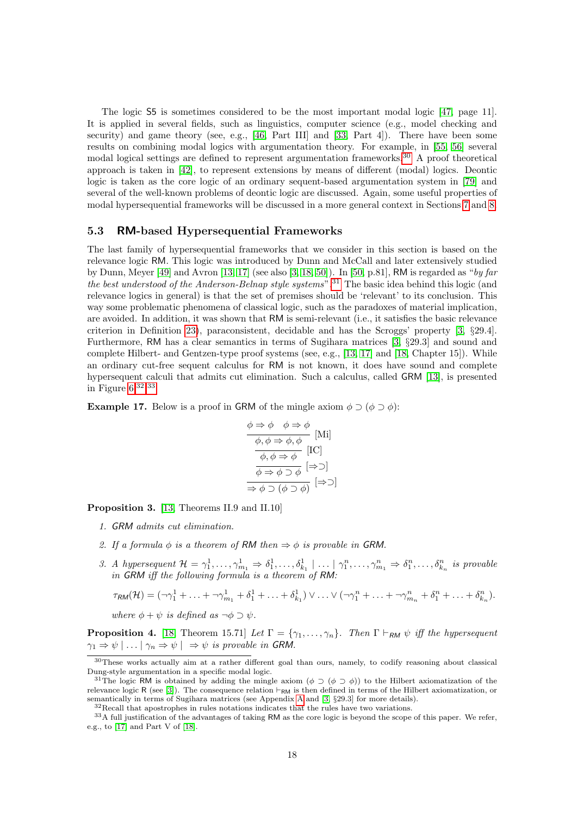The logic S5 is sometimes considered to be the most important modal logic [\[47,](#page-43-11) page 11]. It is applied in several fields, such as linguistics, computer science (e.g., model checking and security) and game theory (see, e.g., [\[46,](#page-43-9) Part III] and [\[33,](#page-43-12) Part 4]). There have been some results on combining modal logics with argumentation theory. For example, in [\[55,](#page-44-11) [56\]](#page-44-12) several modal logical settings are defined to represent argumentation frameworks.[30](#page-17-0) A proof theoretical approach is taken in [\[42\]](#page-43-13), to represent extensions by means of different (modal) logics. Deontic logic is taken as the core logic of an ordinary sequent-based argumentation system in [\[79\]](#page-45-7) and several of the well-known problems of deontic logic are discussed. Again, some useful properties of modal hypersequential frameworks will be discussed in a more general context in Sections [7](#page-24-0) and [8.](#page-36-0)

### 5.3 RM-based Hypersequential Frameworks

The last family of hypersequential frameworks that we consider in this section is based on the relevance logic RM. This logic was introduced by Dunn and McCall and later extensively studied by Dunn, Meyer [\[49\]](#page-44-5) and Avron [\[13,](#page-41-3) [17\]](#page-42-9) (see also [\[3,](#page-41-10) [18,](#page-42-10) [50\]](#page-44-13)). In [\[50,](#page-44-13) p.81], RM is regarded as "by far the best understood of the Anderson-Belnap style systems".<sup>[31](#page-17-1)</sup> The basic idea behind this logic (and relevance logics in general) is that the set of premises should be 'relevant' to its conclusion. This way some problematic phenomena of classical logic, such as the paradoxes of material implication, are avoided. In addition, it was shown that RM is semi-relevant (i.e., it satisfies the basic relevance criterion in Definition [23\)](#page-33-0), paraconsistent, decidable and has the Scroggs' property [\[3,](#page-41-10) §29.4]. Furthermore, RM has a clear semantics in terms of Sugihara matrices [\[3,](#page-41-10) §29.3] and sound and complete Hilbert- and Gentzen-type proof systems (see, e.g., [\[13,](#page-41-3) [17\]](#page-42-9) and [\[18,](#page-42-10) Chapter 15]). While an ordinary cut-free sequent calculus for RM is not known, it does have sound and complete hypersequent calculi that admits cut elimination. Such a calculus, called GRM [\[13\]](#page-41-3), is presented in Figure  $6^{32,33}$  $6^{32,33}$  $6^{32,33}$  $6^{32,33}$  $6^{32,33}$ 

**Example 17.** Below is a proof in GRM of the mingle axiom  $\phi \supset (\phi \supset \phi)$ :

$$
\begin{array}{c}\n\phi \Rightarrow \phi \quad \phi \Rightarrow \phi \\
\hline\n\phi, \phi \Rightarrow \phi, \phi \quad \text{[Mi]} \\
\hline\n\phi, \phi \Rightarrow \phi \quad \text{[IC]} \\
\hline\n\phi \Rightarrow \phi \Rightarrow \phi \quad \text{[}\Rightarrow \text{]} \\
\hline\n\phi \Rightarrow \phi \Rightarrow \phi \quad \text{[}\Rightarrow \text{]} \\
\hline\n\Rightarrow \phi \Rightarrow (\phi \Rightarrow \phi) \quad \text{[}\Rightarrow \text{]} \\
\hline\n\end{array}
$$

<span id="page-17-4"></span>Proposition 3. [\[13,](#page-41-3) Theorems II.9 and II.10]

- 1. GRM admits cut elimination.
- 2. If a formula  $\phi$  is a theorem of RM then  $\Rightarrow \phi$  is provable in GRM.
- 3. A hypersequent  $\mathcal{H} = \gamma_1^1, \ldots, \gamma_{m_1}^1 \Rightarrow \delta_1^1, \ldots, \delta_{k_1}^1 \mid \ldots \mid \gamma_1^n, \ldots, \gamma_{m_1}^n \Rightarrow \delta_1^n, \ldots, \delta_{k_n}^n$  is provable in GRM iff the following formula is a theorem of RM:

$$
\tau_{RM}(\mathcal{H})=(\neg \gamma_1^1+\ldots+\neg \gamma_{m_1}^1+\delta_1^1+\ldots+\delta_{k_1}^1)\vee \ldots \vee (\neg \gamma_1^n+\ldots+\neg \gamma_{m_n}^n+\delta_1^n+\ldots+\delta_{k_n}^n).
$$

where  $\phi + \psi$  is defined as  $\neg \phi \supset \psi$ .

**Proposition 4.** [\[18,](#page-42-10) Theorem 15.71] Let  $\Gamma = \{\gamma_1, \ldots, \gamma_n\}$ . Then  $\Gamma \vdash_{\mathsf{R}M} \psi$  iff the hypersequent  $\gamma_1 \Rightarrow \psi \mid \ldots \mid \gamma_n \Rightarrow \psi \mid \Rightarrow \psi$  is provable in GRM.

<span id="page-17-0"></span><sup>&</sup>lt;sup>30</sup>These works actually aim at a rather different goal than ours, namely, to codify reasoning about classical Dung-style argumentation in a specific modal logic.

<span id="page-17-1"></span><sup>&</sup>lt;sup>31</sup>The logic RM is obtained by adding the mingle axiom ( $\phi \supset (\phi \supset \phi)$ ) to the Hilbert axiomatization of the relevance logic R (see [\[3\]](#page-41-10)). The consequence relation  $\vdash_{RM}$  is then defined in terms of the Hilbert axiomatization, or semantically in terms of Sugihara matrices (see Appendix [A](#page-46-0) and [\[3,](#page-41-10) §29.3] for more details).

<span id="page-17-3"></span><span id="page-17-2"></span><sup>32</sup>Recall that apostrophes in rules notations indicates that the rules have two variations.

<sup>&</sup>lt;sup>33</sup>A full justification of the advantages of taking RM as the core logic is beyond the scope of this paper. We refer, e.g., to [\[17\]](#page-42-9) and Part V of [\[18\]](#page-42-10).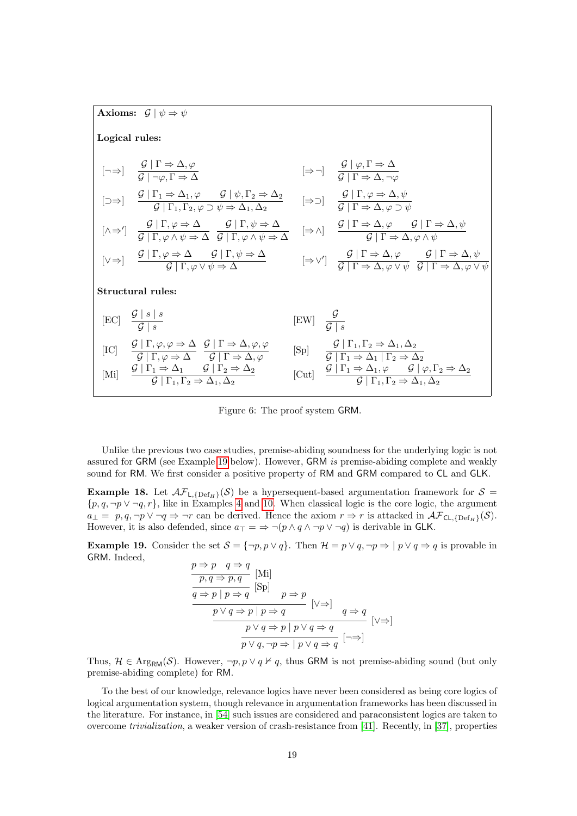Axioms: 
$$
\mathcal{G} | \psi \Rightarrow \psi
$$
  
\nLogical rules:  
\n
$$
[\neg \Rightarrow] \quad \frac{\mathcal{G} | \Gamma \Rightarrow \Delta, \varphi}{\mathcal{G} | \neg \varphi, \Gamma \Rightarrow \Delta} \qquad [\Rightarrow \neg] \quad \frac{\mathcal{G} | \varphi, \Gamma \Rightarrow \Delta}{\mathcal{G} | \Gamma \Rightarrow \Delta, \neg \varphi}
$$
\n
$$
[\neg \Rightarrow] \quad \frac{\mathcal{G} | \Gamma_1 \Rightarrow \Delta_1, \varphi \qquad \mathcal{G} | \psi, \Gamma_2 \Rightarrow \Delta_2}{\mathcal{G} | \Gamma_1, \Gamma_2, \varphi \supset \psi \Rightarrow \Delta_1, \Delta_2} \qquad [\Rightarrow \supset] \quad \frac{\mathcal{G} | \Gamma, \varphi \Rightarrow \Delta, \psi}{\mathcal{G} | \Gamma \Rightarrow \Delta, \varphi \supset \psi}
$$
\n
$$
[\wedge \Rightarrow'] \quad \frac{\mathcal{G} | \Gamma, \varphi \Rightarrow \Delta}{\mathcal{G} | \Gamma, \varphi \land \psi \Rightarrow \Delta} \quad \frac{\mathcal{G} | \Gamma, \psi \Rightarrow \Delta}{\mathcal{G} | \Gamma, \varphi \land \psi \Rightarrow \Delta} \qquad [\Rightarrow \wedge] \quad \frac{\mathcal{G} | \Gamma \Rightarrow \Delta, \varphi \qquad \mathcal{G} | \Gamma \Rightarrow \Delta, \psi}{\mathcal{G} | \Gamma \Rightarrow \Delta, \varphi \land \psi}
$$
\n
$$
[\vee \Rightarrow] \quad \frac{\mathcal{G} | \Gamma, \varphi \Rightarrow \Delta}{\mathcal{G} | \Gamma, \varphi \lor \psi \Rightarrow \Delta} \qquad [\Rightarrow \vee'] \quad \frac{\mathcal{G} | \Gamma \Rightarrow \Delta, \varphi \qquad \mathcal{G} | \Gamma \Rightarrow \Delta, \psi}{\mathcal{G} | \Gamma \Rightarrow \Delta, \varphi \lor \psi} \quad \frac{\mathcal{G} | \Gamma \Rightarrow \Delta, \varphi \lor \psi}{\mathcal{G} | \Gamma \Rightarrow \Delta, \varphi \lor \psi}
$$
\n
$$
\text{Structural rules:}
$$
\n
$$
[EC] \quad \frac{\mathcal{G} | \ s \mid s}{\mathcal{G} | s} \qquad [EW] \quad \frac{\mathcal{G} | \Gamma \Rightarrow \Delta, \varphi, \varphi}{\mathcal{G} | \Gamma \Rightarrow \Delta, \varphi} \qquad [Sp] \quad \frac{\mathcal{G}
$$

<span id="page-18-1"></span>Figure 6: The proof system GRM.

Unlike the previous two case studies, premise-abiding soundness for the underlying logic is not assured for GRM (see Example [19](#page-18-0) below). However, GRM is premise-abiding complete and weakly sound for RM. We first consider a positive property of RM and GRM compared to CL and GLK.

**Example 18.** Let  $\mathcal{AF}_{L, \{Def_H\}}(\mathcal{S})$  be a hypersequent-based argumentation framework for  $\mathcal{S} =$  $\{p, q, \neg p \lor \neg q, r\}$ , like in Examples [4](#page-6-2) and [10.](#page-11-0) When classical logic is the core logic, the argument  $a_{\perp} = p, q, \neg p \lor \neg q \Rightarrow \neg r$  can be derived. Hence the axiom  $r \Rightarrow r$  is attacked in  $\mathcal{AF}_{\mathsf{CL}\{\mathsf{Def}_{\mathbf{F}}\}}(\mathcal{S})$ . However, it is also defended, since  $a_{\top} = \Rightarrow \neg (p \land q \land \neg p \lor \neg q)$  is derivable in GLK.

<span id="page-18-0"></span>**Example 19.** Consider the set  $S = \{\neg p, p \lor q\}$ . Then  $\mathcal{H} = p \lor q, \neg p \Rightarrow |p \lor q \Rightarrow q$  is provable in GRM. Indeed,

$$
\frac{p \Rightarrow p \quad q \Rightarrow q}{p, q \Rightarrow p, q} \quad \text{[Mi]} \\
\frac{q \Rightarrow p \mid p \Rightarrow q}{p \lor q \Rightarrow p \mid p \Rightarrow q} \quad \text{[V \Rightarrow]} \\
\frac{p \lor q \Rightarrow p \mid p \Rightarrow q}{p \lor q \Rightarrow p \mid p \lor q \Rightarrow q} \quad \text{[V \Rightarrow]} \\
\frac{p \lor q \Rightarrow p \mid p \lor q \Rightarrow q}{p \lor q, \neg p \Rightarrow \mid p \lor q \Rightarrow q} \quad \text{[V \Rightarrow]}
$$

Thus,  $\mathcal{H} \in \text{Arg}_{\text{RM}}(\mathcal{S})$ . However,  $\neg p, p \lor q \nvdash q$ , thus GRM is not premise-abiding sound (but only premise-abiding complete) for RM.

To the best of our knowledge, relevance logics have never been considered as being core logics of logical argumentation system, though relevance in argumentation frameworks has been discussed in the literature. For instance, in [\[54\]](#page-44-14) such issues are considered and paraconsistent logics are taken to overcome trivialization, a weaker version of crash-resistance from [\[41\]](#page-43-6). Recently, in [\[37\]](#page-43-14), properties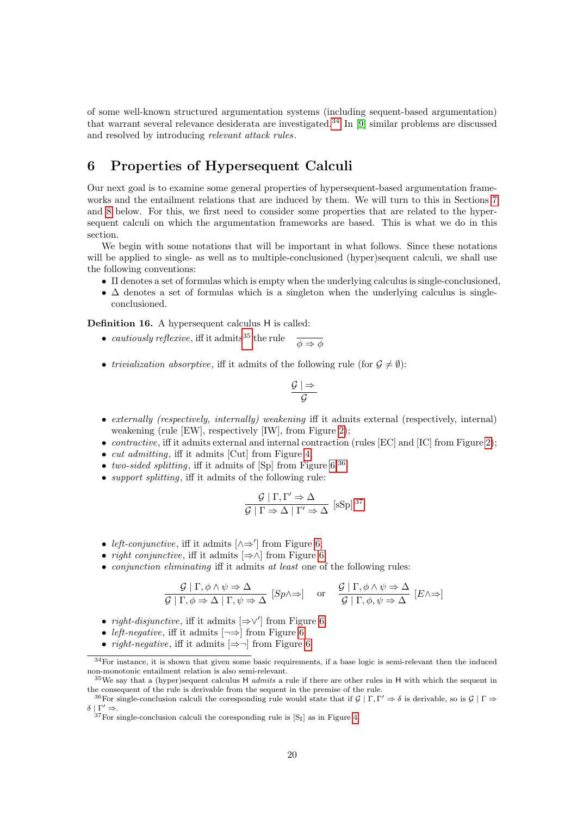of some well-known structured argumentation systems (including sequent-based argumentation) that warrant several relevance desiderata are investigated.[34](#page-19-1) In [\[9\]](#page-41-0) similar problems are discussed and resolved by introducing relevant attack rules.

## <span id="page-19-0"></span>6 Properties of Hypersequent Calculi

Our next goal is to examine some general properties of hypersequent-based argumentation frameworks and the entailment relations that are induced by them. We will turn to this in Sections [7](#page-24-0) and [8](#page-36-0) below. For this, we first need to consider some properties that are related to the hypersequent calculi on which the argumentation frameworks are based. This is what we do in this section.

We begin with some notations that will be important in what follows. Since these notations will be applied to single- as well as to multiple-conclusioned (hyper)sequent calculi, we shall use the following conventions:

- Π denotes a set of formulas which is empty when the underlying calculus is single-conclusioned,
- $\Delta$  denotes a set of formulas which is a singleton when the underlying calculus is singleconclusioned.

<span id="page-19-5"></span>Definition 16. A hypersequent calculus H is called:

- cautiously reflexive, iff it admits<sup>[35](#page-19-2)</sup> the rule  $\frac{1}{\phi \Rightarrow \phi}$
- *trivialization absorptive*, iff it admits of the following rule (for  $\mathcal{G} \neq \emptyset$ ):

$$
\frac{\mathcal{G}\mid \Rightarrow}{\mathcal{G}}
$$

- externally (respectively, internally) weakening iff it admits external (respectively, internal) weakening (rule [EW], respectively [IW], from Figure [2\)](#page-8-1);
- *contractive*, iff it admits external and internal contraction (rules  $[EC]$  and  $[IC]$  from Figure [2\)](#page-8-1);
- *cut admitting*, iff it admits [Cut] from Figure [4;](#page-13-0)
- two-sided splitting, iff it admits of  $[Sp]$  from Figure [6;](#page-18-1)<sup>[36](#page-19-3)</sup>
- *support splitting*, iff it admits of the following rule:

$$
\frac{\mathcal{G} \mid \Gamma, \Gamma' \Rightarrow \Delta}{\mathcal{G} \mid \Gamma \Rightarrow \Delta \mid \Gamma' \Rightarrow \Delta} \text{ [sSp]}^{37}
$$

- *left-conjunctive*, iff it admits  $[\wedge \Rightarrow']$  from Figure [6;](#page-18-1)
- *right conjunctive*, iff it admits  $[\Rightarrow \wedge]$  from Figure [6;](#page-18-1)
- *conjunction eliminating* iff it admits *at least* one of the following rules:

$$
\frac{\mathcal{G} \mid \Gamma, \phi \land \psi \Rightarrow \Delta}{\mathcal{G} \mid \Gamma, \phi \Rightarrow \Delta \mid \Gamma, \psi \Rightarrow \Delta} \quad [\text{Sp} \land \Rightarrow] \quad \text{or} \quad \frac{\mathcal{G} \mid \Gamma, \phi \land \psi \Rightarrow \Delta}{\mathcal{G} \mid \Gamma, \phi, \psi \Rightarrow \Delta} \quad [E \land \Rightarrow]
$$

- *right-disjunctive*, iff it admits  $[\Rightarrow \vee']$  from Figure [6;](#page-18-1)
- *left-negative*, iff it admits  $\left[\neg \Rightarrow\right]$  from Figure [6;](#page-18-1)
- *right-negative*, iff it admits  $\Rightarrow$  from Figure [6;](#page-18-1)

<span id="page-19-1"></span> $34$  For instance, it is shown that given some basic requirements, if a base logic is semi-relevant then the induced non-monotonic entailment relation is also semi-relevant.

<span id="page-19-2"></span><sup>&</sup>lt;sup>35</sup>We say that a (hyper)sequent calculus H *admits* a rule if there are other rules in H with which the sequent in the consequent of the rule is derivable from the sequent in the premise of the rule.

<span id="page-19-3"></span><sup>&</sup>lt;sup>36</sup>For single-conclusion calculi the coresponding rule would state that if  $\mathcal{G} | \Gamma, \Gamma' \Rightarrow \delta$  is derivable, so is  $\mathcal{G} | \Gamma \Rightarrow$  $\delta | \Gamma' \Rightarrow$ .

<span id="page-19-4"></span> $37$  For single-conclusion calculi the coresponding rule is  $[S<sub>I</sub>]$  as in Figure [4.](#page-13-0)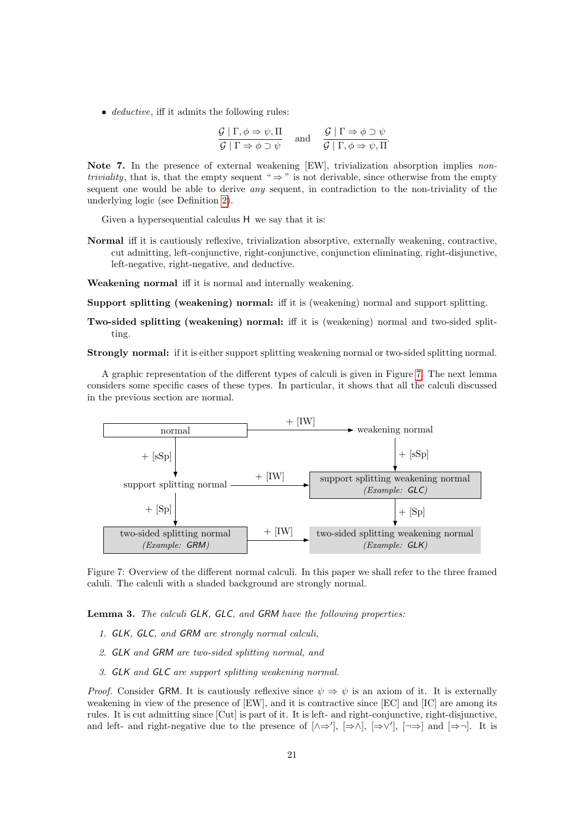• *deductive*, iff it admits the following rules:

$$
\frac{\mathcal{G} \mid \Gamma, \phi \Rightarrow \psi, \Pi}{\mathcal{G} \mid \Gamma \Rightarrow \phi \supset \psi} \quad \text{and} \quad \frac{\mathcal{G} \mid \Gamma \Rightarrow \phi \supset \psi}{\mathcal{G} \mid \Gamma, \phi \Rightarrow \psi, \Pi}.
$$

<span id="page-20-1"></span>Note 7. In the presence of external weakening [EW], trivialization absorption implies non*triviality*, that is, that the empty sequent "  $\Rightarrow$  " is not derivable, since otherwise from the empty sequent one would be able to derive any sequent, in contradiction to the non-triviality of the underlying logic (see Definition [2\)](#page-2-1).

Given a hypersequential calculus H we say that it is:

Normal iff it is cautiously reflexive, trivialization absorptive, externally weakening, contractive, cut admitting, left-conjunctive, right-conjunctive, conjunction eliminating, right-disjunctive, left-negative, right-negative, and deductive.

Weakening normal iff it is normal and internally weakening.

Support splitting (weakening) normal: iff it is (weakening) normal and support splitting.

Two-sided splitting (weakening) normal: iff it is (weakening) normal and two-sided splitting.

Strongly normal: if it is either support splitting weakening normal or two-sided splitting normal.

A graphic representation of the different types of calculi is given in Figure [7.](#page-20-0) The next lemma considers some specific cases of these types. In particular, it shows that all the calculi discussed in the previous section are normal.



<span id="page-20-0"></span>Figure 7: Overview of the different normal calculi. In this paper we shall refer to the three framed caluli. The calculi with a shaded background are strongly normal.

Lemma 3. The calculi GLK, GLC, and GRM have the following properties:

- 1. GLK, GLC, and GRM are strongly normal calculi,
- 2. GLK and GRM are two-sided splitting normal, and
- 3. GLK and GLC are support splitting weakening normal.

*Proof.* Consider GRM. It is cautiously reflexive since  $\psi \Rightarrow \psi$  is an axiom of it. It is externally weakening in view of the presence of [EW], and it is contractive since [EC] and [IC] are among its rules. It is cut admitting since [Cut] is part of it. It is left- and right-conjunctive, right-disjunctive, and left- and right-negative due to the presence of  $[\wedge \Rightarrow']$ ,  $[\Rightarrow \wedge]$ ,  $[\Rightarrow \vee']$ ,  $[\neg \Rightarrow]$  and  $[\Rightarrow \neg]$ . It is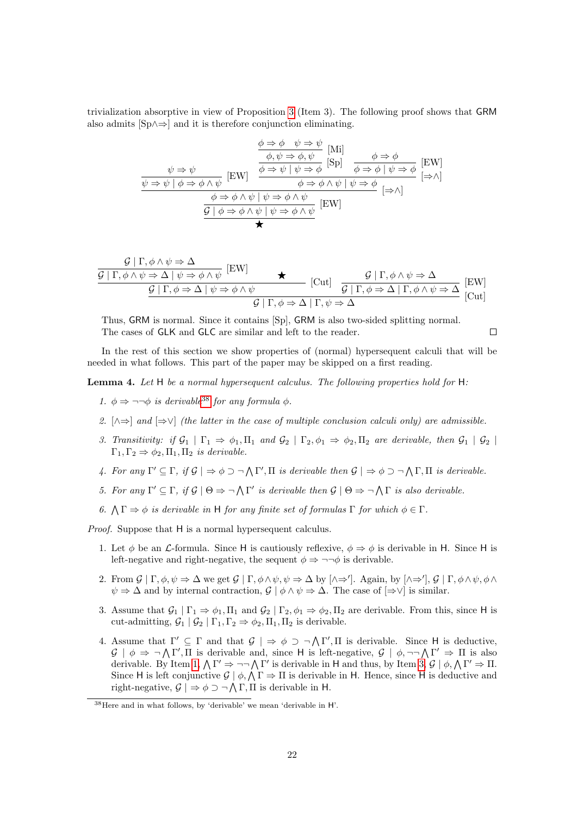trivialization absorptive in view of Proposition [3](#page-17-4) (Item 3). The following proof shows that GRM also admits [Sp∧⇒] and it is therefore conjunction eliminating.

$$
\frac{\phi \Rightarrow \phi \quad \psi \Rightarrow \psi}{\phi, \psi \Rightarrow \phi, \psi} \quad \text{[Mi]} \\
\frac{\psi \Rightarrow \psi}{\psi \Rightarrow \psi \mid \phi \Rightarrow \phi \land \psi} \quad \text{[EW]} \\
\frac{\psi \Rightarrow \psi}{\psi \Rightarrow \psi \mid \phi \Rightarrow \phi \land \psi} \quad \text{[EW]} \\
\frac{\psi \Rightarrow \psi \mid \phi \Rightarrow \phi \land \psi}{\phi \Rightarrow \phi \mid \psi \Rightarrow \phi} \quad \frac{\phi \Rightarrow \phi \mid \psi \Rightarrow \phi}{\phi \Rightarrow \phi \land \psi \mid \psi \Rightarrow \phi} \quad \text{[EW]} \\
\frac{\phi \Rightarrow \phi \land \psi \mid \psi \Rightarrow \phi \land \psi \mid \psi \Rightarrow \phi}{\phi \Rightarrow \phi \land \psi \mid \psi \Rightarrow \phi \land \psi} \quad \text{[EW]} \\
\frac{\phi \Rightarrow \phi \land \psi \mid \psi \Rightarrow \phi \land \psi}{\phi \Rightarrow \phi \land \psi} \quad \text{[EW]} \\
\frac{\phi \Rightarrow \phi \land \psi \mid \psi \Rightarrow \phi \land \psi}{\phi \Rightarrow \phi \land \psi} \quad \text{[EW]} \\
\frac{\phi \Rightarrow \phi \land \psi \mid \psi \Rightarrow \phi \land \psi}{\phi \Rightarrow \phi \land \psi} \quad \text{[EW]} \\
\frac{\phi \Rightarrow \phi \land \psi \mid \psi \Rightarrow \phi \land \psi}{\phi \Rightarrow \phi \land \psi} \quad \text{[EW]} \\
\frac{\phi \Rightarrow \phi \land \psi \mid \psi \Rightarrow \phi \land \psi}{\phi \Rightarrow \phi \land \psi} \quad \text{[EW]} \\
\frac{\phi \Rightarrow \phi \land \psi \mid \psi \Rightarrow \phi \land \psi}{\phi \Rightarrow \phi \land \psi} \quad \text{[EW]} \\
\frac{\phi \Rightarrow \phi \land \psi \mid \psi \Rightarrow \phi}{\phi \Rightarrow \phi \land \psi} \quad \frac{\phi \Rightarrow \phi \land \psi}{\phi \Rightarrow \phi \land \psi} \quad \text{[EW]} \\
\frac{\phi \Rightarrow \phi \land \psi \mid \psi \Rightarrow \phi \land \psi}{\phi \Rightarrow \phi \land \psi} \quad \frac{\phi \Rightarrow \phi \land \psi \mid \psi \Rightarrow \phi}{\phi \Rightarrow \phi \land \psi} \quad \text{[EW]} \\
\frac{\phi \Rightarrow \phi \land \psi \mid \psi \Rightarrow \phi \land \psi}{\phi \Rightarrow \phi \land \psi} \quad \frac{\phi \Rightarrow \phi \land \psi \mid \psi \Rightarrow \phi \land \psi}{\phi \Rightarrow \phi \land \psi} \\
\frac{\phi \Rightarrow \phi
$$

$$
\frac{\mathcal{G} | \Gamma, \phi \land \psi \Rightarrow \Delta}{\mathcal{G} | \Gamma, \phi \land \psi \Rightarrow \Delta | \psi \Rightarrow \phi \land \psi} [\text{EW}] \qquad \star \qquad [\text{Cut}] \quad \frac{\mathcal{G} | \Gamma, \phi \land \psi \Rightarrow \Delta}{\mathcal{G} | \Gamma, \phi \Rightarrow \Delta | \psi \Rightarrow \phi \land \psi} \qquad [\text{Cut}] \quad \frac{\mathcal{G} | \Gamma, \phi \land \psi \Rightarrow \Delta}{\mathcal{G} | \Gamma, \phi \Rightarrow \Delta | \Gamma, \phi \land \psi \Rightarrow \Delta} [\text{EW}] \qquad [\text{Cut}]
$$

Thus, GRM is normal. Since it contains [Sp], GRM is also two-sided splitting normal. The cases of GLK and GLC are similar and left to the reader.

 $\Box$ 

In the rest of this section we show properties of (normal) hypersequent calculi that will be needed in what follows. This part of the paper may be skipped on a first reading.

<span id="page-21-3"></span>**Lemma 4.** Let  $H$  be a normal hypersequent calculus. The following properties hold for  $H$ :

- <span id="page-21-1"></span>1.  $\phi \Rightarrow \neg \neg \phi$  is derivable<sup>[38](#page-21-0)</sup> for any formula  $\phi$ .
- <span id="page-21-7"></span>2.  $[\wedge \Rightarrow]$  and  $[\Rightarrow \vee]$  (the latter in the case of multiple conclusion calculi only) are admissible.
- <span id="page-21-2"></span>3. Transitivity: if  $\mathcal{G}_1 \mid \Gamma_1 \Rightarrow \phi_1, \Pi_1$  and  $\mathcal{G}_2 \mid \Gamma_2, \phi_1 \Rightarrow \phi_2, \Pi_2$  are derivable, then  $\mathcal{G}_1 \mid \mathcal{G}_2 \mid \Pi_1$  $\Gamma_1, \Gamma_2 \Rightarrow \phi_2, \Pi_1, \Pi_2$  is derivable.
- <span id="page-21-5"></span>4. For any  $\Gamma' \subseteq \Gamma$ , if  $\mathcal{G} \mid \Rightarrow \phi \supset \neg \bigwedge \Gamma'$ ,  $\Pi$  is derivable then  $\mathcal{G} \mid \Rightarrow \phi \supset \neg \bigwedge \Gamma$ ,  $\Pi$  is derivable.
- <span id="page-21-4"></span>5. For any  $\Gamma' \subseteq \Gamma$ , if  $\mathcal{G} \mid \Theta \Rightarrow \neg \bigwedge \Gamma'$  is derivable then  $\mathcal{G} \mid \Theta \Rightarrow \neg \bigwedge \Gamma$  is also derivable.
- <span id="page-21-6"></span>6.  $\Lambda \Gamma \Rightarrow \phi$  is derivable in H for any finite set of formulas  $\Gamma$  for which  $\phi \in \Gamma$ .

Proof. Suppose that H is a normal hypersequent calculus.

- 1. Let  $\phi$  be an *L*-formula. Since H is cautiously reflexive,  $\phi \Rightarrow \phi$  is derivable in H. Since H is left-negative and right-negative, the sequent  $\phi \Rightarrow \neg \neg \phi$  is derivable.
- 2. From  $\mathcal{G} \mid \Gamma, \phi, \psi \Rightarrow \Delta$  we get  $\mathcal{G} \mid \Gamma, \phi \wedge \psi, \psi \Rightarrow \Delta$  by  $[\wedge \Rightarrow']$ . Again, by  $[\wedge \Rightarrow']$ ,  $\mathcal{G} \mid \Gamma, \phi \wedge \psi, \phi \wedge \psi$  $\psi \Rightarrow \Delta$  and by internal contraction,  $\mathcal{G} \mid \phi \wedge \psi \Rightarrow \Delta$ . The case of  $[\Rightarrow \vee]$  is similar.
- 3. Assume that  $\mathcal{G}_1 | \Gamma_1 \Rightarrow \phi_1, \Pi_1$  and  $\mathcal{G}_2 | \Gamma_2, \phi_1 \Rightarrow \phi_2, \Pi_2$  are derivable. From this, since H is cut-admitting,  $\mathcal{G}_1 | \mathcal{G}_2 | \Gamma_1, \Gamma_2 \Rightarrow \phi_2, \Pi_1, \Pi_2$  is derivable.
- 4. Assume that  $\Gamma' \subseteq \Gamma$  and that  $\mathcal{G} \mid \Rightarrow \phi \supset \neg \bigwedge \Gamma', \Pi$  is derivable. Since H is deductive,  $\mathcal{G} \mid \phi \Rightarrow \neg \bigwedge \Gamma', \Pi$  is derivable and, since H is left-negative,  $\mathcal{G} \mid \phi, \neg \neg \bigwedge \Gamma' \Rightarrow \Pi$  is also derivable. By Item [1,](#page-21-1)  $\bigwedge \Gamma' \Rightarrow \neg \neg \bigwedge \Gamma'$  is derivable in H and thus, by Item [3,](#page-21-2)  $\mathcal{G} \mid \phi, \bigwedge \Gamma' \Rightarrow \Pi$ . Since H is left conjunctive  $\mathcal{G} \mid \phi, \Lambda \Gamma \Rightarrow \Pi$  is derivable in H. Hence, since H is deductive and right-negative,  $\mathcal{G} \mid \Rightarrow \phi \supset \neg \bigwedge \Gamma$ ,  $\Pi$  is derivable in H.

<span id="page-21-0"></span><sup>38</sup>Here and in what follows, by 'derivable' we mean 'derivable in H'.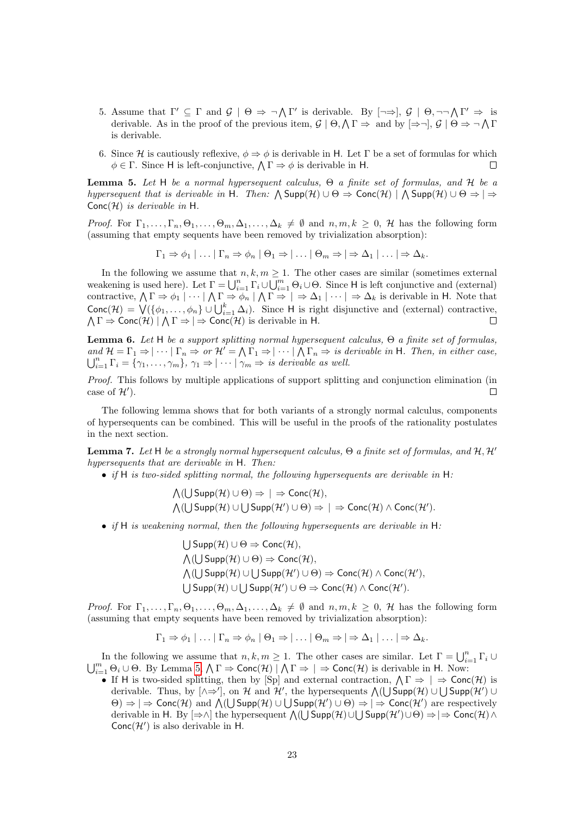- 5. Assume that  $\Gamma' \subseteq \Gamma$  and  $\mathcal{G} \mid \Theta \Rightarrow \neg \bigwedge \Gamma'$  is derivable. By  $[\neg \Rightarrow]$ ,  $\mathcal{G} \mid \Theta$ ,  $\neg \neg \bigwedge \Gamma' \Rightarrow$  is derivable. As in the proof of the previous item,  $\mathcal{G} \mid \Theta, \Lambda \Gamma \Rightarrow$  and by  $\Rightarrow \neg, \mathcal{G} \mid \Theta \Rightarrow \neg \Lambda \Gamma$ is derivable.
- 6. Since H is cautiously reflexive,  $\phi \Rightarrow \phi$  is derivable in H. Let  $\Gamma$  be a set of formulas for which  $\phi \in \Gamma$ . Since H is left-conjunctive,  $\bigwedge \Gamma \Rightarrow \phi$  is derivable in H.  $\Box$

<span id="page-22-0"></span>**Lemma 5.** Let H be a normal hypersequent calculus,  $\Theta$  a finite set of formulas, and H be a hypersequent that is derivable in H. Then:  $\bigwedge \text{Supp}(\mathcal{H}) \cup \Theta \Rightarrow \text{Conc}(\mathcal{H}) \mid \bigwedge \text{Supp}(\mathcal{H}) \cup \Theta \Rightarrow \Rightarrow$  $Conc(\mathcal{H})$  is derivable in H.

*Proof.* For  $\Gamma_1, \ldots, \Gamma_n, \Theta_1, \ldots, \Theta_m, \Delta_1, \ldots, \Delta_k \neq \emptyset$  and  $n, m, k \geq 0, \mathcal{H}$  has the following form (assuming that empty sequents have been removed by trivialization absorption):

$$
\Gamma_1 \Rightarrow \phi_1 \mid \ldots \mid \Gamma_n \Rightarrow \phi_n \mid \Theta_1 \Rightarrow \mid \ldots \mid \Theta_m \Rightarrow \mid \Rightarrow \Delta_1 \mid \ldots \mid \Rightarrow \Delta_k.
$$

In the following we assume that  $n, k, m \geq 1$ . The other cases are similar (sometimes external weakening is used here). Let  $\Gamma = \bigcup_{i=1}^n \Gamma_i \cup \bigcup_{i=1}^m \Theta_i \cup \Theta$ . Since H is left conjunctive and (external) contractive,  $\bigwedge \Gamma \Rightarrow \phi_1 \mid \cdots \mid \bigwedge \Gamma \Rightarrow \phi_n \mid \bigwedge \Gamma \Rightarrow \mid \Rightarrow \Delta_1 \mid \cdots \mid \Rightarrow \Delta_k$  is derivable in H. Note that Conc $(\mathcal{H}) = \bigvee (\{\phi_1, \ldots, \phi_n\} \cup \bigcup_{i=1}^k \Delta_i)$ . Since H is right disjunctive and (external) contractive,  $\Lambda \Gamma \Rightarrow \textsf{Conc}(\mathcal{H}) \mid \Lambda \Gamma \Rightarrow \vert \Rightarrow \textsf{Conc}(\mathcal{H})$  is derivable in H.

<span id="page-22-2"></span>**Lemma 6.** Let H be a support splitting normal hypersequent calculus,  $\Theta$  a finite set of formulas, and  $\mathcal{H} = \Gamma_1 \Rightarrow |\cdots| \Gamma_n \Rightarrow \text{or } \mathcal{H}' = \bigwedge \Gamma_1 \Rightarrow |\cdots| \bigwedge \Gamma_n \Rightarrow \text{ is derivable in } \mathsf{H}.$  Then, in either case,  $\bigcup_{i=1}^n \Gamma_i = \{\gamma_1, \ldots, \gamma_m\}, \, \gamma_1 \Rightarrow |\cdots| \, \gamma_m \Rightarrow \text{ is derivable as well.}$ 

Proof. This follows by multiple applications of support splitting and conjunction elimination (in case of  $\mathcal{H}'$ ).  $\Box$ 

The following lemma shows that for both variants of a strongly normal calculus, components of hypersequents can be combined. This will be useful in the proofs of the rationality postulates in the next section.

<span id="page-22-1"></span>**Lemma 7.** Let H be a strongly normal hypersequent calculus,  $\Theta$  a finite set of formulas, and  $H, H'$ hypersequents that are derivable in H. Then:

• if H is two-sided splitting normal, the following hypersequents are derivable in  $H$ :

 $\bigwedge(\bigcup \mathsf{Supp}(\mathcal{H}) \cup \Theta) \Rightarrow |\Rightarrow \mathsf{Conc}(\mathcal{H}),$  $\bigwedge ( \bigcup \mathsf{Supp}(\mathcal{H}) \cup \bigcup \mathsf{Supp}(\mathcal{H}') \cup \Theta ) \Rightarrow | \Rightarrow \mathsf{Conc}(\mathcal{H}) \wedge \mathsf{Conc}(\mathcal{H}').$ 

- if H is weakening normal, then the following hypersequents are derivable in  $H$ :
	- $\bigcup$  Supp $(\mathcal{H}) \cup \Theta \Rightarrow$  Conc $(\mathcal{H}),$  $\bigwedge$ ( $\bigcup$  Supp $(\mathcal{H}) \cup \Theta$ )  $\Rightarrow$  Conc $(\mathcal{H}),$  $\bigwedge(U \text{Supp}(\mathcal{H}) \cup U \text{Supp}(\mathcal{H}') \cup \Theta) \Rightarrow \text{Conc}(\mathcal{H}) \wedge \text{Conc}(\mathcal{H}'),$  $\bigcup$  Supp $(\mathcal{H}) \cup \bigcup$  Supp $(\mathcal{H}') \cup \Theta \Rightarrow$  Conc $(\mathcal{H}) \wedge$  Conc $(\mathcal{H}')$ .

*Proof.* For  $\Gamma_1, \ldots, \Gamma_n, \Theta_1, \ldots, \Theta_m, \Delta_1, \ldots, \Delta_k \neq \emptyset$  and  $n, m, k \geq 0, \mathcal{H}$  has the following form (assuming that empty sequents have been removed by trivialization absorption):

$$
\Gamma_1 \Rightarrow \phi_1 | \ldots | \Gamma_n \Rightarrow \phi_n | \Theta_1 \Rightarrow | \ldots | \Theta_m \Rightarrow | \Rightarrow \Delta_1 | \ldots | \Rightarrow \Delta_k.
$$

In the following we assume that  $n, k, m \ge 1$ . The other cases are similar. Let  $\Gamma = \bigcup_{i=1}^n \Gamma_i \cup$  $\bigcup_{i=1}^m \Theta_i \cup \Theta$ . By Lemma [5,](#page-22-0)  $\bigwedge \Gamma \Rightarrow \text{Conc}(\mathcal{H}) \mid \bigwedge \Gamma \Rightarrow \big| \Rightarrow \text{Conc}(\mathcal{H})$  is derivable in H. Now:

• If H is two-sided splitting, then by [Sp] and external contraction,  $\Lambda \Gamma \Rightarrow | \Rightarrow \text{Cone}(\mathcal{H})$  is derivable. Thus, by  $[\wedge \Rightarrow']$ , on H and H', the hypersequents  $\bigwedge ( \bigcup \mathsf{Supp}(\mathcal{H}) \cup \bigcup \mathsf{Supp}(\mathcal{H}') \cup$  $(\Theta) \Rightarrow |\Rightarrow \text{Conc}(\mathcal{H}) \text{ and } \bigwedge (\bigcup \text{Supp}(\mathcal{H}) \cup \bigcup \text{Supp}(\mathcal{H}') \cup \Theta) \Rightarrow |\Rightarrow \text{Conc}(\mathcal{H}') \text{ are respectively}$ derivable in H. By  $[\Rightarrow \land]$  the hypersequent  $\bigwedge((\bigcup \text{Supp}(\mathcal{H}) \cup \bigcup \text{Supp}(\mathcal{H}') \cup \Theta) \Rightarrow |\Rightarrow \text{Conc}(\mathcal{H}) \land \Theta$  $Conc(\mathcal{H}')$  is also derivable in H.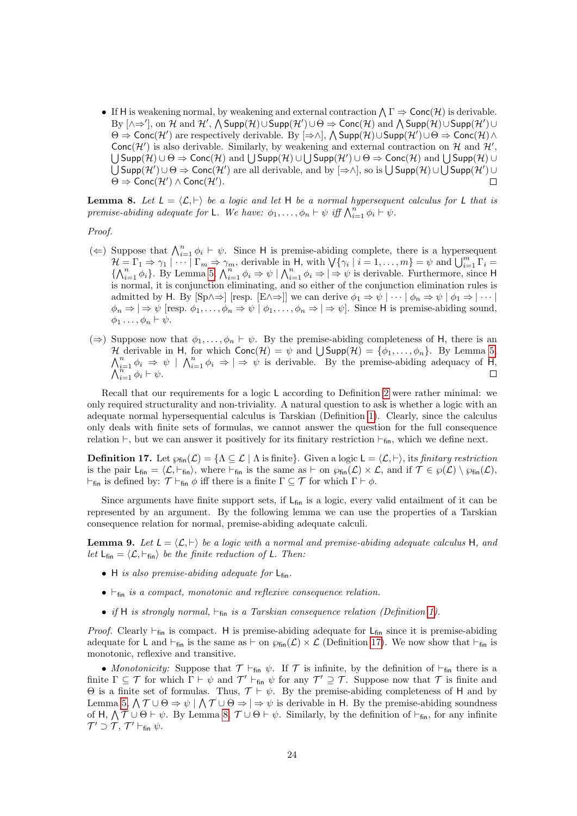• If H is weakening normal, by weakening and external contraction  $\bigwedge \Gamma \Rightarrow \mathsf{Conc}(\mathcal{H})$  is derivable. By  $[\wedge \Rightarrow'],$  on H and H',  $\wedge$  Supp $(\mathcal{H}) \cup$ Supp $(\mathcal{H}') \cup \Theta \Rightarrow$  Conc $(\mathcal{H})$  and  $\wedge$  Supp $(\mathcal{H}) \cup$ Supp $(\mathcal{H}') \cup$  $\Theta \Rightarrow \mathsf{Conc}(\mathcal{H}')$  are respectively derivable. By  $[\Rightarrow \wedge]$ ,  $\wedge$  Supp $(\mathcal{H}) \cup \mathsf{Supp}(\mathcal{H}') \cup \Theta \Rightarrow \mathsf{Conc}(\mathcal{H}) \wedge$ Conc $(\mathcal{H}')$  is also derivable. Similarly, by weakening and external contraction on H and  $\mathcal{H}'$ ,  $\bigcup$ Supp $(\mathcal{H}) \cup \Theta \Rightarrow \mathsf{Conc}(\mathcal{H})$  and  $\bigcup$ Supp $(\mathcal{H}) \cup \bigcup$ Supp $(\mathcal{H}') \cup \Theta \Rightarrow \mathsf{Conc}(\mathcal{H})$  and  $\bigcup$ Supp $(\mathcal{H}) \cup$  $\bigcup$ Supp $(\mathcal{H}')\cup\Theta\Rightarrow \mathsf{Conc}(\mathcal{H}')$  are all derivable, and by  $[\Rightarrow\wedge]$ , so is  $\bigcup$ Supp $(\mathcal{H})\cup\bigcup$ Supp $(\mathcal{H}')\cup\Theta'$  $\Theta \Rightarrow \mathsf{Conc}(\mathcal{H}') \wedge \mathsf{Conc}(\mathcal{H}').$  $\Box$ 

<span id="page-23-1"></span>**Lemma 8.** Let  $L = \langle \mathcal{L}, \vdash \rangle$  be a logic and let H be a normal hypersequent calculus for L that is premise-abiding adequate for L. We have:  $\phi_1, \ldots, \phi_n \vdash \psi$  iff  $\bigwedge_{i=1}^n \phi_i \vdash \psi$ .

Proof.

- $(\Leftarrow)$  Suppose that  $\bigwedge_{i=1}^{n} \phi_i \vdash \psi$ . Since H is premise-abiding complete, there is a hypersequent  $\mathcal{H} = \Gamma_1 \Rightarrow \gamma_1 \mid \cdots \mid \Gamma_m \Rightarrow \gamma_m$ , derivable in H, with  $\bigvee \{ \gamma_i \mid i = 1, \ldots, m \} = \psi$  and  $\bigcup_{i=1}^m \Gamma_i =$  $\{\bigwedge_{i=1}^n \phi_i\}$ . By Lemma [5,](#page-22-0)  $\bigwedge_{i=1}^n \phi_i \Rightarrow \psi \mid \bigwedge_{i=1}^n \phi_i \Rightarrow |\Rightarrow \psi$  is derivable. Furthermore, since H is normal, it is conjunction eliminating, and so either of the conjunction elimination rules is admitted by H. By  $[\text{Sp} \wedge \Rightarrow]$  [resp.  $[E \wedge \Rightarrow]$ ] we can derive  $\phi_1 \Rightarrow \psi \mid \cdots \mid \phi_n \Rightarrow \psi \mid \phi_1 \Rightarrow \mid \cdots \mid$  $\phi_n \Rightarrow |\Rightarrow \psi \text{ [resp. } \phi_1, \dots, \phi_n \Rightarrow \psi \mid \phi_1, \dots, \phi_n \Rightarrow |\Rightarrow \psi \text{].}$  Since H is premise-abiding sound,  $\phi_1 \ldots, \phi_n \vdash \psi.$
- $(\Rightarrow)$  Suppose now that  $\phi_1, \ldots, \phi_n \vdash \psi$ . By the premise-abiding completeness of H, there is an H derivable in H, for which  $Conc(\mathcal{H}) = \psi$  and  $\bigcup Supp(\mathcal{H}) = \{\phi_1, \ldots, \phi_n\}$ . By Lemma [5,](#page-22-0)  $\bigwedge_{i=1}^{n} \phi_i \Rightarrow \psi \mid \bigwedge_{i=1}^{n} \phi_i \Rightarrow \Rightarrow \psi$  is derivable. By the premise-abiding adequacy of H,  $\bigwedge_{i=1}^{n} \phi_i \vdash \psi$ .

Recall that our requirements for a logic L according to Definition [2](#page-2-1) were rather minimal: we only required structurality and non-triviality. A natural question to ask is whether a logic with an adequate normal hypersequential calculus is Tarskian (Definition [1\)](#page-2-2). Clearly, since the calculus only deals with finite sets of formulas, we cannot answer the question for the full consequence relation  $\vdash$ , but we can answer it positively for its finitary restriction  $\vdash$ <sub>fin</sub>, which we define next.

<span id="page-23-0"></span>**Definition 17.** Let  $\wp_{fin}(\mathcal{L}) = \{ \Lambda \subseteq \mathcal{L} \mid \Lambda \text{ is finite} \}.$  Given a logic  $\mathsf{L} = \langle \mathcal{L}, \vdash \rangle$ , its *finitary restriction* is the pair  $L_{fin} = \langle L, \vdash_{fin} \rangle$ , where  $\vdash_{fin}$  is the same as  $\vdash$  on  $\wp_{fin}(\mathcal{L}) \times \mathcal{L}$ , and if  $\mathcal{T} \in \wp(\mathcal{L}) \setminus \wp_{fin}(\mathcal{L})$ ,  $\vdash_{fin}$  is defined by:  $\mathcal{T} \vdash_{fin} \phi$  iff there is a finite  $\Gamma \subseteq \mathcal{T}$  for which  $\Gamma \vdash \phi$ .

Since arguments have finite support sets, if  $L_{fin}$  is a logic, every valid entailment of it can be represented by an argument. By the following lemma we can use the properties of a Tarskian consequence relation for normal, premise-abiding adequate calculi.

<span id="page-23-2"></span>**Lemma 9.** Let  $L = \langle \mathcal{L}, \vdash \rangle$  be a logic with a normal and premise-abiding adequate calculus H, and let  $L_{fin} = \langle \mathcal{L}, \vdash_{fin} \rangle$  be the finite reduction of L. Then:

- H is also premise-abiding adequate for  $L_{fin}$ .
- $\bullet$   $\vdash$ <sub>fin</sub> is a compact, monotonic and reflexive consequence relation.
- if H is strongly normal,  $\vdash_{fin}$  is a Tarskian consequence relation (Definition [1\)](#page-2-2).

*Proof.* Clearly  $\vdash_{fin}$  is compact. H is premise-abiding adequate for  $\vdash_{fin}$  since it is premise-abiding adequate for L and  $\vdash_{fin}$  is the same as  $\vdash$  on  $\wp_{fin}(\mathcal{L}) \times \mathcal{L}$  (Definition [17\)](#page-23-0). We now show that  $\vdash_{fin}$  is monotonic, reflexive and transitive.

• Monotonicity: Suppose that  $\mathcal{T} \vdash_{fin} \psi$ . If  $\mathcal{T}$  is infinite, by the definition of  $\vdash_{fin}$  there is a finite  $\Gamma \subseteq \mathcal{T}$  for which  $\Gamma \vdash \psi$  and  $\mathcal{T}' \vdash_{fin} \psi$  for any  $\mathcal{T}' \supseteq \mathcal{T}$ . Suppose now that  $\mathcal{T}$  is finite and Θ is a finite set of formulas. Thus,  $\mathcal{T} \vdash \psi$ . By the premise-abiding completeness of H and by Lemma [5,](#page-22-0)  $\bigwedge \mathcal{T} \cup \Theta \Rightarrow \psi \mid \bigwedge \mathcal{T} \cup \Theta \Rightarrow \Rightarrow \psi$  is derivable in H. By the premise-abiding soundness of H,  $\bigwedge \mathcal{T} \cup \Theta \vdash \psi$ . By Lemma [8,](#page-23-1)  $\mathcal{T} \cup \Theta \vdash \psi$ . Similarly, by the definition of  $\vdash_{fin}$ , for any infinite  $\mathcal{T}' \supset \mathcal{T}$ ,  $\mathcal{T}' \vdash_{\mathsf{fin}} \psi$ .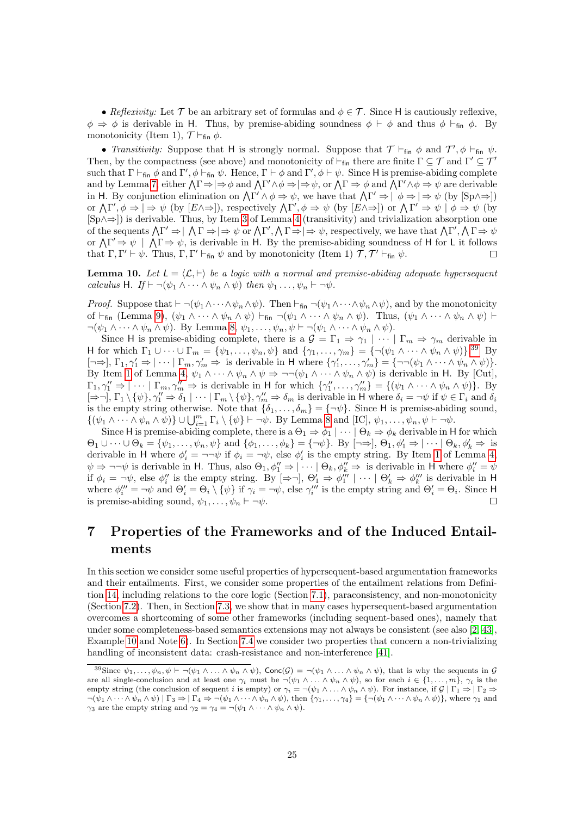• Reflexivity: Let T be an arbitrary set of formulas and  $\phi \in \mathcal{T}$ . Since H is cautiously reflexive,  $\phi \Rightarrow \phi$  is derivable in H. Thus, by premise-abiding soundness  $\phi \vdash \phi$  and thus  $\phi \vdash_{fin} \phi$ . By monotonicity (Item 1),  $\mathcal{T} \vdash_{fin} \phi$ .

• Transitivity: Suppose that H is strongly normal. Suppose that  $\mathcal{T} \vdash_{fin} \phi$  and  $\mathcal{T}', \phi \vdash_{fin} \psi$ . Then, by the compactness (see above) and monotonicity of  $\vdash_{fin}$  there are finite  $\Gamma \subseteq \mathcal{T}$  and  $\Gamma' \subseteq \mathcal{T}'$ such that  $\Gamma \vdash_{fin} \phi$  and  $\Gamma', \phi \vdash_{fin} \psi$ . Hence,  $\Gamma \vdash \phi$  and  $\Gamma', \phi \vdash \psi$ . Since H is premise-abiding complete and by Lemma [7,](#page-22-1) either  $\Lambda \Gamma \Rightarrow |\Rightarrow \phi \text{ and } \Lambda \Gamma' \land \phi \Rightarrow |\Rightarrow \psi \text{, or } \Lambda \Gamma \Rightarrow \phi \text{ and } \Lambda \Gamma' \land \phi \Rightarrow \psi \text{ are derivable}$ in H. By conjunction elimination on  $\Lambda \Gamma' \wedge \phi \Rightarrow \psi$ , we have that  $\Lambda \Gamma' \Rightarrow |\phi \Rightarrow |\Rightarrow \psi$  (by  $[\text{Sp} \wedge \Rightarrow]$ ) or  $\Lambda \Gamma', \phi \Rightarrow |\Rightarrow \psi$  (by  $[E \wedge \Rightarrow]$ ), respectively  $\Lambda \Gamma', \phi \Rightarrow \psi$  (by  $[E \wedge \Rightarrow]$ ) or  $\Lambda \Gamma' \Rightarrow \psi | \phi \Rightarrow \psi$  (by [Sp∧⇒]) is derivable. Thus, by Item [3](#page-21-2) of Lemma [4](#page-21-3) (transitivity) and trivialization absorption one of the sequents  $\Lambda \Gamma' \Rightarrow |\Lambda \Gamma \Rightarrow |\Rightarrow \psi$  or  $\Lambda \Gamma', \Lambda \Gamma \Rightarrow |\Rightarrow \psi$ , respectively, we have that  $\Lambda \Gamma', \Lambda \Gamma \Rightarrow \psi$ or  $\Lambda \Gamma' \Rightarrow \psi \mid \Lambda \Gamma \Rightarrow \psi$ , is derivable in H. By the premise-abiding soundness of H for L it follows that  $\Gamma, \Gamma' \vdash \psi$ . Thus,  $\Gamma, \Gamma' \vdash_{fin} \psi$  and by monotonicity (Item 1)  $\mathcal{T}, \mathcal{T}' \vdash_{fin} \psi$ .  $\Box$ 

<span id="page-24-2"></span>**Lemma 10.** Let  $L = \langle \mathcal{L}, \vdash \rangle$  be a logic with a normal and premise-abiding adequate hypersequent calculus H. If  $\vdash \neg(\psi_1 \wedge \cdots \wedge \psi_n \wedge \psi)$  then  $\psi_1 \ldots, \psi_n \vdash \neg \psi$ .

*Proof.* Suppose that  $\vdash \neg(\psi_1 \wedge \cdots \wedge \psi_n \wedge \psi)$ . Then  $\vdash_{fin} \neg(\psi_1 \wedge \cdots \wedge \psi_n \wedge \psi)$ , and by the monotonicity of  $\vdash_{fin}$  (Lemma [9\)](#page-23-2),  $(\psi_1 \wedge \cdots \wedge \psi_n \wedge \psi) \vdash_{fin} \neg(\psi_1 \wedge \cdots \wedge \psi_n \wedge \psi)$ . Thus,  $(\psi_1 \wedge \cdots \wedge \psi_n \wedge \psi) \vdash$  $\neg(\psi_1 \wedge \cdots \wedge \psi_n \wedge \psi)$ . By Lemma [8,](#page-23-1)  $\psi_1, \ldots, \psi_n, \psi \vdash \neg(\psi_1 \wedge \cdots \wedge \psi_n \wedge \psi)$ .

Since H is premise-abiding complete, there is a  $\mathcal{G} = \Gamma_1 \Rightarrow \gamma_1 \mid \cdots \mid \Gamma_m \Rightarrow \gamma_m$  derivable in H for which  $\Gamma_1 \cup \cdots \cup \Gamma_m = \{\psi_1, \ldots, \psi_n, \psi\}$  and  $\{\gamma_1, \ldots, \gamma_m\} = \{\neg(\psi_1 \wedge \cdots \wedge \psi_n \wedge \psi)\}^{39}$  $\{\gamma_1, \ldots, \gamma_m\} = \{\neg(\psi_1 \wedge \cdots \wedge \psi_n \wedge \psi)\}^{39}$  $\{\gamma_1, \ldots, \gamma_m\} = \{\neg(\psi_1 \wedge \cdots \wedge \psi_n \wedge \psi)\}^{39}$  By  $\lbrack \neg \Rightarrow \rbrack, \Gamma_1, \gamma_1' \Rightarrow \rbrack \cdots \rbrack \Gamma_m, \gamma_m' \Rightarrow \text{ is derivable in } H \text{ where } {\gamma_1', \dots, \gamma_m'} = {\neg \neg (\psi_1 \wedge \cdots \wedge \psi_n \wedge \psi)}$ By Item [1](#page-21-1) of Lemma [4,](#page-21-3)  $\psi_1 \wedge \cdots \wedge \psi_n \wedge \psi \Rightarrow \neg\neg(\psi_1 \wedge \cdots \wedge \psi_n \wedge \psi)$  is derivable in H. By [Cut],  $\Gamma_1, \gamma_1'' \Rightarrow |\cdots| \Gamma_m, \gamma_m'' \Rightarrow$  is derivable in H for which  $\{\gamma_1'', \ldots, \gamma_m''\} = \{(\psi_1 \wedge \cdots \wedge \psi_n \wedge \psi)\}.$  By  $[\Rightarrow \neg], \Gamma_1 \setminus {\psi}, \gamma_1'' \Rightarrow \delta_1 \mid \cdots \mid \Gamma_m \setminus {\psi}, \gamma_m'' \Rightarrow \delta_m$  is derivable in H where  $\delta_i = \neg \psi$  if  $\psi \in \Gamma_i$  and  $\delta_i$ is the empty string otherwise. Note that  $\{\delta_1, \ldots, \delta_m\} = \{\neg \psi\}$ . Since H is premise-abiding sound,  $\{(\psi_1 \wedge \cdots \wedge \psi_n \wedge \psi) \} \cup \bigcup_{i=1}^m \Gamma_i \setminus \{\psi\} \vdash \neg \psi$ . By Lemma [8](#page-23-1) and [IC],  $\psi_1, \ldots, \psi_n, \psi \vdash \neg \psi$ .

Since H is premise-abiding complete, there is a  $\Theta_1 \Rightarrow \phi_1 \mid \cdots \mid \Theta_k \Rightarrow \phi_k$  derivable in H for which  $\Theta_1 \cup \cdots \cup \Theta_k = \{\psi_1, \ldots, \psi_n, \psi\}$  and  $\{\phi_1, \ldots, \phi_k\} = \{\neg \psi\}.$  By  $[\neg \Rightarrow], \Theta_1, \phi_1' \Rightarrow |\cdots| \Theta_k, \phi_k' \Rightarrow \text{ is }$ derivable in H where  $\phi'_i = \neg \neg \psi$  if  $\phi_i = \neg \psi$ , else  $\phi'_i$  is the empty string. By Item [1](#page-21-1) of Lemma [4,](#page-21-3)  $\psi \Rightarrow \neg\neg\psi$  is derivable in H. Thus, also  $\Theta_1, \phi_1'' \Rightarrow |\cdots| \Theta_k, \phi_k'' \Rightarrow$  is derivable in H where  $\phi_i'' = \psi$ if  $\phi_i = \neg \psi$ , else  $\phi''_i$  is the empty string. By  $[\Rightarrow \neg]$ ,  $\Theta'_1 \Rightarrow \phi'''_1 \mid \cdots \mid \Theta'_k \Rightarrow \phi'''_k$  is derivable in H where  $\phi_i''' = -\psi$  and  $\Theta_i' = \Theta_i \setminus {\psi}$  if  $\gamma_i = -\psi$ , else  $\gamma_i'''$  is the empty string and  $\Theta_i' = \Theta_i$ . Since H is premise-abiding sound,  $\psi_1, \ldots, \psi_n \vdash \neg \psi$ .  $\Box$ 

## <span id="page-24-0"></span>7 Properties of the Frameworks and of the Induced Entailments

In this section we consider some useful properties of hypersequent-based argumentation frameworks and their entailments. First, we consider some properties of the entailment relations from Definition [14,](#page-12-5) including relations to the core logic (Section [7.1\)](#page-25-0), paraconsistency, and non-monotonicity (Section [7.2\)](#page-26-0). Then, in Section [7.3,](#page-27-0) we show that in many cases hypersequent-based argumentation overcomes a shortcoming of some other frameworks (including sequent-based ones), namely that under some completeness-based semantics extensions may not always be consistent (see also [\[2,](#page-41-5) [43\]](#page-43-3), Example [10](#page-11-0) and Note [6\)](#page-12-0). In Section [7.4](#page-33-1) we consider two properties that concern a non-trivializing handling of inconsistent data: crash-resistance and non-interference [\[41\]](#page-43-6).

<span id="page-24-1"></span><sup>&</sup>lt;sup>39</sup>Since  $\psi_1, \ldots, \psi_n, \psi \vdash \neg(\psi_1 \wedge \ldots \wedge \psi_n \wedge \psi)$ , Conc $(\mathcal{G}) = \neg(\psi_1 \wedge \ldots \wedge \psi_n \wedge \psi)$ , that is why the sequents in  $\mathcal{G}$ are all single-conclusion and at least one  $\gamma_i$  must be  $\neg(\psi_1 \land \dots \land \psi_n \land \psi)$ , so for each  $i \in \{1, \dots, m\}$ ,  $\gamma_i$  is the empty string (the conclusion of sequent i is empty) or  $\gamma_i = \neg(\psi_1 \wedge \dots \wedge \psi_n \wedge \psi)$ . For instance, if  $\mathcal{G} | \Gamma_1 \Rightarrow | \Gamma_2 \Rightarrow$  $\neg(\psi_1 \wedge \cdots \wedge \psi_n \wedge \psi) \mid \Gamma_3 \Rightarrow |\Gamma_4 \Rightarrow \neg(\psi_1 \wedge \cdots \wedge \psi_n \wedge \psi),$  then  $\{\gamma_1, \ldots, \gamma_4\} = \{\neg(\psi_1 \wedge \cdots \wedge \psi_n \wedge \psi)\}\$ , where  $\gamma_1$  and  $\gamma_3$  are the empty string and  $\gamma_2 = \gamma_4 = \neg(\psi_1 \wedge \cdots \wedge \psi_n \wedge \psi)$ .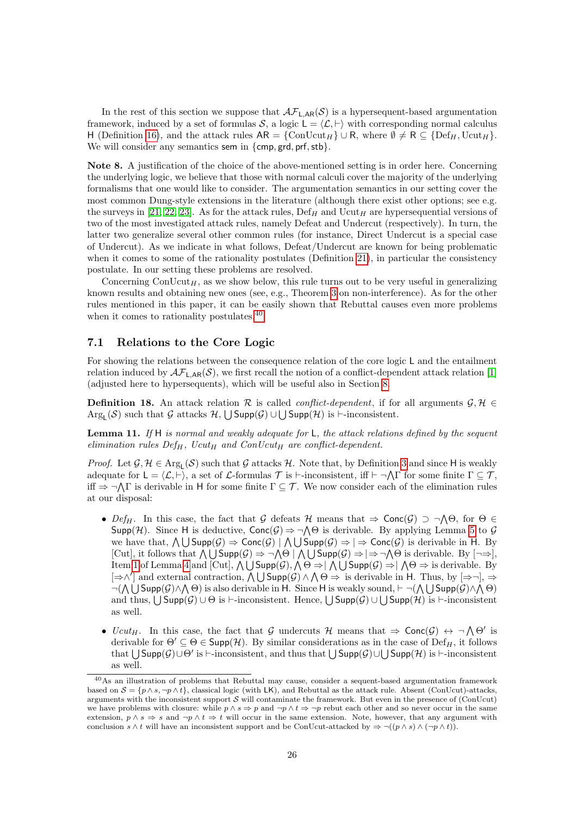In the rest of this section we suppose that  $\mathcal{AF}_{L,AR}(\mathcal{S})$  is a hypersequent-based argumentation framework, induced by a set of formulas S, a logic  $L = \langle \mathcal{L}, \vdash \rangle$  with corresponding normal calculus H (Definition [16\)](#page-19-5), and the attack rules  $AR = \{ConUcut_H\} \cup R$ , where  $\emptyset \neq R \subseteq \{Def_H, Ucut_H\}$ . We will consider any semantics sem in  $\{\mathsf{cmp}, \mathsf{grd}, \mathsf{prf}, \mathsf{stb}\}.$ 

Note 8. A justification of the choice of the above-mentioned setting is in order here. Concerning the underlying logic, we believe that those with normal calculi cover the majority of the underlying formalisms that one would like to consider. The argumentation semantics in our setting cover the most common Dung-style extensions in the literature (although there exist other options; see e.g. the surveys in [\[21,](#page-42-2) [22,](#page-42-3) [23\]](#page-42-4). As for the attack rules,  $\operatorname{Def}_{H}$  and  $\operatorname{Ucut}_{H}$  are hypersequential versions of two of the most investigated attack rules, namely Defeat and Undercut (respectively). In turn, the latter two generalize several other common rules (for instance, Direct Undercut is a special case of Undercut). As we indicate in what follows, Defeat/Undercut are known for being problematic when it comes to some of the rationality postulates (Definition [21\)](#page-27-1), in particular the consistency postulate. In our setting these problems are resolved.

Concerning  $\text{ConUcut}_H$ , as we show below, this rule turns out to be very useful in generalizing known results and obtaining new ones (see, e.g., Theorem [3](#page-34-0) on non-interference). As for the other rules mentioned in this paper, it can be easily shown that Rebuttal causes even more problems when it comes to rationality postulates.<sup>[40](#page-25-1)</sup>

#### <span id="page-25-0"></span>7.1 Relations to the Core Logic

For showing the relations between the consequence relation of the core logic L and the entailment relation induced by  $\mathcal{AF}_{\mathsf{L},\mathsf{AR}}(\mathcal{S})$ , we first recall the notion of a conflict-dependent attack relation [\[1\]](#page-41-4) (adjusted here to hypersequents), which will be useful also in Section [8.](#page-36-0)

**Definition 18.** An attack relation R is called *conflict-dependent*, if for all arguments  $\mathcal{G}, \mathcal{H} \in$  $Arg_{L}(\mathcal{S})$  such that G attacks  $\mathcal{H}, \bigcup Supp(\mathcal{G})\cup \bigcup Supp(\mathcal{H})$  is  $\vdash$ -inconsistent.

<span id="page-25-2"></span>**Lemma 11.** If  $H$  is normal and weakly adequate for  $L$ , the attack relations defined by the sequent elimination rules  $Def_H$ , Ucut<sub>H</sub> and ConUcut<sub>H</sub> are conflict-dependent.

*Proof.* Let  $\mathcal{G}, \mathcal{H} \in \text{Arg}_{L}(\mathcal{S})$  such that  $\mathcal{G}$  attacks  $\mathcal{H}$ . Note that, by Definition [3](#page-3-9) and since H is weakly adequate for  $\mathsf{L} = \langle \mathcal{L}, \vdash \rangle$ , a set of  $\mathcal{L}$ -formulas  $\mathcal{T}$  is  $\vdash$ -inconsistent, iff  $\vdash \neg \bigwedge \Gamma$  for some finite  $\Gamma \subseteq \mathcal{T}$ , iff  $\Rightarrow \neg \bigwedge \Gamma$  is derivable in H for some finite  $\Gamma \subseteq \mathcal{T}$ . We now consider each of the elimination rules at our disposal:

- Def<sub>H</sub>. In this case, the fact that G defeats H means that  $\Rightarrow$  Conc(G)  $\supset \neg \bigwedge \Theta$ , for  $\Theta \in$  $\mathsf{Supp}(\mathcal{H})$ . Since H is deductive,  $\mathsf{Conc}(\mathcal{G}) \Rightarrow \neg \bigwedge \Theta$  is derivable. By applying Lemma [5](#page-22-0) to  $\mathcal{G}$ we have that,  $\bigwedge \bigcup \text{Supp}(\mathcal{G}) \Rightarrow \text{Conc}(\mathcal{G}) \mid \bigwedge \bigcup \text{Supp}(\mathcal{G}) \Rightarrow \bigwedge \text{Conc}(\mathcal{G})$  is derivable in H. By [Cut], it follows that  $\bigwedge \bigcup \text{Supp}(\mathcal{G}) \Rightarrow \neg \bigwedge \Theta \mid \bigwedge \bigcup \text{Supp}(\mathcal{G}) \Rightarrow \neg \bigwedge \Theta$  is derivable. By  $\lceil \neg \Rightarrow \rceil$ , Item [1](#page-21-1) of Lemma [4](#page-21-3) and [Cut],  $\bigwedge \bigcup \mathsf{Supp}(\mathcal{G}), \bigwedge \Theta \Rightarrow \big|\bigwedge \bigcup \mathsf{Supp}(\mathcal{G}) \Rightarrow \big|\bigwedge \Theta \Rightarrow$  is derivable. By  $[\Rightarrow \wedge']$  and external contraction,  $\bigwedge \bigcup \text{Supp}(\mathcal{G}) \wedge \bigwedge \Theta \Rightarrow$  is derivable in H. Thus, by  $[\Rightarrow \neg], \Rightarrow$  $\neg(\bigwedge \bigcup \mathsf{Supp}(\mathcal{G}) \wedge \bigwedge \Theta)$  is also derivable in H. Since H is weakly sound,  $\vdash \neg(\bigwedge \bigcup \mathsf{Supp}(\mathcal{G}) \wedge \bigwedge \Theta)$ and thus,  $\bigcup \mathsf{Supp}(\mathcal{G}) \cup \Theta$  is  $\vdash$ -inconsistent. Hence,  $\bigcup \mathsf{Supp}(\mathcal{G}) \cup \bigcup \mathsf{Supp}(\mathcal{H})$  is  $\vdash$ -inconsistent as well.
- Ucut<sub>H</sub>. In this case, the fact that G undercuts H means that  $\Rightarrow$  Conc $(\mathcal{G}) \leftrightarrow \neg \bigwedge \Theta'$  is derivable for  $\Theta' \subseteq \Theta \in \text{Supp}(\mathcal{H})$ . By similar considerations as in the case of  $\text{Def}_H$ , it follows that  $\bigcup$  Supp $(\mathcal{G})\cup\Theta'$  is  $\vdash$ -inconsistent, and thus that  $\bigcup$  Supp $(\mathcal{G})\cup\bigcup$  Supp $(\mathcal{H})$  is  $\vdash$ -inconsistent as well.

<span id="page-25-1"></span><sup>40</sup>As an illustration of problems that Rebuttal may cause, consider a sequent-based argumentation framework based on  $S = \{p \wedge s, \neg p \wedge t\}$ , classical logic (with LK), and Rebuttal as the attack rule. Absent (ConUcut)-attacks, arguments with the inconsistent support  $S$  will contaminate the framework. But even in the presence of (ConUcut) we have problems with closure: while  $p \wedge s \Rightarrow p$  and  $\neg p \wedge t \Rightarrow \neg p$  rebut each other and so never occur in the same extension,  $p \wedge s \Rightarrow s$  and  $\neg p \wedge t \Rightarrow t$  will occur in the same extension. Note, however, that any argument with conclusion  $s \wedge t$  will have an inconsistent support and be ConUcut-attacked by  $\Rightarrow \neg((p \wedge s) \wedge (\neg p \wedge t))$ .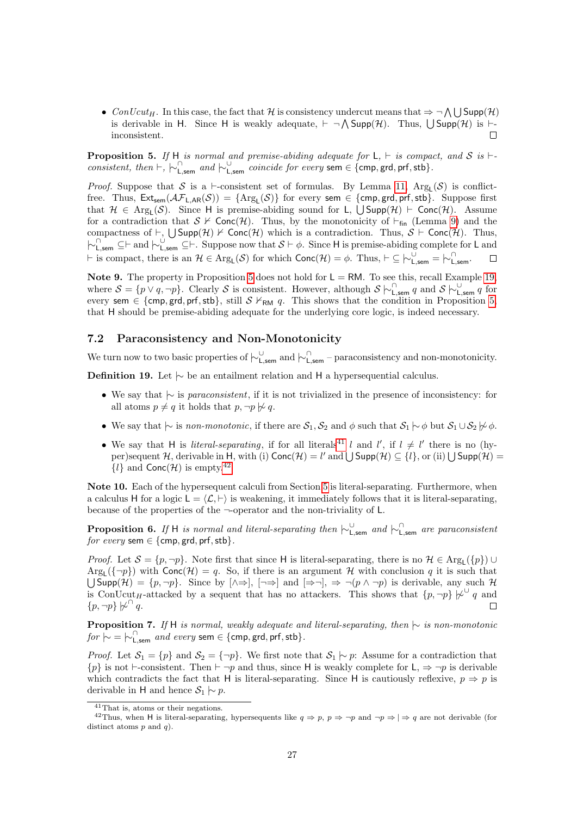• ConUcut<sub>H</sub>. In this case, the fact that H is consistency undercut means that  $\Rightarrow \neg \bigwedge \bigcup \mathsf{Supp}(\mathcal{H})$ is derivable in H. Since H is weakly adequate,  $\vdash \neg \bigwedge \text{Supp}(\mathcal{H})$ . Thus,  $\bigcup \text{Supp}(\mathcal{H})$  is  $\vdash$ inconsistent.  $\Box$ 

<span id="page-26-1"></span>**Proposition 5.** If H is normal and premise-abiding adequate for  $L$ ,  $\vdash$  is compact, and S is  $\vdash$ consistent, then  $\vdash, \vdash_{\mathsf{L,sem}}^{\cap}$  and  $\vdash_{\mathsf{L,sem}}^{\cup}$  coincide for every sem  $\in \{\mathsf{cmp}, \mathsf{grd}, \mathsf{prf}, \mathsf{stb}\}.$ 

*Proof.* Suppose that S is a  $\vdash$ -consistent set of formulas. By Lemma [11,](#page-25-2) Arg<sub>L</sub>(S) is conflictfree. Thus,  $\textsf{Ext}_{sem}(\mathcal{AF}_{\mathsf{L},\mathsf{AR}}(\mathcal{S})) = \{\text{Arg}_{\mathsf{L}}(\mathcal{S})\}$  for every sem  $\in \{\textsf{cmp}, \textsf{grd}, \textsf{prf}, \textsf{stb}\}.$  Suppose first that  $\mathcal{H} \in \text{Arg}_{L}(\mathcal{S})$ . Since H is premise-abiding sound for L,  $\bigcup \text{Supp}(\mathcal{H}) \vdash \text{Conc}(\mathcal{H})$ . Assume for a contradiction that  $S \nvdash \text{Conc}(\mathcal{H})$ . Thus, by the monotonicity of  $\vdash_{fin}$  (Lemma [9\)](#page-23-2) and the compactness of  $\vdash$ ,  $\bigcup \mathsf{Supp}(\mathcal{H}) \not\vdash \mathsf{Conc}(\mathcal{H})$  which is a contradiction. Thus,  $S \vdash \mathsf{Conc}(\mathcal{H})$ . Thus,  $\vdash_{\mathsf{L,sem}}^{\cap} \subseteq \vdash$  and  $\vdash_{\mathsf{L,sem}}^{\cup} \subseteq \vdash$ . Suppose now that  $S \vdash \phi$ . Since H is premise-abiding complete for L and  $\vdash$  is compact, there is an  $\mathcal{H} \in \text{Arg}_{L}(\mathcal{S})$  for which  $\text{Conc}(\mathcal{H}) = \phi$ . Thus,  $\vdash \subseteq \vdash_{L, \text{sem}}^{\cup} = \vdash_{L, \text{sem}}^{\cap}$ .  $\Box$ 

Note 9. The property in Proposition [5](#page-26-1) does not hold for  $L = RM$ . To see this, recall Example [19,](#page-18-0) where  $S = \{p \lor q, \neg p\}$ . Clearly S is consistent. However, although  $S \nvert \nvert_{\text{L,sem}}^{\cap} q$  and  $S \nvert \nvert_{\text{L,sem}}^{\cup} q$  for every sem  $\in \{\text{cmp}, \text{grd}, \text{prf}, \text{stb}\},$  still  $S \nvDash_{\text{RM}} q$ . This shows that the condition in Proposition [5,](#page-26-1) that H should be premise-abiding adequate for the underlying core logic, is indeed necessary.

### <span id="page-26-0"></span>7.2 Paraconsistency and Non-Monotonicity

We turn now to two basic properties of  $\vdash_{\mathsf{L,sem}}^{\cup}$  and  $\vdash_{\mathsf{L,sem}}^{\cap}$  – paraconsistency and non-monotonicity.

Definition 19. Let  $\vdash$  be an entailment relation and H a hypersequential calculus.

- We say that |∼ is paraconsistent, if it is not trivialized in the presence of inconsistency: for all atoms  $p \neq q$  it holds that  $p, \neg p \not\sim q$ .
- We say that  $\sim$  is non-monotonic, if there are  $S_1, S_2$  and  $\phi$  such that  $S_1 \sim \phi$  but  $S_1 \cup S_2 \not\sim \phi$ .
- We say that H is *literal-separating*, if for all literals<sup>[41](#page-26-2)</sup> l and l', if  $l \neq l'$  there is no (hyper)sequent H, derivable in H, with (i)  $Conc(H) = l'$  and  $\bigcup Supp(H) \subseteq \{l\}$ , or (ii)  $\bigcup Supp(H) =$  $\{l\}$  and  $Conc(\mathcal{H})$  is empty.<sup>[42](#page-26-3)</sup>

Note 10. Each of the hypersequent calculi from Section [5](#page-12-1) is literal-separating. Furthermore, when a calculus H for a logic  $L = \langle \mathcal{L}, \vdash \rangle$  is weakening, it immediately follows that it is literal-separating, because of the properties of the  $\neg$ -operator and the non-triviality of L.

**Proposition 6.** If H is normal and literal-separating then  $\vdash^{\cup}_{\mathsf{L,sem}}$  and  $\vdash^{\cap}_{\mathsf{L,sem}}$  are paraconsistent for every sem  $\in$  {cmp, grd, prf, stb}.

*Proof.* Let  $S = \{p, \neg p\}$ . Note first that since H is literal-separating, there is no  $\mathcal{H} \in \text{Arg}_L(\{p\}) \cup$  $Arg_{\mathsf{L}}(\{\neg p\})$  with  $Conc(\mathcal{H}) = q$ . So, if there is an argument H with conclusion q it is such that  $\bigcup \text{Supp}(\mathcal{H}) = \{p, \neg p\}.$  Since by  $[\wedge \Rightarrow]$ ,  $[\neg \Rightarrow]$  and  $[\Rightarrow \neg]$ ,  $\Rightarrow \neg (p \wedge \neg p)$  is derivable, any such  $\mathcal{H}$ is ConUcut<sub>H</sub>-attacked by a sequent that has no attackers. This shows that  $\{p, \neg p\}$   $\not\sim^\cup q$  and  ${p, \neg p}$   $\,\not\sim$   $\ulcorner q$ .  $\Box$ 

<span id="page-26-4"></span>**Proposition 7.** If H is normal, weakly adequate and literal-separating, then  $\mid\sim$  is non-monotonic  $for \rhd = \rhd_{\mathsf{L,sem}}^{\cap} \text{ and every sem} \in \{\mathsf{cmp}, \mathsf{grd}, \mathsf{prf}, \mathsf{stb}\}.$ 

*Proof.* Let  $S_1 = \{p\}$  and  $S_2 = \{\neg p\}$ . We first note that  $S_1 \sim p$ : Assume for a contradiction that  $\{p\}$  is not  $\vdash$ -consistent. Then  $\vdash \neg p$  and thus, since H is weakly complete for  $\mathsf{L}, \Rightarrow \neg p$  is derivable which contradicts the fact that H is literal-separating. Since H is cautiously reflexive,  $p \Rightarrow p$  is derivable in H and hence  $S_1 \sim p$ .

<span id="page-26-3"></span><span id="page-26-2"></span><sup>&</sup>lt;sup>41</sup>That is, atoms or their negations.

<sup>&</sup>lt;sup>42</sup>Thus, when H is literal-separating, hypersequents like  $q \Rightarrow p$ ,  $p \Rightarrow \neg p$  and  $\neg p \Rightarrow |\Rightarrow q$  are not derivable (for distinct atoms  $p$  and  $q$ ).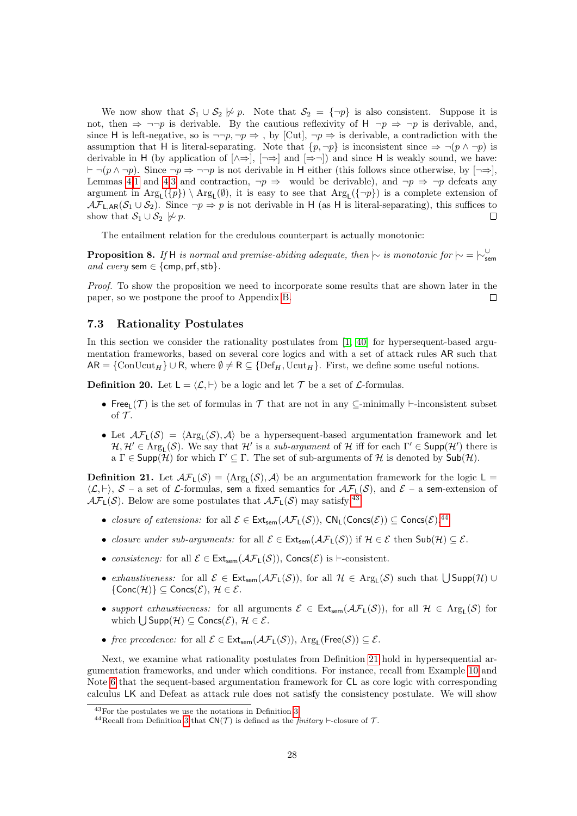We now show that  $S_1 \cup S_2 \not\sim p$ . Note that  $S_2 = \{\neg p\}$  is also consistent. Suppose it is not, then  $\Rightarrow \neg \neg p$  is derivable. By the cautious reflexivity of H  $\neg p \Rightarrow \neg p$  is derivable, and, since H is left-negative, so is  $\neg\neg p, \neg p \Rightarrow$ , by [Cut],  $\neg p \Rightarrow$  is derivable, a contradiction with the assumption that H is literal-separating. Note that  $\{p, \neg p\}$  is inconsistent since  $\Rightarrow \neg(p \land \neg p)$  is derivable in H (by application of  $[\wedge \Rightarrow]$ ,  $[\neg \Rightarrow]$  and  $[\Rightarrow \neg]$ ) and since H is weakly sound, we have:  $\vdash \neg(p \land \neg p)$ . Since  $\neg p \Rightarrow \neg \neg p$  is not derivable in H either (this follows since otherwise, by [¬⇒], Lemmas [4](#page-21-3)[.1](#page-21-1) and [4.](#page-21-3)[3](#page-21-2) and contraction,  $\neg p \Rightarrow$  would be derivable), and  $\neg p \Rightarrow \neg p$  defeats any argument in  $Arg_{L}(\{p\}) \setminus Arg_{L}(\emptyset)$ , it is easy to see that  $Arg_{L}(\{\neg p\})$  is a complete extension of  $\mathcal{AF}_{\mathsf{L},\mathsf{AR}}(\mathcal{S}_1 \cup \mathcal{S}_2)$ . Since  $\neg p \Rightarrow p$  is not derivable in H (as H is literal-separating), this suffices to show that  $S_1 \cup S_2 \not\sim p$ .  $\Box$ 

The entailment relation for the credulous counterpart is actually monotonic:

<span id="page-27-4"></span>**Proposition 8.** If H is normal and premise-abiding adequate, then  $\uparrow\sim$  is monotonic for  $\uparrow\sim = \uparrow\downarrow^{\cup}_{sem}$ and every sem  $\in$  {cmp, prf, stb}.

Proof. To show the proposition we need to incorporate some results that are shown later in the paper, so we postpone the proof to Appendix [B.](#page-47-0)  $\Box$ 

### <span id="page-27-0"></span>7.3 Rationality Postulates

In this section we consider the rationality postulates from [\[1,](#page-41-4) [40\]](#page-43-2) for hypersequent-based argumentation frameworks, based on several core logics and with a set of attack rules AR such that  $AR = \{ConUcut_H\} \cup R$ , where  $\emptyset \neq R \subseteq \{Def_H, Ucut_H\}$ . First, we define some useful notions.

**Definition 20.** Let  $L = \langle \mathcal{L}, \vdash \rangle$  be a logic and let  $\mathcal{T}$  be a set of  $\mathcal{L}$ -formulas.

- Free  $(T)$  is the set of formulas in T that are not in any  $\subseteq$ -minimally  $\vdash$ -inconsistent subset of  $\mathcal T$ .
- Let  $\mathcal{AF}_L(\mathcal{S}) = \langle \text{Arg}_L(\mathcal{S}), \mathcal{A} \rangle$  be a hypersequent-based argumentation framework and let  $H, H' \in \text{Arg}_L(\mathcal{S})$ . We say that  $H'$  is a *sub-argument* of H iff for each  $\Gamma' \in \text{Supp}(H')$  there is  $a \Gamma \in \text{Supp}(\mathcal{H})$  for which  $\Gamma' \subseteq \Gamma$ . The set of sub-arguments of  $\mathcal{H}$  is denoted by  $\text{Sub}(\mathcal{H})$ .

<span id="page-27-1"></span>**Definition 21.** Let  $\mathcal{AF}_L(\mathcal{S}) = \langle \text{Arg}_L(\mathcal{S}), \mathcal{A} \rangle$  be an argumentation framework for the logic  $L =$  $\langle \mathcal{L}, \vdash \rangle$ ,  $\mathcal{S}$  – a set of  $\mathcal{L}$ -formulas, sem a fixed semantics for  $\mathcal{AF}_1(\mathcal{S})$ , and  $\mathcal{E}$  – a sem-extension of  $\mathcal{AF}_L(\mathcal{S})$ . Below are some postulates that  $\mathcal{AF}_L(\mathcal{S})$  may satisfy:<sup>[43](#page-27-2)</sup>

- closure of extensions: for all  $\mathcal{E} \in \text{Ext}_{sem}(\mathcal{AF}_L(\mathcal{S}))$ ,  $\text{CN}_L(\text{Concs}(\mathcal{E})) \subseteq \text{Concs}(\mathcal{E})$ .<sup>[44](#page-27-3)</sup>
- closure under sub-arguments: for all  $\mathcal{E} \in \mathsf{Ext}_{\mathsf{sem}}(\mathcal{AF}_1(\mathcal{S}))$  if  $\mathcal{H} \in \mathcal{E}$  then  $\mathsf{Sub}(\mathcal{H}) \subset \mathcal{E}$ .
- consistency: for all  $\mathcal{E} \in \text{Ext}_{sem}(\mathcal{AF}_L(\mathcal{S}))$ , Concs( $\mathcal{E}$ ) is  $\vdash$ -consistent.
- exhaustiveness: for all  $\mathcal{E} \in \mathsf{Ext}_{sem}(\mathcal{AF}_L(\mathcal{S}))$ , for all  $\mathcal{H} \in \mathrm{Arg}_L(\mathcal{S})$  such that  $\bigcup \mathsf{Supp}(\mathcal{H}) \cup$  $\{Conc(\mathcal{H})\}\subseteq Concs(\mathcal{E}),\,\mathcal{H}\in\mathcal{E}.$
- support exhaustiveness: for all arguments  $\mathcal{E} \in \text{Ext}_{sem}(\mathcal{AF}_L(\mathcal{S}))$ , for all  $\mathcal{H} \in \text{Arg}_L(\mathcal{S})$  for which  $\bigcup$  Supp $(\mathcal{H}) \subseteq$  Concs $(\mathcal{E}), \mathcal{H} \in \mathcal{E}$ .
- free precedence: for all  $\mathcal{E} \in \mathsf{Ext}_{\mathsf{sem}}(\mathcal{AF}_\mathsf{L}(\mathcal{S}))$ ,  $\mathrm{Arg}_\mathsf{L}(\mathsf{Free}(\mathcal{S})) \subseteq \mathcal{E}$ .

Next, we examine what rationality postulates from Definition [21](#page-27-1) hold in hypersequential argumentation frameworks, and under which conditions. For instance, recall from Example [10](#page-11-0) and Note [6](#page-12-0) that the sequent-based argumentation framework for CL as core logic with corresponding calculus LK and Defeat as attack rule does not satisfy the consistency postulate. We will show

<span id="page-27-2"></span><sup>43</sup>For the postulates we use the notations in Definition [3.](#page-3-9)

<span id="page-27-3"></span><sup>&</sup>lt;sup>44</sup>Recall from Definition [3](#page-3-9) that  $CN(\mathcal{T})$  is defined as the *finitary*  $\vdash$ -closure of  $\mathcal{T}$ .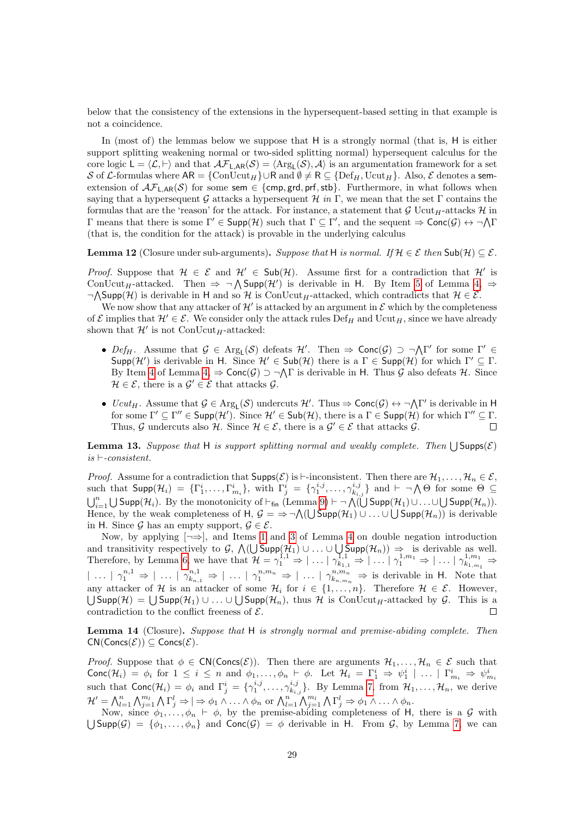below that the consistency of the extensions in the hypersequent-based setting in that example is not a coincidence.

In (most of) the lemmas below we suppose that H is a strongly normal (that is, H is either support splitting weakening normal or two-sided splitting normal) hypersequent calculus for the core logic  $\mathsf{L} = \langle \mathcal{L}, \vdash \rangle$  and that  $\mathcal{AF}_{\mathsf{L},\mathsf{AR}}(\mathcal{S}) = \langle \mathrm{Arg}_{\mathsf{L}}(\mathcal{S}), \mathcal{A} \rangle$  is an argumentation framework for a set S of L-formulas where  $AR = \{ \text{ConUcut}_H \} \cup R$  and  $\emptyset \neq R \subseteq \{ \text{Def}_H, \text{Ucut}_H \}$ . Also,  $\mathcal E$  denotes a semextension of  $\mathcal{AF}_{L,AR}(\mathcal{S})$  for some sem  $\in \{\text{cmp}, \text{grd}, \text{prf}, \text{stb}\}.$  Furthermore, in what follows when saying that a hypersequent G attacks a hypersequent H in Γ, we mean that the set Γ contains the formulas that are the 'reason' for the attack. For instance, a statement that  $\mathcal G$  Ucut<sub>H</sub>-attacks  $\mathcal H$  in Γ means that there is some Γ' ∈ Supp(H) such that  $Γ ⊆ Γ'$ , and the sequent  $\Rightarrow$  Conc( $\mathcal{G}$ )  $\leftrightarrow \neg \Lambda Γ$ (that is, the condition for the attack) is provable in the underlying calculus

<span id="page-28-2"></span>**Lemma 12** (Closure under sub-arguments). Suppose that H is normal. If  $\mathcal{H} \in \mathcal{E}$  then  $\mathsf{Sub}(\mathcal{H}) \subseteq \mathcal{E}$ .

*Proof.* Suppose that  $H \in \mathcal{E}$  and  $H' \in Sub(\mathcal{H})$ . Assume first for a contradiction that  $H'$  is ConUcut<sub>H</sub>-attacked. Then  $\Rightarrow \neg \bigwedge \text{Supp}(\mathcal{H}')$  is derivable in H. By Item [5](#page-21-4) of Lemma [4,](#page-21-3)  $\Rightarrow$  $\neg \Lambda$ Supp(H) is derivable in H and so H is ConUcut<sub>H</sub>-attacked, which contradicts that  $H \in \mathcal{E}$ .

We now show that any attacker of  $\mathcal{H}'$  is attacked by an argument in  $\mathcal E$  which by the completeness of E implies that  $\mathcal{H}' \in \mathcal{E}$ . We consider only the attack rules Def<sub>H</sub> and Ucut<sub>H</sub>, since we have already shown that  $\mathcal{H}'$  is not ConUcut<sub>H</sub>-attacked:

- Def<sub>H</sub>. Assume that  $G \in \text{Arg}_L(\mathcal{S})$  defeats  $\mathcal{H}'$ . Then  $\Rightarrow \text{Conc}(\mathcal{G}) \supset \neg \bigwedge \Gamma'$  for some  $\Gamma' \in$ Supp(H') is derivable in H. Since  $\mathcal{H}' \in Sub(\mathcal{H})$  there is a  $\Gamma \in Supp(\mathcal{H})$  for which  $\Gamma' \subseteq \Gamma$ . By Item [4](#page-21-5) of Lemma  $4, \Rightarrow \textsf{Conc}(\mathcal{G}) \supset \neg \bigwedge \Gamma$  is derivable in H. Thus  $\mathcal{G}$  also defeats  $\mathcal{H}$ . Since  $\mathcal{H} \in \mathcal{E}$ , there is a  $\mathcal{G}' \in \mathcal{E}$  that attacks  $\mathcal{G}$ .
- $Ucut_H$ . Assume that  $\mathcal{G} \in \text{Arg}_L(\mathcal{S})$  undercuts  $\mathcal{H}'$ . Thus  $\Rightarrow \text{Conc}(\mathcal{G}) \leftrightarrow \neg \Lambda \Gamma'$  is derivable in H for some  $\Gamma' \subseteq \Gamma'' \in \mathsf{Supp}(\mathcal{H}')$ . Since  $\mathcal{H}' \in \mathsf{Sub}(\mathcal{H})$ , there is a  $\Gamma \in \mathsf{Supp}(\mathcal{H})$  for which  $\Gamma'' \subseteq \Gamma$ . Thus, G undercuts also H. Since  $\mathcal{H} \in \mathcal{E}$ , there is a  $\mathcal{G}' \in \mathcal{E}$  that attacks  $\mathcal{G}$ .  $\Box$

<span id="page-28-1"></span>**Lemma 13.** Suppose that H is support splitting normal and weakly complete. Then  $\bigcup$ Supps( $\mathcal{E}$ )  $is \vdash-consistent.$ 

*Proof.* Assume for a contradiction that  $\text{Supps}(\mathcal{E})$  is  $\vdash$ -inconsistent. Then there are  $\mathcal{H}_1, \ldots, \mathcal{H}_n \in \mathcal{E}$ , such that  $\mathsf{Supp}(\mathcal{H}_i) = {\{\Gamma_1^i, \ldots, \Gamma_{m_i}^i\}}$ , with  $\Gamma_j^i = {\{\gamma_1^{i,j}, \ldots, \gamma_{k_{i,j}}^{i,j}\}}$  and  $\vdash \neg \bigwedge \Theta$  for some  $\Theta \subseteq \Box$  $\bigcup_{i=1}^n \bigcup \text{Supp}(\mathcal{H}_i)$ . By the monotonicity of  $\vdash_{fin}$  (Lemma [9\)](#page-23-2)  $\vdash \neg \bigwedge (\bigcup \text{Supp}(\mathcal{H}_1) \cup \ldots \cup \bigcup \text{Supp}(\mathcal{H}_n))$ . Hence, by the weak completeness of  $H, \mathcal{G} = \Rightarrow \neg \bigwedge (\bigcup \text{Supp}(\mathcal{H}_1) \cup \dots \cup \bigcup \text{Supp}(\mathcal{H}_n))$  is derivable in H. Since G has an empty support,  $\mathcal{G} \in \mathcal{E}$ .

Now, by applying  $\lceil \rightarrow \rceil$ , and Items [1](#page-21-1) and [3](#page-21-2) of Lemma [4](#page-21-3) on double negation introduction and transitivity respectively to  $\mathcal{G}, \bigwedge(\bigcup \text{Supp}(\mathcal{H}_1) \cup \ldots \cup \bigcup \text{Supp}(\mathcal{H}_n)) \Rightarrow$  is derivable as well. Therefore, by Lemma [6,](#page-22-2) we have that  $\mathcal{H} = \gamma_1^{1,1} \Rightarrow |\dots| \gamma_{k_{1,1}}^{1,1} \Rightarrow |\dots| \gamma_1^{1,m_1} \Rightarrow |\dots| \gamma_{k_{1,m_1}}^{1,m_1} \Rightarrow$  $|\ldots| \gamma_1^{n,1} \Rightarrow |\ldots| \gamma_{k_{n,1}}^{n,1} \Rightarrow |\ldots| \gamma_1^{n,m_n} \Rightarrow |\ldots| \gamma_{k_{n,m_n}}^{n,m_n} \Rightarrow$  is derivable in H. Note that any attacker of H is an attacker of some  $\mathcal{H}_i$  for  $i \in \{1, \ldots, n\}$ . Therefore  $\mathcal{H} \in \mathcal{E}$ . However,  $\bigcup$ Supp $(\mathcal{H}) = \bigcup$ Supp $(\mathcal{H}_1) \cup \ldots \cup \bigcup$ Supp $(\mathcal{H}_n)$ , thus  $\mathcal H$  is ConUcut<sub>H</sub>-attacked by  $\mathcal G$ . This is a contradiction to the conflict freeness of  $\mathcal{E}$ .  $\Box$ 

<span id="page-28-0"></span>Lemma 14 (Closure). Suppose that H is strongly normal and premise-abiding complete. Then  $CN(Concs(\mathcal{E})) \subseteq Cons(\mathcal{E}).$ 

*Proof.* Suppose that  $\phi \in \mathsf{CN}(\mathsf{Concs}(\mathcal{E}))$ . Then there are arguments  $\mathcal{H}_1, \ldots, \mathcal{H}_n \in \mathcal{E}$  such that Conc $(\mathcal{H}_i) = \phi_i$  for  $1 \leq i \leq n$  and  $\phi_1, \ldots, \phi_n \vdash \phi$ . Let  $\mathcal{H}_i = \Gamma_1^i \Rightarrow \psi_1^i \mid \ldots \mid \Gamma_{m_i}^i \Rightarrow \psi_{m_i}^i$ <br>such that  $\text{Conc}(\mathcal{H}_i) = \phi_i$  and  $\Gamma_j^i = \{\gamma_1^{i,j}, \ldots, \gamma_{k_{i,j}}^{i,j}\}$ . By Lemma [7,](#page-22-1) from  $\mathcal{H}_1, \ldots, \mathcal{H}_$  $\mathcal{H}' = \bigwedge_{l=1}^n \bigwedge_{j=1}^{n_l} \bigwedge \Gamma_j^l \Rightarrow |\Rightarrow \phi_1 \wedge \ldots \wedge \phi_n \text{ or } \bigwedge_{l=1}^n \bigwedge_{j=1}^{m_l} \bigwedge \Gamma_j^l \Rightarrow \phi_1 \wedge \ldots \wedge \phi_n.$ 

Now, since  $\phi_1, \ldots, \phi_n \vdash \phi$ , by the premise-abiding completeness of H, there is a G with  $\bigcup$ Supp $(\mathcal{G}) = \{\phi_1,\ldots,\phi_n\}$  and Conc $(\mathcal{G}) = \phi$  derivable in H. From  $\mathcal{G}$ , by Lemma [7,](#page-22-1) we can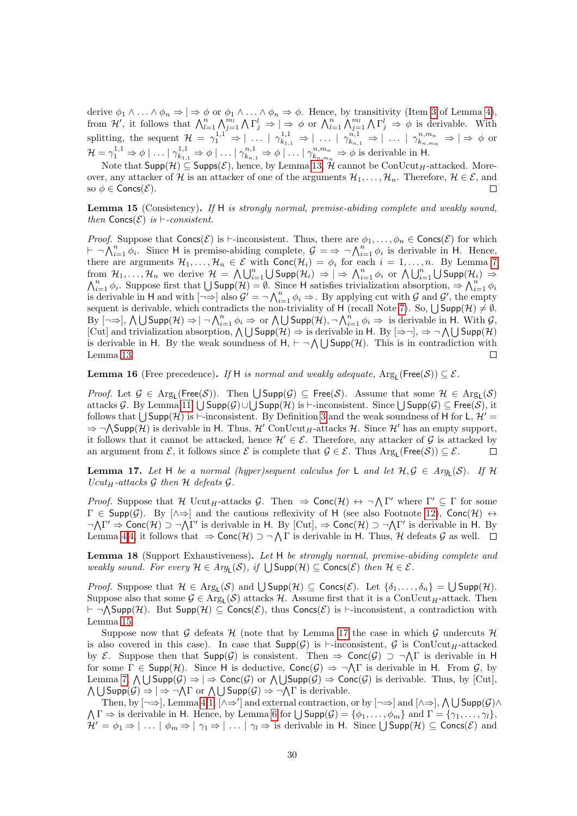derive  $\phi_1 \wedge \ldots \wedge \phi_n \Rightarrow |\Rightarrow \phi \text{ or } \phi_1 \wedge \ldots \wedge \phi_n \Rightarrow \phi$ . Hence, by transitivity (Item [3](#page-21-2) of Lemma [4\)](#page-21-3), from  $\mathcal{H}'$ , it follows that  $\bigwedge_{l=1}^{n} \bigwedge_{j=1}^{m_l} \bigwedge \Gamma_j^l \Rightarrow |\Rightarrow \phi \text{ or } \bigwedge_{l=1}^{n} \bigwedge_{j=1}^{m_l} \bigwedge \Gamma_j^l \Rightarrow \phi$  is derivable. With splitting, the sequent  $\mathcal{H} = \gamma_1^{1,1} \Rightarrow |\dots| \gamma_{k_{1,1}}^{1,1} \Rightarrow |\dots| \gamma_{k_{n,1}}^{n,1} \Rightarrow |\dots| \gamma_{k_{n,m_n}}^{n,m_n} \Rightarrow |\Rightarrow \phi$  or  $\mathcal{H} = \gamma_1^{1,1} \Rightarrow \phi \mid \ldots \mid \gamma_{k_{1,1}}^{1,1} \Rightarrow \phi \mid \ldots \mid \gamma_{k_{n,1}}^{n,1} \Rightarrow \phi \mid \ldots \mid \gamma_{k_{n,m_n}}^{n,m_n} \Rightarrow \phi$  is derivable in H.

Note that  $\mathsf{Supp}(\mathcal{H}) \subseteq \mathsf{Supps}(\mathcal{E})$ , hence, by Lemma [13,](#page-28-1) H cannot be  $\mathrm{ConUcut}_{H}\text{-attached}$ . Moreover, any attacker of H is an attacker of one of the arguments  $\mathcal{H}_1, \ldots, \mathcal{H}_n$ . Therefore,  $\mathcal{H} \in \mathcal{E}$ , and so  $\phi \in \text{Concs}(\mathcal{E})$ .  $\Box$ 

<span id="page-29-0"></span>Lemma 15 (Consistency). If H is strongly normal, premise-abiding complete and weakly sound, then  $Concs(\mathcal{E})$  is  $\vdash$ -consistent.

*Proof.* Suppose that  $Concs(\mathcal{E})$  is  $\vdash$ -inconsistent. Thus, there are  $\phi_1, \ldots, \phi_n \in Concs(\mathcal{E})$  for which  $\vdash \neg \bigwedge_{i=1}^{n} \phi_i$ . Since H is premise-abiding complete,  $\mathcal{G} = \Rightarrow \neg \bigwedge_{i=1}^{n} \phi_i$  is derivable in H. Hence, there are arguments  $\mathcal{H}_1,\ldots,\mathcal{H}_n\in\mathcal{E}$  with  $\mathsf{Conc}(\mathcal{H}_i)=\phi_i$  for each  $i=1,\ldots,n$ . By Lemma [7](#page-22-1) from  $\mathcal{H}_1, \ldots, \mathcal{H}_n$  we derive  $\mathcal{H} = \bigwedge \bigcup_{i=1}^n \bigcup \text{Supp}(\mathcal{H}_i) \Rightarrow \big| \Rightarrow \bigwedge_{i=1}^n \phi_i$  or  $\bigwedge \bigcup_{i=1}^n \bigcup$ from  $\mathcal{H}_1, \ldots, \mathcal{H}_n$  we derive  $\mathcal{H} = \bigwedge \bigcup_{i=1}^n \bigcup \text{Supp}(\mathcal{H}_i) \Rightarrow \big| \Rightarrow \bigwedge_{i=1}^n \phi_i$  or  $\bigwedge \bigcup_{i=1}^n \bigcup \text{Supp}(\mathcal{H}_i) \Rightarrow$ <br> $\bigwedge_{i=1}^n \phi_i$ . Suppose first that  $\bigcup \text{Supp}(\mathcal{H}) = \emptyset$ . Since H satisfies trivi is derivable in H and with  $\left[\neg \Rightarrow\right]$  also  $\mathcal{G}' = \neg \bigwedge_{i=1}^{n} \phi_i \Rightarrow$ . By applying cut with  $\mathcal{G}$  and  $\mathcal{G}'$ , the empty sequent is derivable, which contradicts the non-triviality of H (recall Note [7\)](#page-20-1). So,  $\bigcup \text{Supp}(\mathcal{H}) \neq \emptyset$ .  $\text{By } [\neg \Rightarrow], \bigwedge \bigcup \text{Supp}(\mathcal{H}) \Rightarrow |\neg \bigwedge_{i=1}^{n} \phi_i \Rightarrow \text{ or } \bigwedge \bigcup \text{Supp}(\mathcal{H}), \neg \bigwedge_{i=1}^{n} \phi_i \Rightarrow \text{ is derivable in } H. \text{ With } \mathcal{G},$ [Cut] and trivialization absorption,  $\bigwedge \bigcup \text{Supp}(\mathcal{H}) \Rightarrow$  is derivable in H. By  $[\Rightarrow \neg], \Rightarrow \neg \bigwedge \bigcup \text{Supp}(\mathcal{H})$ is derivable in H. By the weak soundness of  $H$ ,  $\vdash \neg \bigwedge \bigcup \text{Supp}(\mathcal{H})$ . This is in contradiction with Lemma [13.](#page-28-1)  $\Box$ 

<span id="page-29-2"></span>**Lemma 16** (Free precedence). If H is normal and weakly adequate,  $Arg_L(Free(S)) \subseteq \mathcal{E}$ .

*Proof.* Let  $G \in \text{Arg}_L(\text{Free}(\mathcal{S}))$ . Then  $\bigcup \text{Supp}(\mathcal{G}) \subseteq \text{Free}(\mathcal{S})$ . Assume that some  $\mathcal{H} \in \text{Arg}_L(\mathcal{S})$ attacks G. By Lemma [11,](#page-25-2)  $\bigcup$  Supp $(\mathcal{G})$ ∪ $\bigcup$  Supp $(\mathcal{H})$  is  $\vdash$ -inconsistent. Since  $\bigcup$  Supp $(\mathcal{G}) \subseteq$  Free $(\mathcal{S})$ , it follows that  $\bigcup$  Supp $(\mathcal{H})$  is  $\vdash$ -inconsistent. By Definition [3](#page-3-9) and the weak soundness of H for L,  $\mathcal{H}'$  =  $\Rightarrow \neg \bigwedge \text{Supp}(\mathcal{H})$  is derivable in H. Thus,  $\mathcal{H}'$  ConUcut<sub>H</sub>-attacks H. Since H' has an empty support, it follows that it cannot be attacked, hence  $\mathcal{H}' \in \mathcal{E}$ . Therefore, any attacker of G is attacked by an argument from  $\mathcal{E}$ , it follows since  $\mathcal{E}$  is complete that  $\mathcal{G} \in \mathcal{E}$ . Thus  $Arg_L(Free(\mathcal{S})) \subseteq \mathcal{E}$ .  $\Box$ 

<span id="page-29-1"></span>**Lemma 17.** Let H be a normal (hyper)sequent calculus for L and let  $H, G \in Arg_{\mathsf{L}}(\mathcal{S})$ . If H  $Ucut_H$ -attacks  $\mathcal G$  then  $\mathcal H$  defeats  $\mathcal G$ .

*Proof.* Suppose that H Ucut<sub>H</sub>-attacks G. Then  $\Rightarrow$  Conc $(\mathcal{H}) \leftrightarrow \neg \bigwedge \Gamma'$  where  $\Gamma' \subseteq \Gamma$  for some  $\Gamma \in \text{Supp}(\mathcal{G})$ . By  $[\wedge \Rightarrow]$  and the cautious reflexivity of H (see also Footnote [12\)](#page-5-2), Conc $(\mathcal{H}) \leftrightarrow$  $\neg \Lambda \Gamma' \Rightarrow \text{Conc}(\mathcal{H}) \supset \neg \Lambda \Gamma'$  is derivable in H. By  $[\text{Cut}]$ ,  $\Rightarrow \text{Conc}(\mathcal{H}) \supset \neg \Lambda \Gamma'$  is derivable in H. By Lemma [4](#page-21-3)[.4,](#page-21-5) it follows that  $\Rightarrow$  Conc $(\mathcal{H}) \supset \neg \bigwedge \Gamma$  is derivable in H. Thus, H defeats G as well.

<span id="page-29-3"></span>Lemma 18 (Support Exhaustiveness). Let H be strongly normal, premise-abiding complete and weakly sound. For every  $\mathcal{H} \in Arg_L(\mathcal{S})$ , if  $\bigcup Supp(\mathcal{H}) \subseteq \text{Concs}(\mathcal{E})$  then  $\mathcal{H} \in \mathcal{E}$ .

*Proof.* Suppose that  $\mathcal{H} \in \text{Arg}_{L}(\mathcal{S})$  and  $\bigcup \text{Supp}(\mathcal{H}) \subseteq \text{Concs}(\mathcal{E})$ . Let  $\{\delta_1, \ldots, \delta_n\} = \bigcup \text{Supp}(\mathcal{H})$ . Suppose also that some  $G \in \text{Arg}_{\mathsf{L}}(\mathcal{S})$  attacks H. Assume first that it is a ConUcut<sub>H</sub>-attack. Then  $\vdash \neg \bigwedge \text{Supp}(\mathcal{H})$ . But  $\text{Supp}(\mathcal{H}) \subseteq \text{Concs}(\mathcal{E})$ , thus  $\text{Concs}(\mathcal{E})$  is  $\vdash$ -inconsistent, a contradiction with Lemma [15.](#page-29-0)

Suppose now that G defeats H (note that by Lemma [17](#page-29-1) the case in which G undercuts H is also covered in this case). In case that  $\text{Supp}(\mathcal{G})$  is  $\vdash$ -inconsistent,  $\mathcal{G}$  is ConUcut<sub>H</sub>-attacked by E. Suppose then that  $\text{Supp}(\mathcal{G})$  is consistent. Then  $\Rightarrow$  Conc $(\mathcal{G}) \supset \neg \bigwedge \Gamma$  is derivable in H for some  $\Gamma \in \text{Supp}(\mathcal{H})$ . Since H is deductive,  $\text{Conc}(\mathcal{G}) \Rightarrow \neg \Lambda \Gamma$  is derivable in H. From  $\mathcal{G}$ , by Lemma [7,](#page-22-1)  $\bigwedge \bigcup \mathsf{Supp}(\mathcal{G}) \Rightarrow |\Rightarrow \mathsf{Conc}(\mathcal{G}) \text{ or } \bigwedge \bigcup \mathsf{Supp}(\mathcal{G}) \Rightarrow \mathsf{Conc}(\mathcal{G}) \text{ is derivable. Thus, by } [\text{Cut}]$ ,  $\bigwedge \bigcup \mathsf{Supp}(\mathcal{G}) \Rightarrow |\Rightarrow \neg \bigwedge \Gamma$  or  $\bigwedge \bigcup \mathsf{Supp}(\mathcal{G}) \Rightarrow \neg \bigwedge \Gamma$  is derivable.

Then, by  $[\neg \Rightarrow]$ , Lemma [4](#page-21-3)[.1,](#page-21-1)  $[\wedge \Rightarrow']$  and external contraction, or by  $[\neg \Rightarrow]$  and  $[\wedge \Rightarrow]$ ,  $\wedge \bigcup \text{Supp}(\mathcal{G}) \wedge$  $\bigwedge \Gamma \Rightarrow$  is derivable in H. Hence, by Lemma [6](#page-22-2) for  $\bigcup \text{Supp}(\mathcal{G}) = \{\phi_1, \ldots, \phi_m\}$  and  $\Gamma = \{\gamma_1, \ldots, \gamma_l\},\$  $\mathcal{H}' = \phi_1 \Rightarrow |\dots| \phi_m \Rightarrow |\gamma_1 \Rightarrow |\dots| \gamma_l \Rightarrow$  is derivable in H. Since  $\bigcup \mathsf{Supp}(\mathcal{H}) \subseteq \mathsf{Concs}(\mathcal{E})$  and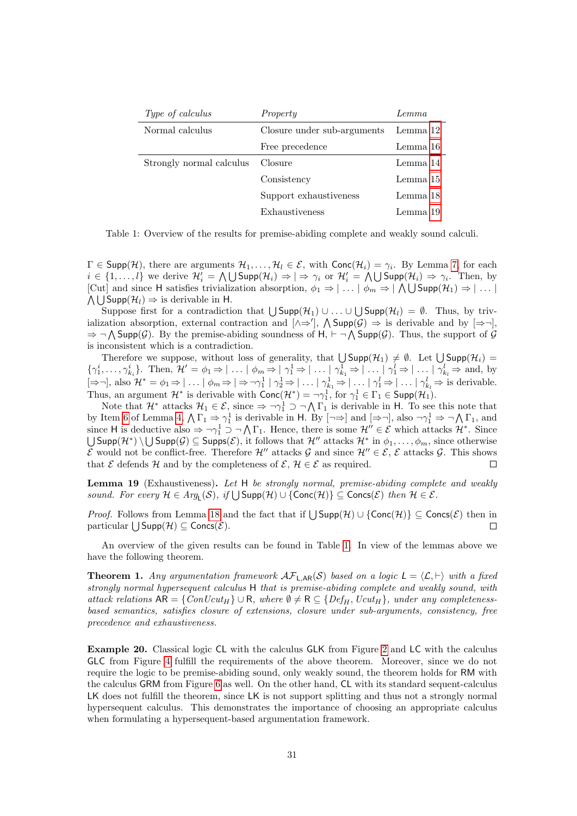| Type of calculus         | Property                    | Lemma    |
|--------------------------|-----------------------------|----------|
| Normal calculus          | Closure under sub-arguments | Lemma 12 |
|                          | Free precedence             | Lemma 16 |
| Strongly normal calculus | Closure                     | Lemma 14 |
|                          | Consistency                 | Lemma 15 |
|                          | Support exhaustiveness      | Lemma 18 |
|                          | Exhaustiveness              | Lemma 19 |

<span id="page-30-3"></span>Table 1: Overview of the results for premise-abiding complete and weakly sound calculi.

 $\Gamma \in \mathsf{Supp}(\mathcal{H})$ , there are arguments  $\mathcal{H}_1, \ldots, \mathcal{H}_l \in \mathcal{E}$ , with  $\mathsf{Conc}(\mathcal{H}_i) = \gamma_i$ . By Lemma [7,](#page-22-1) for each  $i \in \{1,\ldots,l\}$  we derive  $\mathcal{H}'_i = \bigwedge \bigcup \text{Supp}(\mathcal{H}_i) \Rightarrow \big|\Rightarrow \gamma_i$  or  $\mathcal{H}'_i = \bigwedge \bigcup \text{Supp}(\mathcal{H}_i) \Rightarrow \gamma_i$ . Then, by [Cut] and since H satisfies trivialization absorption,  $\phi_1 \Rightarrow |\dots | \phi_m \Rightarrow |\bigwedge \bigcup \text{Supp}(\mathcal{H}_1) \Rightarrow |\dots |$  $\bigwedge \bigcup$  Supp $(\mathcal{H}_l) \Rightarrow$  is derivable in H.

Suppose first for a contradiction that  $\bigcup \text{Supp}(\mathcal{H}_1) \cup ... \cup \bigcup \text{Supp}(\mathcal{H}_l) = \emptyset$ . Thus, by trivialization absorption, external contraction and  $[\wedge \Rightarrow']$ ,  $\wedge$  Supp $(\mathcal{G}) \Rightarrow$  is derivable and by  $[\Rightarrow \neg]$ ,  $\Rightarrow \neg \bigwedge \text{Supp}(\mathcal{G})$ . By the premise-abiding soundness of  $H$ ,  $\vdash \neg \bigwedge \text{Supp}(\mathcal{G})$ . Thus, the support of  $\mathcal{G}$ is inconsistent which is a contradiction.

Therefore we suppose, without loss of generality, that  $\bigcup \text{Supp}(\mathcal{H}_1) \neq \emptyset$ . Let  $\bigcup \text{Supp}(\mathcal{H}_i)$  $\{\gamma_1^i, \ldots, \gamma_{k_i}^i\}$ . Then,  $\mathcal{H}' = \phi_1 \Rightarrow |\ldots| \phi_m \Rightarrow |\gamma_1^1 \Rightarrow |\ldots| \gamma_{k_1}^1 \Rightarrow |\ldots| \gamma_1^l \Rightarrow |\ldots| \gamma_{k_l}^l \Rightarrow$  and, by  $[\Rightarrow \neg], \text{ also } \mathcal{H}^* = \phi_1 \Rightarrow |\dots | \phi_m \Rightarrow |\Rightarrow \neg \gamma_1^1 | \gamma_2^1 \Rightarrow |\dots | \gamma_{k_1}^1 \Rightarrow |\dots | \gamma_1^l \Rightarrow |\dots | \gamma_{k_l}^l \Rightarrow \text{ is derivable.}$ Thus, an argument  $\mathcal{H}^*$  is derivable with  $Conc(\mathcal{H}^*) = \neg \gamma_1^1$ , for  $\gamma_1^1 \in \Gamma_1 \in \text{Supp}(\mathcal{H}_1)$ .

Note that  $\mathcal{H}^*$  attacks  $\mathcal{H}_1 \in \mathcal{E}$ , since  $\Rightarrow \neg \gamma_1^1 \supset \neg \bigwedge \Gamma_1$  is derivable in H. To see this note that by Item [6](#page-21-6) of Lemma [4,](#page-21-3)  $\Lambda \Gamma_1 \Rightarrow \gamma_1^1$  is derivable in H. By  $[\neg \Rightarrow]$  and  $[\Rightarrow \neg]$ , also  $\neg \gamma_1^1 \Rightarrow \neg \Lambda \Gamma_1$ , and since H is deductive also  $\Rightarrow \neg \gamma_1^1 \supset \neg \bigwedge \Gamma_1$ . Hence, there is some  $\mathcal{H}'' \in \mathcal{E}$  which attacks  $\mathcal{H}^*$ . Since  $\bigcup$ Supp $(\mathcal{H}^*)\setminus\bigcup$ Supp $(\mathcal{G})\subseteq$ Supps $(\mathcal{E})$ , it follows that  $\mathcal{H}''$  attacks  $\mathcal{H}^*$  in  $\phi_1,\ldots,\phi_m$ , since otherwise  $\mathcal E$  would not be conflict-free. Therefore H'' attacks G and since  $\mathcal H'' \in \mathcal E$ ,  $\mathcal E$  attacks G. This shows that  $\mathcal E$  defends  $\mathcal H$  and by the completeness of  $\mathcal E, \mathcal H \in \mathcal E$  as required.  $\Box$ 

<span id="page-30-2"></span>Lemma 19 (Exhaustiveness). Let H be strongly normal, premise-abiding complete and weakly sound. For every  $\mathcal{H} \in Arg_{L}(S)$ , if  $\bigcup Supp(\mathcal{H}) \cup \{\text{Conc}(\mathcal{H})\} \subseteq \text{Conc}(\mathcal{E})$  then  $\mathcal{H} \in \mathcal{E}$ .

*Proof.* Follows from Lemma [18](#page-29-3) and the fact that if  $\bigcup \text{Supp}(\mathcal{H}) \cup \{\text{Conc}(\mathcal{H})\}\subseteq \text{Conc}(\mathcal{E})$  then in particular  $\bigcup$  Supp $(\mathcal{H}) \subseteq$  Concs $(\mathcal{E})$ .  $\Box$ 

An overview of the given results can be found in Table [1.](#page-30-3) In view of the lemmas above we have the following theorem.

<span id="page-30-0"></span>**Theorem 1.** Any argumentation framework  $\mathcal{AF}_{\text{L,AR}}(\mathcal{S})$  based on a logic  $L = \langle \mathcal{L}, \vdash \rangle$  with a fixed strongly normal hypersequent calculus H that is premise-abiding complete and weakly sound, with attack relations  $AR = \{ConUcut_H\} \cup R$ , where  $\emptyset \neq R \subseteq \{Def_H, Ucut_H\}$ , under any completenessbased semantics, satisfies closure of extensions, closure under sub-arguments, consistency, free precedence and exhaustiveness.

<span id="page-30-1"></span>Example 20. Classical logic CL with the calculus GLK from Figure [2](#page-8-1) and LC with the calculus GLC from Figure [4](#page-13-0) fulfill the requirements of the above theorem. Moreover, since we do not require the logic to be premise-abiding sound, only weakly sound, the theorem holds for RM with the calculus GRM from Figure [6](#page-18-1) as well. On the other hand, CL with its standard sequent-calculus LK does not fulfill the theorem, since LK is not support splitting and thus not a strongly normal hypersequent calculus. This demonstrates the importance of choosing an appropriate calculus when formulating a hypersequent-based argumentation framework.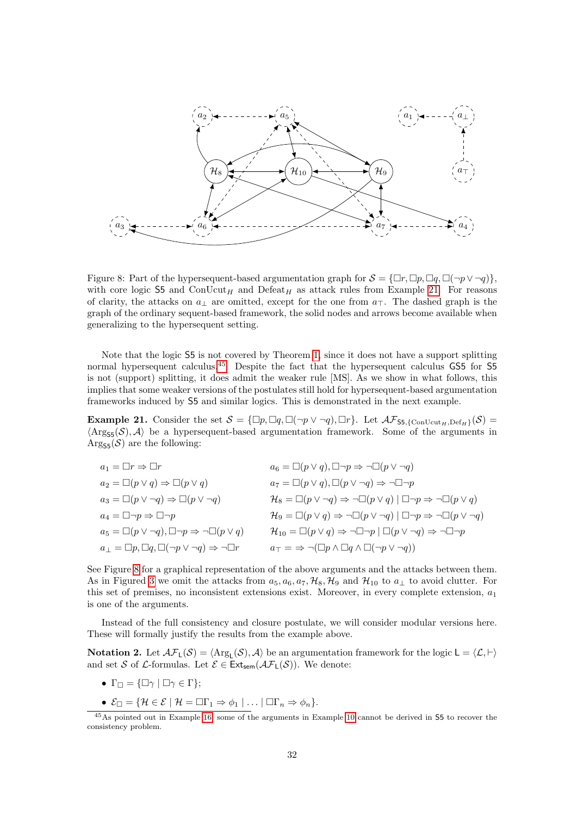

<span id="page-31-2"></span>Figure 8: Part of the hypersequent-based argumentation graph for  $S = {\Box r, \Box p, \Box q, \Box (\neg p \vee \neg q)}$ , with core logic S5 and ConUcut<sub>H</sub> and Defeat<sub>H</sub> as attack rules from Example [21.](#page-31-0) For reasons of clarity, the attacks on  $a_{\perp}$  are omitted, except for the one from  $a_{\perp}$ . The dashed graph is the graph of the ordinary sequent-based framework, the solid nodes and arrows become available when generalizing to the hypersequent setting.

Note that the logic S5 is not covered by Theorem [1,](#page-30-0) since it does not have a support splitting normal hypersequent calculus.<sup>[45](#page-31-1)</sup> Despite the fact that the hypersequent calculus GS5 for S5 is not (support) splitting, it does admit the weaker rule [MS]. As we show in what follows, this implies that some weaker versions of the postulates still hold for hypersequent-based argumentation frameworks induced by S5 and similar logics. This is demonstrated in the next example.

<span id="page-31-0"></span>**Example 21.** Consider the set  $S = {\square p, \square q, \square (\neg p \vee \neg q), \square r}$ . Let  $\mathcal{AF}_{\mathsf{S5}, \{\mathrm{ConUcut}_{H}, \mathrm{Def}_{H}\}}(\mathcal{S}) =$  $\langle \text{Arg}_{\mathsf{S5}}(\mathcal{S}), \mathcal{A} \rangle$  be a hypersequent-based argumentation framework. Some of the arguments in  $\text{Arg}_{\text{SE}}(\mathcal{S})$  are the following:

| $a_1 = \Box r \Rightarrow \Box r$                                             | $a_6 = \Box(p \lor q), \Box \neg p \Rightarrow \neg \Box(p \lor \neg q)$                                                    |
|-------------------------------------------------------------------------------|-----------------------------------------------------------------------------------------------------------------------------|
| $a_2 = \Box (p \lor q) \Rightarrow \Box (p \lor q)$                           | $a_7 = \Box(p \lor q), \Box(p \lor \neg q) \Rightarrow \neg \Box \neg p$                                                    |
| $a_3 = \Box(p \lor \neg q) \Rightarrow \Box(p \lor \neg q)$                   | $\mathcal{H}_8 = \Box(p \lor \neg q) \Rightarrow \neg \Box(p \lor q) \mid \Box \neg p \Rightarrow \neg \Box(p \lor q)$      |
| $a_4 = \Box \neg p \Rightarrow \Box \neg p$                                   | $\mathcal{H}_9 = \Box(p \lor q) \Rightarrow \neg \Box(p \lor \neg q) \mid \Box \neg p \Rightarrow \neg \Box(p \lor \neg q)$ |
| $a_5 = \Box(p \lor \neg q), \Box \neg p \Rightarrow \neg \Box(p \lor q)$      | $\mathcal{H}_{10} = \Box(p \lor q) \Rightarrow \neg \Box \neg p \mid \Box(p \lor \neg q) \Rightarrow \neg \Box \neg p$      |
| $a_\perp = \Box p, \Box q, \Box (\neg p \vee \neg q) \Rightarrow \neg \Box r$ | $a_{\top} = \Rightarrow \neg(\Box p \land \Box q \land \Box(\neg p \lor \neg q))$                                           |

See Figure [8](#page-31-2) for a graphical representation of the above arguments and the attacks between them. As in Figured [3](#page-11-2) we omit the attacks from  $a_5, a_6, a_7, \mathcal{H}_8, \mathcal{H}_9$  and  $\mathcal{H}_{10}$  to  $a_\perp$  to avoid clutter. For this set of premises, no inconsistent extensions exist. Moreover, in every complete extension,  $a_1$ is one of the arguments.

Instead of the full consistency and closure postulate, we will consider modular versions here. These will formally justify the results from the example above.

**Notation 2.** Let  $\mathcal{AF}_L(\mathcal{S}) = \langle \text{Arg}_L(\mathcal{S}), \mathcal{A} \rangle$  be an argumentation framework for the logic  $L = \langle \mathcal{L}, \vdash \rangle$ and set S of L-formulas. Let  $\mathcal{E} \in \text{Ext}_{sem}(\mathcal{AF}_L(\mathcal{S}))$ . We denote:

- $\Gamma_{\Box} = {\Box \gamma \mid \Box \gamma \in \Gamma};$
- $\mathcal{E}_{\Box} = \{ \mathcal{H} \in \mathcal{E} \mid \mathcal{H} = \Box \Gamma_1 \Rightarrow \phi_1 \mid \ldots \mid \Box \Gamma_n \Rightarrow \phi_n \}.$

<span id="page-31-1"></span><sup>&</sup>lt;sup>45</sup>As pointed out in Example [16,](#page-16-3) some of the arguments in Example [10](#page-11-0) cannot be derived in 55 to recover the consistency problem.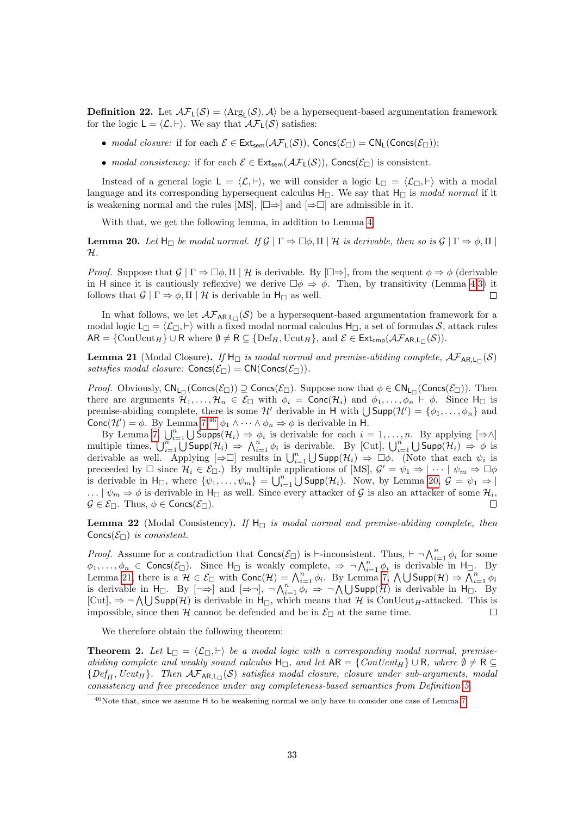**Definition 22.** Let  $\mathcal{AF}_L(\mathcal{S}) = \langle \text{Arg}_L(\mathcal{S}), \mathcal{A} \rangle$  be a hypersequent-based argumentation framework for the logic  $L = \langle \mathcal{L}, \vdash \rangle$ . We say that  $\mathcal{AF}_1(\mathcal{S})$  satisfies:

- modal closure: if for each  $\mathcal{E} \in \text{Ext}_{sem}(\mathcal{AF}_L(\mathcal{S}))$ , Concs $(\mathcal{E}_{\Box}) = \text{CN}_L(\text{Concs}(\mathcal{E}_{\Box}))$ ;
- modal consistency: if for each  $\mathcal{E} \in \text{Ext}_{sem}(\mathcal{AF}_L(\mathcal{S}))$ , Concs $(\mathcal{E}_{\Box})$  is consistent.

Instead of a general logic  $L = \langle \mathcal{L}, \vdash \rangle$ , we will consider a logic  $L = \langle \mathcal{L}_{\Box}, \vdash \rangle$  with a modal language and its corresponding hypersequent calculus  $H_{\Box}$ . We say that  $H_{\Box}$  is modal normal if it is weakening normal and the rules [MS],  $[\Box \Rightarrow]$  and  $[\Rightarrow \Box]$  are admissible in it.

With that, we get the following lemma, in addition to Lemma [4:](#page-21-3)

<span id="page-32-1"></span>**Lemma 20.** Let  $H_{\Box}$  be modal normal. If  $\mathcal{G} | \Gamma \Rightarrow \Box \phi, \Pi | \mathcal{H}$  is derivable, then so is  $\mathcal{G} | \Gamma \Rightarrow \phi, \Pi |$ H.

*Proof.* Suppose that  $\mathcal{G} \mid \Gamma \Rightarrow \Box \phi, \Pi \mid \mathcal{H}$  is derivable. By  $[\Box \Rightarrow]$ , from the sequent  $\phi \Rightarrow \phi$  (derivable in H since it is cautiously reflexive) we derive  $\Box \phi \Rightarrow \phi$ . Then, by transitivity (Lemma [4](#page-21-3)[.3\)](#page-21-2) it follows that  $\mathcal{G} | \Gamma \Rightarrow \phi, \Pi | \mathcal{H}$  is derivable in  $H_{\Box}$  as well.  $\Box$ 

In what follows, we let  $\mathcal{AF}_{AR,L}\left(\mathcal{S}\right)$  be a hypersequent-based argumentation framework for a modal logic  $L_{\Box} = \langle \mathcal{L}_{\Box}, \vdash \rangle$  with a fixed modal normal calculus  $H_{\Box}$ , a set of formulas S, attack rules  $AR = \{ \text{ConUcut}_{H} \} \cup R$  where  $\emptyset \neq R \subseteq \{ \text{Def}_{H}, \text{Ucut}_{H} \}$ , and  $\mathcal{E} \in \text{Ext}_{\text{cmp}}(\mathcal{AF}_{AR,L_{\Box}}(\mathcal{S}))$ .

<span id="page-32-2"></span>**Lemma 21** (Modal Closure). If  $H_{\Box}$  is modal normal and premise-abiding complete,  $\mathcal{AF}_{AR,L_{\Box}}(\mathcal{S})$ satisfies modal closure:  $\text{Concs}(\mathcal{E}_{\Box}) = \text{CN}(\text{Concs}(\mathcal{E}_{\Box})).$ 

*Proof.* Obviously,  $CN_{L}(Concs(\mathcal{E}_\Box)) \supseteq Cons(\mathcal{E}_\Box)$ . Suppose now that  $\phi \in CN_{L}(Concs(\mathcal{E}_\Box))$ . Then there are arguments  $\mathcal{H}_1, \ldots, \mathcal{H}_n \in \mathcal{E}_{\Box}$  with  $\phi_i = \text{Conc}(\mathcal{H}_i)$  and  $\phi_1, \ldots, \phi_n \vdash \phi$ . Since  $H_{\Box}$  is premise-abiding complete, there is some  $\mathcal{H}'$  derivable in H with  $\bigcup \mathsf{Supp}(\mathcal{H}') = {\phi_1, \ldots, \phi_n}$  and Conc $(\mathcal{H}') = \phi$ . By Lemma [7,](#page-22-1)<sup>[46](#page-32-0)</sup>  $\phi_1 \wedge \cdots \wedge \phi_n \Rightarrow \phi$  is derivable in H.

By Lemma [7,](#page-22-1)  $\bigcup_{i=1}^n \bigcup \text{Supps}(\mathcal{H}_i) \Rightarrow \phi_i$  is derivable for each  $i = 1, \ldots, n$ . By applying  $[\Rightarrow \wedge]$ multiple times,  $\bigcup_{i=1}^{n} \bigcup \text{Supp}(\mathcal{H}_i) \Rightarrow \bigwedge_{i=1}^{n} \phi_i$  is derivable. By [Cut],  $\bigcup_{i=1}^{n} \bigcup \text{Supp}(\mathcal{H}_i) \Rightarrow \phi$  is derivable as well. Applying  $[\Rightarrow \Box]$  results in  $\bigcup_{i=1}^n \bigcup \text{Supp}(\mathcal{H}_i) \Rightarrow \Box \phi$ . (Note that each  $\psi_i$  is preceeded by  $\Box$  since  $\mathcal{H}_i \in \mathcal{E}_{\Box}$ . By multiple applications of [MS],  $\mathcal{G}' = \psi_1 \Rightarrow |\cdots| \psi_m \Rightarrow \Box \phi$ is derivable in  $H_{\Box}$ , where  $\{\psi_1,\ldots,\psi_m\} = \bigcup_{i=1}^n \bigcup \text{Supp}(\mathcal{H}_i)$ . Now, by Lemma [20,](#page-32-1)  $\mathcal{G} = \psi_1 \Rightarrow \emptyset$ ...  $\mid \psi_m \Rightarrow \phi$  is derivable in  $H_{\square}$  as well. Since every attacker of G is also an attacker of some  $\mathcal{H}_i$ ,  $\mathcal{G} \in \mathcal{E}_{\Box}$ . Thus,  $\phi \in \text{Concs}(\mathcal{E}_{\Box})$ .  $\Box$ 

**Lemma 22** (Modal Consistency). If  $H_{\Box}$  is modal normal and premise-abiding complete, then Concs( $\mathcal{E}_{\Box}$ ) is consistent.

*Proof.* Assume for a contradiction that  $\text{Concs}(\mathcal{E}_{\Box})$  is  $\vdash$ -inconsistent. Thus,  $\vdash \neg \bigwedge_{i=1}^{n} \phi_i$  for some  $\phi_1, \ldots, \phi_n \in \text{Concs}(\mathcal{E}_{\Box})$ . Since  $H_{\Box}$  is weakly complete,  $\Rightarrow \neg \bigwedge_{i=1}^n \phi_i$  is derivable in  $H_{\Box}$ . By Lemma [21,](#page-32-2) there is a  $\mathcal{H} \in \mathcal{E}_{\Box}$  with  $\text{Conc}(\mathcal{H}) = \bigwedge_{i=1}^{n} \phi_i$ . By Lemma [7,](#page-22-1)  $\bigwedge \bigcup \text{Supp}(\mathcal{H}) \Rightarrow \overline{\bigwedge}_{i=1}^{n} \phi_i$ . is derivable in H<sub> $\Box$ </sub>. By  $[\neg \Rightarrow]$  and  $[\Rightarrow \neg]$ ,  $\neg \bigwedge_{i=1}^{n} \phi_i \Rightarrow \neg \bigwedge \bigcup \text{Supp}(\mathcal{H})$  is derivable in H $\Box$ . By  $[Cut], \Rightarrow \neg \bigwedge \bigcup \mathsf{Supp}(\mathcal{H})$  is derivable in  $H_{\Box}$ , which means that H is ConUcut<sub>H</sub>-attacked. This is impossible, since then  $H$  cannot be defended and be in  $\mathcal{E}_{\Box}$  at the same time.  $\Box$ 

We therefore obtain the following theorem:

**Theorem 2.** Let  $L_{\Box} = \langle L_{\Box}, \vdash \rangle$  be a modal logic with a corresponding modal normal, premiseabiding complete and weakly sound calculus  $H_{\Box}$ , and let  $AR = \{ConUcut_H\} \cup R$ , where  $\emptyset \neq R$  ${Def_H, Ucut_H}.$  Then  $\mathcal{AF}_{AR,L}(\mathcal{S})$  satisfies modal closure, closure under sub-arguments, modal consistency and free precedence under any completeness-based semantics from Definition [5.](#page-3-8)

<span id="page-32-0"></span><sup>46</sup>Note that, since we assume H to be weakening normal we only have to consider one case of Lemma [7.](#page-22-1)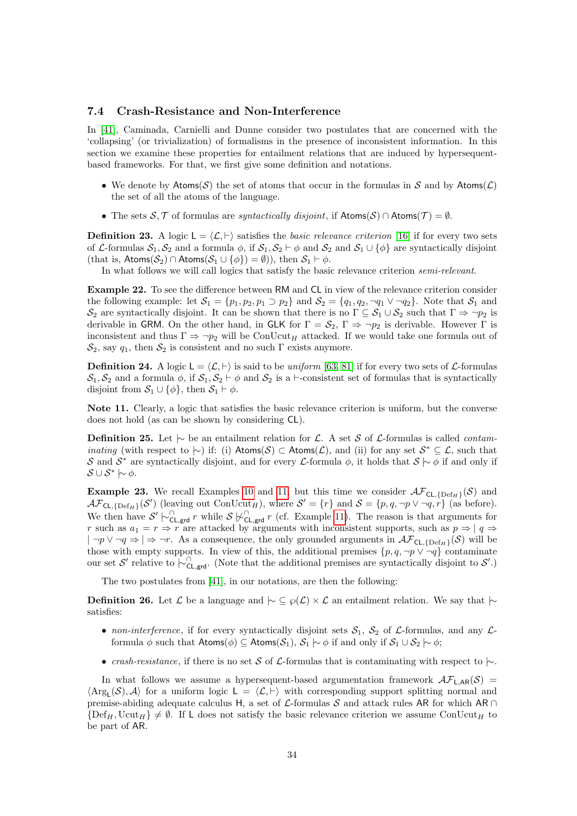### <span id="page-33-1"></span>7.4 Crash-Resistance and Non-Interference

In [\[41\]](#page-43-6), Caminada, Carnielli and Dunne consider two postulates that are concerned with the 'collapsing' (or trivialization) of formalisms in the presence of inconsistent information. In this section we examine these properties for entailment relations that are induced by hypersequentbased frameworks. For that, we first give some definition and notations.

- We denote by  $\mathsf{Atoms}(\mathcal{S})$  the set of atoms that occur in the formulas in S and by  $\mathsf{Atoms}(\mathcal{L})$ the set of all the atoms of the language.
- The sets  $S, \mathcal{T}$  of formulas are *syntactically disjoint*, if  $\mathsf{Atoms}(S) \cap \mathsf{Atoms}(\mathcal{T}) = \emptyset$ .

<span id="page-33-0"></span>**Definition 23.** A logic  $L = \langle \mathcal{L}, \vdash \rangle$  satisfies the basic relevance criterion [\[16\]](#page-42-11) if for every two sets of L-formulas  $S_1, S_2$  and a formula  $\phi$ , if  $S_1, S_2 \vdash \phi$  and  $S_2$  and  $S_1 \cup {\phi}$  are syntactically disjoint (that is,  $\text{Atoms}(\mathcal{S}_2) \cap \text{Atoms}(\mathcal{S}_1 \cup \{\phi\}) = \emptyset$ )), then  $\mathcal{S}_1 \vdash \phi$ .

In what follows we will call logics that satisfy the basic relevance criterion semi-relevant.

Example 22. To see the difference between RM and CL in view of the relevance criterion consider the following example: let  $S_1 = \{p_1, p_2, p_1 \supset p_2\}$  and  $S_2 = \{q_1, q_2, \neg q_1 \vee \neg q_2\}$ . Note that  $S_1$  and  $\mathcal{S}_2$  are syntactically disjoint. It can be shown that there is no  $\Gamma \subseteq \mathcal{S}_1 \cup \mathcal{S}_2$  such that  $\Gamma \Rightarrow \neg p_2$  is derivable in GRM. On the other hand, in GLK for  $\Gamma = \mathcal{S}_2$ ,  $\Gamma \Rightarrow \neg p_2$  is derivable. However  $\Gamma$  is inconsistent and thus  $\Gamma \Rightarrow \neg p_2$  will be ConUcut<sub>H</sub> attacked. If we would take one formula out of  $\mathcal{S}_2$ , say  $q_1$ , then  $\mathcal{S}_2$  is consistent and no such  $\Gamma$  exists anymore.

**Definition 24.** A logic  $L = \langle \mathcal{L}, \vdash \rangle$  is said to be uniform [\[63,](#page-44-15) [81\]](#page-45-14) if for every two sets of  $\mathcal{L}$ -formulas  $S_1, S_2$  and a formula  $\phi$ , if  $S_1, S_2 \vdash \phi$  and  $S_2$  is a  $\vdash$ -consistent set of formulas that is syntactically disjoint from  $S_1 \cup {\phi}$ , then  $S_1 \vdash \phi$ .

Note 11. Clearly, a logic that satisfies the basic relevance criterion is uniform, but the converse does not hold (as can be shown by considering CL).

<span id="page-33-2"></span>**Definition 25.** Let  $\downarrow$  be an entailment relation for L. A set S of L-formulas is called *contaminating* (with respect to  $\sim$ ) if: (i) Atoms(S) ⊂ Atoms(L), and (ii) for any set  $S^* \subseteq L$ , such that S and S<sup>\*</sup> are syntactically disjoint, and for every L-formula  $\phi$ , it holds that  $S \sim \phi$  if and only if  $\mathcal{S} \cup \mathcal{S}^* \hspace{0.2em}\sim\hspace{-0.9em}\mid\hspace{0.58em} \phi.$ 

**Example 23.** We recall Examples [10](#page-11-0) and [11,](#page-12-6) but this time we consider  $\mathcal{AF}_{CL, {Def_H}}(\mathcal{S})$  and  $\mathcal{AF}_{\mathsf{CL}, {\{\mathsf{Def}_H\}}}(\mathcal{S}')$  (leaving out  $\mathrm{ConUcut}_H$ ), where  $\mathcal{S}' = \{r\}$  and  $\mathcal{S} = \{p, q, \neg p \lor \neg q, r\}$  (as before). We then have  $S' \models_{\mathsf{CL},\mathsf{grd}}^{\cap} r$  while  $S \not\models_{\mathsf{CL},\mathsf{grd}}^{\cap} r$  (cf. Example [11\)](#page-12-6). The reason is that arguments for r such as  $a_1 = r \Rightarrow r$  are attacked by arguments with inconsistent supports, such as  $p \Rightarrow |q \Rightarrow$  $|\neg p \vee \neg q \Rightarrow |\Rightarrow \neg r$ . As a consequence, the only grounded arguments in  $\mathcal{AF}_{\mathsf{CL}, \{\mathsf{Def}_{H}\}}(\mathcal{S})$  will be those with empty supports. In view of this, the additional premises  $\{p, q, \neg p \lor \neg q\}$  contaminate our set S' relative to  $\sim_{\text{CL,grd}}^{\cap}$ . (Note that the additional premises are syntactically disjoint to S'.)

The two postulates from [\[41\]](#page-43-6), in our notations, are then the following:

**Definition 26.** Let  $\mathcal{L}$  be a language and  $\sim \mathcal{L} \otimes \mathcal{L} \otimes \mathcal{L}$  an entailment relation. We say that  $\sim$ satisfies:

- non-interference, if for every syntactically disjoint sets  $S_1$ ,  $S_2$  of  $\mathcal{L}$ -formulas, and any  $\mathcal{L}$ formula φ such that  $\mathsf{Atoms}(\phi) \subseteq \mathsf{Atoms}(\mathcal{S}_1), \mathcal{S}_1 \mid \neg \phi$  if and only if  $\mathcal{S}_1 \cup \mathcal{S}_2 \mid \neg \phi$ ;
- crash-resistance, if there is no set S of L-formulas that is contaminating with respect to  $\sim$ .

In what follows we assume a hypersequent-based argumentation framework  $\mathcal{AF}_{L,AR}(\mathcal{S})$  =  $\langle \text{Arg}_{\mathsf{L}}(\mathcal{S}), \mathcal{A} \rangle$  for a uniform logic  $\mathsf{L} = \langle \mathcal{L}, \vdash \rangle$  with corresponding support splitting normal and premise-abiding adequate calculus H, a set of  $\mathcal{L}$ -formulas S and attack rules AR for which AR ∩  $\{\text{Def}_{H}, \text{Ucut}_{H}\} \neq \emptyset$ . If L does not satisfy the basic relevance criterion we assume ConUcut<sub>H</sub> to be part of AR.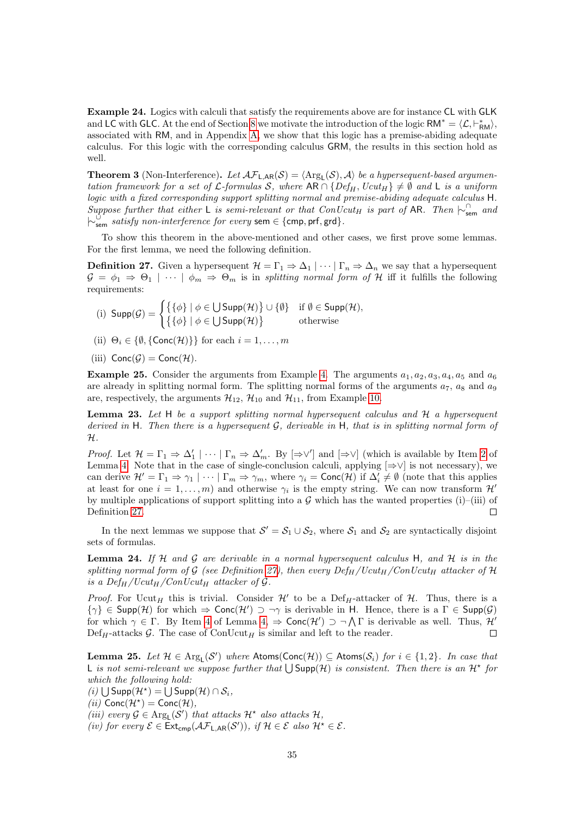Example 24. Logics with calculi that satisfy the requirements above are for instance CL with GLK and LC with GLC. At the end of Section [8](#page-36-0) we motivate the introduction of the logic  $RM^* = \langle \mathcal{L}, \vdash^*_{RM} \rangle$ , associated with RM, and in Appendix [A,](#page-46-0) we show that this logic has a premise-abiding adequate calculus. For this logic with the corresponding calculus GRM, the results in this section hold as well.

<span id="page-34-0"></span>**Theorem 3** (Non-Interference). Let  $\mathcal{AF}_{L,AR}(\mathcal{S}) = \langle \text{Arg}_{L}(\mathcal{S}), \mathcal{A} \rangle$  be a hypersequent-based argumentation framework for a set of L-formulas S, where  $AR \cap \{Def_H, Ucut_H\} \neq \emptyset$  and L is a uniform logic with a fixed corresponding support splitting normal and premise-abiding adequate calculus H. Suppose further that either L is semi-relevant or that  $ConUcut_H$  is part of AR. Then  $\vdash_{sem}^{\cap}$  and  $\left\vert \sim_{\rm sem}^\circ \hspace*{2mm} satisfy \hspace*{2mm} non-interference \hspace*{2mm} for \hspace*{2mm} every \hspace*{2mm} sem \in \{cmp, prf, grd\}.$ 

To show this theorem in the above-mentioned and other cases, we first prove some lemmas. For the first lemma, we need the following definition.

<span id="page-34-1"></span>**Definition 27.** Given a hypersequent  $\mathcal{H} = \Gamma_1 \Rightarrow \Delta_1 \mid \cdots \mid \Gamma_n \Rightarrow \Delta_n$  we say that a hypersequent  $G = \phi_1 \Rightarrow \Theta_1 \mid \cdots \mid \phi_m \Rightarrow \Theta_m$  is in splitting normal form of H iff it fulfills the following requirements:

- (i)  $\text{Supp}(\mathcal{G}) = \begin{cases} \{ \{ \phi \} \mid \phi \in \bigcup \text{Supp}(\mathcal{H}) \} \cup \{ \emptyset \} & \text{if } \emptyset \in \text{Supp}(\mathcal{H}), \end{cases}$  $\{\{\phi\} \mid \phi \in \bigcup \mathsf{Supp}(\mathcal{H})\}$  otherwise
- (ii)  $\Theta_i \in \{\emptyset, \{\text{Conc}(\mathcal{H})\}\}\$ for each  $i = 1, \ldots, m$
- (iii)  $Conc(G) = Conc(H)$ .

**Example 25.** Consider the arguments from Example [4.](#page-6-2) The arguments  $a_1, a_2, a_3, a_4, a_5$  and  $a_6$ are already in splitting normal form. The splitting normal forms of the arguments  $a_7$ ,  $a_8$  and  $a_9$ are, respectively, the arguments  $\mathcal{H}_{12}$ ,  $\mathcal{H}_{10}$  and  $\mathcal{H}_{11}$ , from Example [10.](#page-11-0)

<span id="page-34-2"></span>**Lemma 23.** Let  $H$  be a support splitting normal hypersequent calculus and  $H$  a hypersequent derived in H. Then there is a hypersequent  $G$ , derivable in H, that is in splitting normal form of  $\mathcal{H}.$ 

*Proof.* Let  $\mathcal{H} = \Gamma_1 \Rightarrow \Delta'_1 | \cdots | \Gamma_n \Rightarrow \Delta'_m$ . By  $[\Rightarrow \vee']$  and  $[\Rightarrow \vee]$  (which is available by Item [2](#page-21-7) of Lemma [4.](#page-21-3) Note that in the case of single-conclusion calculi, applying  $[\Rightarrow\vee]$  is not necessary), we can derive  $\mathcal{H}' = \Gamma_1 \Rightarrow \gamma_1 \mid \cdots \mid \Gamma_m \Rightarrow \gamma_m$ , where  $\gamma_i = \text{Conc}(\mathcal{H})$  if  $\Delta'_i \neq \emptyset$  (note that this applies at least for one  $i = 1, ..., m$ ) and otherwise  $\gamma_i$  is the empty string. We can now transform  $\mathcal{H}'$ by multiple applications of support splitting into a  $\mathcal G$  which has the wanted properties (i)–(iii) of Definition [27.](#page-34-1)  $\Box$ 

In the next lemmas we suppose that  $S' = S_1 \cup S_2$ , where  $S_1$  and  $S_2$  are syntactically disjoint sets of formulas.

<span id="page-34-3"></span>**Lemma 24.** If  $H$  and  $G$  are derivable in a normal hypersequent calculus  $H$ , and  $H$  is in the splitting normal form of G (see Definition [27\)](#page-34-1), then every  $Def_H/Ucut_H/ConUcut_H$  attacker of H is a Def<sub>H</sub>/Ucut<sub>H</sub>/ConUcut<sub>H</sub> attacker of G.

*Proof.* For Ucut<sub>H</sub> this is trivial. Consider  $\mathcal{H}'$  to be a Def<sub>H</sub>-attacker of  $\mathcal{H}$ . Thus, there is a  $\{\gamma\} \in \mathsf{Supp}(\mathcal{H})$  for which  $\Rightarrow \mathsf{Conc}(\mathcal{H}') \supset \neg \gamma$  is derivable in H. Hence, there is a  $\Gamma \in \mathsf{Supp}(\mathcal{G})$ for which  $\gamma \in \Gamma$ . By Item [4](#page-21-5) of Lemma  $4 \Rightarrow \text{Conc}(\mathcal{H}') \supset \neg \bigwedge \Gamma$  is derivable as well. Thus,  $\mathcal{H}'$  $\text{Def}_{H}$ -attacks G. The case of  $\text{ConUcut}_{H}$  is similar and left to the reader.  $\Box$ 

<span id="page-34-4"></span>**Lemma 25.** Let  $\mathcal{H} \in \text{Arg}_{L}(\mathcal{S}')$  where  $\mathsf{Atoms}(\mathsf{Conc}(\mathcal{H})) \subseteq \mathsf{Atoms}(\mathcal{S}_i)$  for  $i \in \{1,2\}$ . In case that L is not semi-relevant we suppose further that  $\bigcup \text{Supp}(\mathcal{H})$  is consistent. Then there is an  $\mathcal{H}^*$  for which the following hold:

- (*i*)  $\bigcup$  Supp $(\mathcal{H}^*)$  =  $\bigcup$  Supp $(\mathcal{H}) \cap \mathcal{S}_i$ ,
- (*ii*)  $Conc(\mathcal{H}^*)$  = Conc( $\mathcal{H}$ ),
- (iii) every  $\mathcal{G} \in \text{Arg}_{\mathsf{L}}(\mathcal{S}')$  that attacks  $\mathcal{H}^*$  also attacks  $\mathcal{H}$ ,
- (iv) for every  $\mathcal{E} \in \text{Ext}_{\text{cmp}}(\mathcal{AF}_{\text{L,AR}}(\mathcal{S}'))$ , if  $\mathcal{H} \in \mathcal{E}$  also  $\mathcal{H}^{\star} \in \mathcal{E}$ .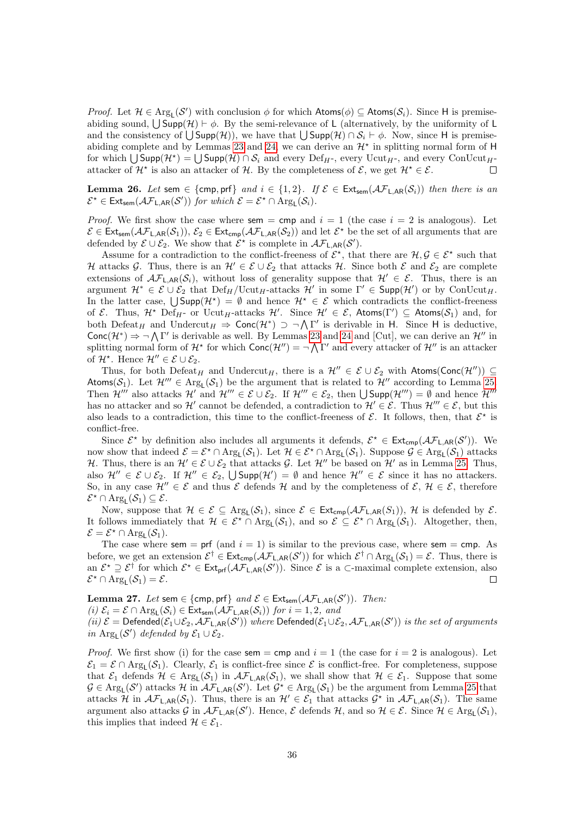*Proof.* Let  $\mathcal{H} \in \text{Arg}_{L}(\mathcal{S}')$  with conclusion  $\phi$  for which  $\mathsf{Atoms}(\phi) \subseteq \mathsf{Atoms}(\mathcal{S}_i)$ . Since H is premiseabiding sound,  $\bigcup \text{Supp}(\mathcal{H}) \vdash \phi$ . By the semi-relevance of L (alternatively, by the uniformity of L and the consistency of  $\bigcup \mathsf{Supp}(\mathcal{H})$ , we have that  $\bigcup \mathsf{Supp}(\mathcal{H}) \cap \mathcal{S}_i \vdash \phi$ . Now, since H is premise-abiding complete and by Lemmas [23](#page-34-2) and [24,](#page-34-3) we can derive an  $\mathcal{H}^*$  in splitting normal form of H for which  $\bigcup \mathsf{Supp}(\mathcal{H}^*) = \bigcup \mathsf{Supp}(\mathcal{H}) \cap \mathcal{S}_i$  and every  $\mathrm{Def}_{H^*}$ , every  $\mathrm{Unut}_{H^*}$ , and every  $\mathrm{ConUcut}_{H^*}$ attacker of  $\mathcal{H}^*$  is also an attacker of H. By the completeness of  $\mathcal{E}$ , we get  $\mathcal{H}^* \in \mathcal{E}$ .  $\Box$ 

<span id="page-35-0"></span>**Lemma 26.** Let sem  $\in \{\text{cmp}, \text{prf}\}\$  and  $i \in \{1, 2\}$ . If  $\mathcal{E} \in \text{Ext}_{\text{sem}}(\mathcal{AF}_{\text{L,AR}}(\mathcal{S}_i))$  then there is an  $\mathcal{E}^{\star} \in \text{Ext}_{sem}(\mathcal{AF}_{\mathsf{L}, \mathsf{AR}}(\mathcal{S}'))$  for which  $\mathcal{E} = \mathcal{E}^{\star} \cap \text{Arg}_{\mathsf{L}}(\mathcal{S}_i)$ .

*Proof.* We first show the case where sem = cmp and  $i = 1$  (the case  $i = 2$  is analogous). Let  $\mathcal{E} \in \text{Ext}_{sem}(\mathcal{AF}_{\text{L,AR}}(\mathcal{S}_1)), \mathcal{E}_2 \in \text{Ext}_{cmp}(\mathcal{AF}_{\text{L,AR}}(\mathcal{S}_2))$  and let  $\mathcal{E}^{\star}$  be the set of all arguments that are defended by  $\mathcal{E} \cup \mathcal{E}_2$ . We show that  $\mathcal{E}^*$  is complete in  $\mathcal{AF}_{\mathsf{L},\mathsf{AR}}(\mathcal{S}')$ .

Assume for a contradiction to the conflict-freeness of  $\mathcal{E}^*$ , that there are  $\mathcal{H}, \mathcal{G} \in \mathcal{E}^*$  such that H attacks G. Thus, there is an  $\mathcal{H}' \in \mathcal{E} \cup \mathcal{E}_2$  that attacks H. Since both  $\mathcal{E}$  and  $\mathcal{E}_2$  are complete extensions of  $\mathcal{AF}_{L,AR}(\mathcal{S}_i)$ , without loss of generality suppose that  $\mathcal{H}' \in \mathcal{E}$ . Thus, there is an argument  $\mathcal{H}^* \in \mathcal{E} \cup \mathcal{E}_2$  that  $\text{Def}_{H}/\text{Ucut}_{H}$ -attacks  $\mathcal{H}'$  in some  $\Gamma' \in \text{Supp}(\mathcal{H}')$  or by  $\text{ConUcut}_{H}$ . In the latter case,  $\bigcup \mathsf{Supp}(\mathcal{H}^*) = \emptyset$  and hence  $\mathcal{H}^* \in \mathcal{E}$  which contradicts the conflict-freeness of  $\mathcal{E}$ . Thus,  $\mathcal{H}^*$  Def<sub>H</sub>- or Ucut<sub>H</sub>-attacks  $\mathcal{H}'$ . Since  $\mathcal{H}' \in \mathcal{E}$ , Atoms( $\Gamma'$ )  $\subseteq$  Atoms( $\mathcal{S}_1$ ) and, for both Defeat<sub>H</sub> and Undercut<sub>H</sub>  $\Rightarrow$  Conc( $\mathcal{H}^*$ )  $\supset \neg \bigwedge \Gamma'$  is derivable in H. Since H is deductive, Conc $(\mathcal{H}^*) \Rightarrow \neg \bigwedge \Gamma'$  is derivable as well. By Lemmas [23](#page-34-2) and [24](#page-34-3) and [Cut], we can derive an  $\mathcal{H}''$  in splitting normal form of  $\mathcal{H}^*$  for which  $\text{Conc}(\mathcal{H}'') = \neg \bigwedge \Gamma'$  and every attacker of  $\mathcal{H}''$  is an attacker of  $\mathcal{H}^*$ . Hence  $\mathcal{H}'' \in \mathcal{E} \cup \mathcal{E}_2$ .

Thus, for both Defeat<sub>H</sub> and Undercut<sub>H</sub>, there is a  $\mathcal{H}'' \in \mathcal{E} \cup \mathcal{E}_2$  with Atoms(Conc( $\mathcal{H}''$ )) ⊆ Atoms(S<sub>1</sub>). Let  $\mathcal{H}''' \in \text{Arg}_{L}(\mathcal{S}_1)$  be the argument that is related to  $\mathcal{H}''$  according to Lemma [25.](#page-34-4) Then  $\mathcal{H}'''$  also attacks  $\mathcal{H}'$  and  $\mathcal{H}''' \in \mathcal{E} \cup \mathcal{E}_2$ . If  $\mathcal{H}''' \in \mathcal{E}_2$ , then  $\bigcup \mathsf{Supp}(\mathcal{H}''') = \emptyset$  and hence  $\mathcal{H}'''$ has no attacker and so  $\mathcal{H}'$  cannot be defended, a contradiction to  $\mathcal{H}' \in \mathcal{E}$ . Thus  $\mathcal{H}''' \in \mathcal{E}$ , but this also leads to a contradiction, this time to the conflict-freeness of  $\mathcal{E}$ . It follows, then, that  $\mathcal{E}^*$  is conflict-free.

Since  $\mathcal{E}^*$  by definition also includes all arguments it defends,  $\mathcal{E}^* \in \text{Ext}_{\text{cmp}}(\mathcal{AF}_{\text{L,AR}}(\mathcal{S}'))$ . We now show that indeed  $\mathcal{E} = \mathcal{E}^* \cap \text{Arg}_L(\mathcal{S}_1)$ . Let  $\mathcal{H} \in \mathcal{E}^* \cap \text{Arg}_L(\mathcal{S}_1)$ . Suppose  $\mathcal{G} \in \text{Arg}_L(\mathcal{S}_1)$  attacks H. Thus, there is an  $\mathcal{H}' \in \mathcal{E} \cup \mathcal{E}_2$  that attacks G. Let  $\mathcal{H}''$  be based on  $\mathcal{H}'$  as in Lemma [25.](#page-34-4) Thus, also  $\mathcal{H}'' \in \mathcal{E} \cup \mathcal{E}_2$ . If  $\mathcal{H}'' \in \mathcal{E}_2$ ,  $\bigcup \mathsf{Supp}(\mathcal{H}') = \emptyset$  and hence  $\mathcal{H}'' \in \mathcal{E}$  since it has no attackers. So, in any case  $\mathcal{H}'' \in \mathcal{E}$  and thus  $\mathcal{E}$  defends H and by the completeness of  $\mathcal{E}, \mathcal{H} \in \mathcal{E}$ , therefore  $\mathcal{E}^\star \cap \text{Arg}_L(\mathcal{S}_1) \subseteq \mathcal{E}.$ 

Now, suppose that  $\mathcal{H} \in \mathcal{E} \subseteq \text{Arg}_{\mathsf{L}}(\mathcal{S}_1)$ , since  $\mathcal{E} \in \text{Ext}_{\text{cmp}}(\mathcal{AF}_{\mathsf{L},\text{AR}}(S_1)),$   $\mathcal{H}$  is defended by  $\mathcal{E}$ . It follows immediately that  $\mathcal{H} \in \mathcal{E}^* \cap \text{Arg}_L(\mathcal{S}_1)$ , and so  $\mathcal{E} \subseteq \mathcal{E}^* \cap \text{Arg}_L(\mathcal{S}_1)$ . Altogether, then,  $\mathcal{E} = \mathcal{E}^* \cap \text{Arg}_L(\mathcal{S}_1).$ 

The case where sem = prf (and  $i = 1$ ) is similar to the previous case, where sem = cmp. As before, we get an extension  $\mathcal{E}^{\dagger} \in \text{Ext}_{\text{cmp}}(\mathcal{AF}_{\text{L,AR}}(\mathcal{S}'))$  for which  $\mathcal{E}^{\dagger} \cap \text{Arg}_{\text{L}}(\mathcal{S}_1) = \mathcal{E}$ . Thus, there is an  $\mathcal{E}^* \supseteq \mathcal{E}^{\dagger}$  for which  $\mathcal{E}^* \in \text{Ext}_{\text{prf}}(\mathcal{AF}_{L,AR}(\mathcal{S}'))$ . Since  $\mathcal{E}$  is a  $\subset$ -maximal complete extension, also  $\mathcal{E}^* \cap \text{Arg}_{\mathsf{L}}(\mathcal{S}_1) = \mathcal{E}.$  $\Box$ 

<span id="page-35-1"></span>**Lemma 27.** Let sem  $\in \{\text{cmp}, \text{prf}\}\$  and  $\mathcal{E} \in \text{Ext}_{\text{sem}}(\mathcal{AF}_{\text{L,AR}}(\mathcal{S}'))$ . Then: (i)  $\mathcal{E}_i = \mathcal{E} \cap \text{Arg}_L(\mathcal{S}_i) \in \text{Ext}_{\text{sem}}(\mathcal{AF}_{L,AR}(\mathcal{S}_i))$  for  $i = 1, 2$ , and (ii)  $\mathcal{E} = \mathsf{Defended}(\mathcal{E}_1 \cup \mathcal{E}_2, \mathcal{AF}_{\mathsf{L},\mathsf{AR}}(S'))$  where  $\mathsf{Defended}(\mathcal{E}_1 \cup \mathcal{E}_2, \mathcal{AF}_{\mathsf{L},\mathsf{AR}}(S'))$  is the set of arguments in  $\text{Arg}_{\mathsf{L}}(\mathcal{S}')$  defended by  $\mathcal{E}_1 \cup \mathcal{E}_2$ .

*Proof.* We first show (i) for the case sem = cmp and  $i = 1$  (the case for  $i = 2$  is analogous). Let  $\mathcal{E}_1 = \mathcal{E} \cap \text{Arg}_L(\mathcal{S}_1)$ . Clearly,  $\mathcal{E}_1$  is conflict-free since  $\mathcal{E}$  is conflict-free. For completeness, suppose that  $\mathcal{E}_1$  defends  $\mathcal{H} \in \text{Arg}_{\mathsf{L}}(\mathcal{S}_1)$  in  $\mathcal{AF}_{\mathsf{L},AR}(\mathcal{S}_1)$ , we shall show that  $\mathcal{H} \in \mathcal{E}_1$ . Suppose that some  $G \in \text{Arg}_{\mathsf{L}}(\mathcal{S}')$  attacks  $\mathcal{H}$  in  $\mathcal{AF}_{\mathsf{L}, \mathsf{AR}}(\mathcal{S}').$  Let  $\mathcal{G}^* \in \text{Arg}_{\mathsf{L}}(\mathcal{S}_1)$  be the argument from Lemma [25](#page-34-4) that attacks H in  $\mathcal{AF}_{\mathsf{L},\mathsf{AR}}(\mathcal{S}_1)$ . Thus, there is an  $\mathcal{H}' \in \mathcal{E}_1$  that attacks  $\mathcal{G}^*$  in  $\mathcal{AF}_{\mathsf{L},\mathsf{AR}}(\mathcal{S}_1)$ . The same argument also attacks G in  $\mathcal{AF}_{\mathsf{L},\mathsf{AR}}(\mathcal{S}')$ . Hence, E defends H, and so  $\mathcal{H} \in \mathcal{E}$ . Since  $\mathcal{H} \in \mathrm{Arg}_{\mathsf{L}}(\mathcal{S}_1)$ , this implies that indeed  $\mathcal{H} \in \mathcal{E}_1$ .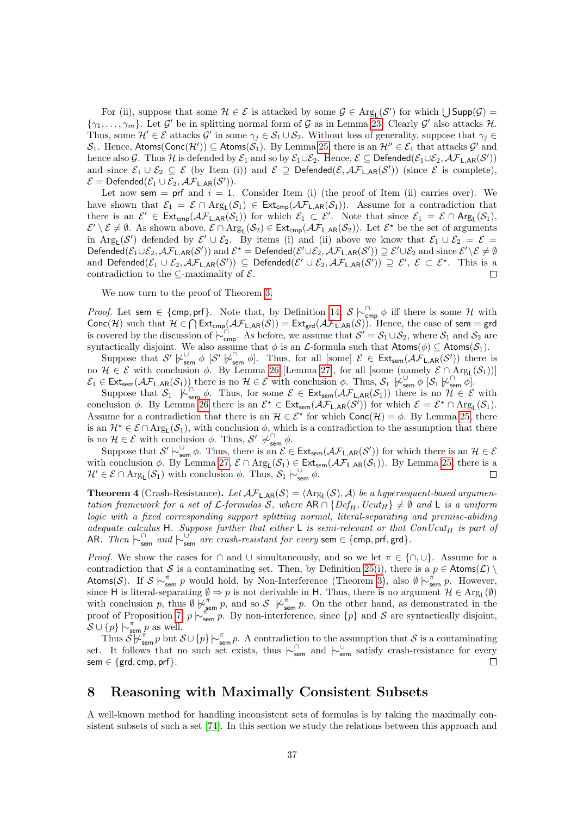For (ii), suppose that some  $\mathcal{H} \in \mathcal{E}$  is attacked by some  $\mathcal{G} \in \text{Arg}_{L}(\mathcal{S}')$  for which  $\bigcup \text{Supp}(\mathcal{G}) =$  $\{\gamma_1,\ldots,\gamma_m\}$ . Let  $\mathcal{G}'$  be in splitting normal form of  $\mathcal G$  as in Lemma [23.](#page-34-2) Clearly  $\mathcal{G}'$  also attacks  $\mathcal{H}$ . Thus, some  $\mathcal{H}' \in \mathcal{E}$  attacks  $\mathcal{G}'$  in some  $\gamma_j \in \mathcal{S}_1 \cup \mathcal{S}_2$ . Without loss of generality, suppose that  $\gamma_j \in \mathcal{E}$  $\mathcal{S}_1$ . Hence, Atoms(Conc $(\mathcal{H}')\subseteq$  Atoms $(\mathcal{S}_1)$ . By Lemma [25,](#page-34-4) there is an  $\mathcal{H}''\in\mathcal{E}_1$  that attacks  $\mathcal{G}'$  and hence also G. Thus H is defended by  $\mathcal{E}_1$  and so by  $\mathcal{E}_1 \cup \mathcal{E}_2$ . Hence,  $\mathcal{E} \subseteq$  Defended $(\mathcal{E}_1 \cup \mathcal{E}_2, \mathcal{AF}_{\mathsf{L}, \mathsf{AR}}(S'))$ and since  $\mathcal{E}_1 \cup \mathcal{E}_2 \subseteq \mathcal{E}$  (by Item (i)) and  $\mathcal{E} \supseteq \mathsf{Defended}(\mathcal{E},\mathcal{AF}_{\mathsf{L},\mathsf{AR}}(\mathcal{S}'))$  (since  $\mathcal{E}$  is complete),  $\mathcal{E} = \mathsf{Defended}(\mathcal{E}_1 \cup \mathcal{E}_2, \mathcal{AF}_{\mathsf{L}, \mathsf{AR}}(\mathcal{S}')).$ 

Let now sem  $=$  prf and  $i = 1$ . Consider Item (i) (the proof of Item (ii) carries over). We have shown that  $\mathcal{E}_1 = \mathcal{E} \cap \text{Arg}_L(\mathcal{S}_1) \in \text{Ext}_{\text{cmp}}(\mathcal{AF}_{L,AR}(\mathcal{S}_1)).$  Assume for a contradiction that there is an  $\mathcal{E}' \in \text{Ext}_{\text{cmp}}(\mathcal{AF}_{\text{L,AR}}(\mathcal{S}_1))$  for which  $\mathcal{E}_1 \subset \mathcal{E}'$ . Note that since  $\mathcal{E}_1 = \mathcal{E} \cap \text{Arg}_{\text{L}}(\mathcal{S}_1)$ ,  $\mathcal{E}' \setminus \mathcal{E} \neq \emptyset$ . As shown above,  $\mathcal{E} \cap \text{Arg}_{\mathsf{L}}(\mathcal{S}_2) \in \text{Ext}_{\text{cmp}}(\mathcal{AF}_{\mathsf{L}, \text{AR}}(\mathcal{S}_2))$ . Let  $\mathcal{E}^{\star}$  be the set of arguments in Arg<sub>L</sub>(S') defended by  $\mathcal{E}' \cup \mathcal{E}_2$ . By items (i) and (ii) above we know that  $\mathcal{E}_1 \cup \mathcal{E}_2 = \mathcal{E}$ Defended $(\mathcal{E}_1\cup\mathcal{E}_2,\mathcal{AF}_{\mathsf{L},\mathsf{AR}}(\mathcal{S}'))$  and  $\mathcal{E}^{\star} = \mathsf{Defended}(\mathcal{E}'\cup\mathcal{E}_2,\mathcal{AF}_{\mathsf{L},\mathsf{AR}}(\mathcal{S}')) \supseteq \mathcal{E}'\cup\mathcal{E}_2$  and since  $\mathcal{E}'\setminus\mathcal{E}\neq\emptyset$ and Defended $(\mathcal{E}_1 \cup \mathcal{E}_2, \mathcal{AF}_{\mathsf{L},\mathsf{AR}}(\mathcal{S}')) \subseteq \mathsf{Defended}(\mathcal{E}' \cup \mathcal{E}_2, \mathcal{AF}_{\mathsf{L},\mathsf{AR}}(\mathcal{S}')) \supseteq \mathcal{E}', \ \mathcal{E} \subset \mathcal{E}^*$ . This is a contradiction to the  $\subseteq$ -maximality of  $\mathcal{E}$ .  $\Box$ 

We now turn to the proof of Theorem [3.](#page-34-0)

*Proof.* Let sem  $\in$  {cmp, prf}. Note that, by Definition [14,](#page-12-5)  $S \n\sim_{\mathsf{cmp}}^{\cap} \phi$  iff there is some H with Conc(H) such that  $H \in \bigcap \text{Ext}_{cmp}(\mathcal{AF}_{L,AR}(\mathcal{S})) = \text{Ext}_{grd}(\mathcal{AF}_{L,AR}(\mathcal{S}))$ . Hence, the case of sem = grd is covered by the discussion of  $\vdash_{\mathsf{cmp}}^{\ulcorner\;\;\uparrow\;\;\ldots\;\;\downarrow\;\cdots\;\;\rightarrow\;\;\cdots}$  As before, we assume that  $\mathcal{S}' = \mathcal{S}_1 \cup \mathcal{S}_2$ , where  $\mathcal{S}_1$  and  $\mathcal{S}_2$  are syntactically disjoint. We also assume that  $\phi$  is an L-formula such that  $\mathsf{Atoms}(\phi) \subseteq \mathsf{Atoms}(\mathcal{S}_1)$ .

Suppose that  $\mathcal{S}' \not\sim_{sem}^{\mathcal{S}} \phi [\mathcal{S}' \not\sim_{sem}^{\mathcal{S}} \phi].$  Thus, for all [some]  $\mathcal{E} \in Ext_{sem}(\mathcal{A} \mathcal{F}_{L,AR}(\mathcal{S}'))$  there is no  $\mathcal{H} \in \mathcal{E}$  with conclusion  $\phi$ . By Lemma [26](#page-35-0) [Lemma [27\]](#page-35-1), for all [some (namely  $\mathcal{E} \cap \text{Arg}_{L}(\mathcal{S}_1)$ )]  $\mathcal{E}_1 \in \text{Ext}_{\text{sem}}(\mathcal{AF}_{\text{L,AR}}(\mathcal{S}_1))$  there is no  $\mathcal{H} \in \mathcal{E}$  with conclusion  $\phi$ . Thus,  $\mathcal{S}_1 \not\downarrow_{\text{sem}}^{\cup} \phi$   $[\mathcal{S}_1 \not\downarrow_{\text{sem}}^{\cap} \phi]$ .

Suppose that  $S_1$   $\mu_{sem}^{\cap}$   $\phi$ . Thus, for some  $\mathcal{E} \in Ext_{sem}(\mathcal{AF}_{L,AR}(S_1))$  there is no  $\mathcal{H} \in \mathcal{E}$  with conclusion  $\phi$ . By Lemma [26](#page-35-0) there is an  $\mathcal{E}^* \in \text{Ext}_{sem}(\mathcal{AF}_{L,AR}(\mathcal{S}'))$  for which  $\mathcal{E} = \mathcal{E}^* \cap \text{Arg}_L(\mathcal{S}_1)$ . Assume for a contradiction that there is an  $\mathcal{H} \in \mathcal{E}^*$  for which  $Conc(\mathcal{H}) = \phi$ . By Lemma [25,](#page-34-4) there is an  $\mathcal{H}^* \in \mathcal{E} \cap \text{Arg}_L(\mathcal{S}_1)$ , with conclusion  $\phi$ , which is a contradiction to the assumption that there is no  $\mathcal{H} \in \mathcal{E}$  with conclusion  $\phi$ . Thus,  $\mathcal{S}'$   $\varphi_{\textsf{sem}}^{\cap} \phi$ .

Suppose that  $S' \sim_{\text{sem}}^{\cup} \phi$ . Thus, there is an  $\mathcal{E} \in \text{Ext}_{\text{sem}}(\mathcal{AF}_{\text{L,AR}}(S'))$  for which there is an  $\mathcal{H} \in \mathcal{E}$ with conclusion  $\phi$ . By Lemma [27,](#page-35-1)  $\mathcal{E} \cap \text{Arg}_L(\mathcal{S}_1) \in \text{Ext}_{\text{sem}}(\mathcal{AF}_{L,AR}(\mathcal{S}_1))$ . By Lemma [25,](#page-34-4) there is a  $\mathcal{H}' \in \mathcal{E} \cap \text{Arg}_{L}(\mathcal{S}_1)$  with conclusion  $\phi$ . Thus,  $\mathcal{S}_1 \not\sim_{\text{sem}}^{\cup} \phi$ .  $\Box$ 

<span id="page-36-1"></span>**Theorem 4** (Crash-Resistance). Let  $\mathcal{AF}_{\mathsf{L},\mathsf{AR}}(\mathcal{S}) = \langle \mathrm{Arg}_{\mathsf{L}}(\mathcal{S}), \mathcal{A} \rangle$  be a hypersequent-based argumentation framework for a set of  $\mathcal{L}$ -formulas S, where  $AR \cap \{Def_H, Ucut_H\} \neq \emptyset$  and L is a uniform logic with a fixed corresponding support splitting normal, literal-separating and premise-abiding adequate calculus H. Suppose further that either  $\sf L$  is semi-relevant or that  $ConUcut_H$  is part of AR. Then  $\downarrow_{\text{sem}}^{\cap}$  and  $\downarrow_{\text{sem}}^{\cup}$  are crash-resistant for every sem  $\in$  {cmp, prf, grd}.

*Proof.* We show the cases for ∩ and ∪ simultaneously, and so we let  $\pi \in \{\cap,\cup\}$ . Assume for a contradiction that S is a contaminating set. Then, by Definition [25\(](#page-33-2)i), there is a  $p \in \text{Atoms}(\mathcal{L}) \setminus \mathcal{L}$ Atoms(S). If  $S \nightharpoonup_{\text{sem}}^{\pi} p$  would hold, by Non-Interference (Theorem [3\)](#page-34-0), also  $\emptyset \nightharpoonup_{\text{sem}}^{\pi} p$ . However, since H is literal-separating  $\emptyset \Rightarrow p$  is not derivable in H. Thus, there is no argument  $\mathcal{H} \in \text{Arg}_{L}(\emptyset)$ with conclusion p, thus  $\emptyset \not\vdash_{\mathsf{sem}}^{\pi} p$ , and so  $\mathcal{S} \not\vdash_{\mathsf{sem}}^{\pi} p$ . On the other hand, as demonstrated in the proof of Proposition [7,](#page-26-4)  $p \nightharpoonup_{\mathsf{sem}}^{\mathbb{Z}} p$ . By non-interference, since  $\{p\}$  and S are syntactically disjoint,  $\mathcal{S} \cup \{p\} \mid \sim_{\mathsf{sem}}^{\pi} p$  as well.

Thus  $S \not\vdash_{sem}^{\pi} p$  but  $S \cup \{p\} \not\vdash_{sem}^{\pi} p$ . A contradiction to the assumption that S is a contaminating set. It follows that no such set exists, thus  $\sim_{\sf sem}^{\cap}$  and  $\sim_{\sf sem}^{\cup}$  satisfy crash-resistance for every sem  $\in$  {grd, cmp, prf}.

### <span id="page-36-0"></span>8 Reasoning with Maximally Consistent Subsets

A well-known method for handling inconsistent sets of formulas is by taking the maximally consistent subsets of such a set [\[74\]](#page-45-2). In this section we study the relations between this approach and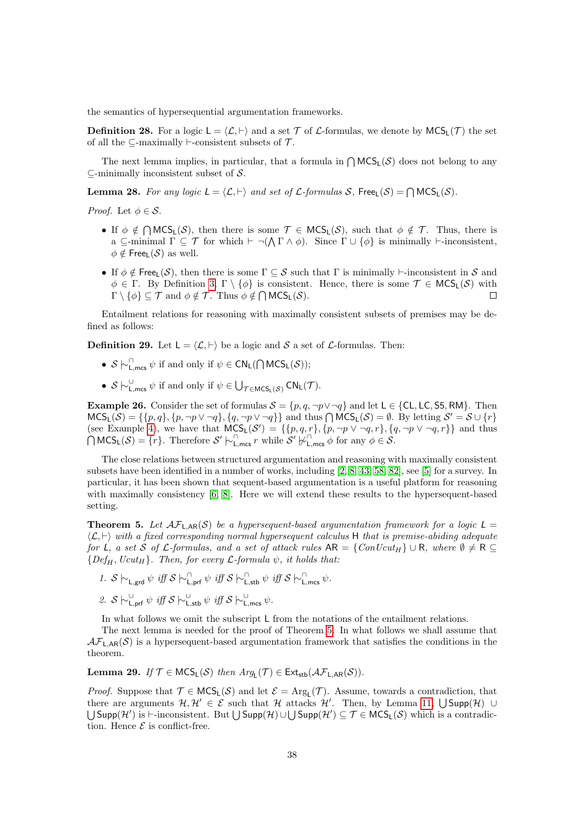the semantics of hypersequential argumentation frameworks.

**Definition 28.** For a logic  $L = \langle L, \vdash \rangle$  and a set T of L-formulas, we denote by  $MCS_L(\mathcal{T})$  the set of all the  $\subseteq$ -maximally  $\vdash$ -consistent subsets of  $\mathcal{T}$ .

The next lemma implies, in particular, that a formula in  $\bigcap {\sf MCS}_L(\mathcal{S})$  does not belong to any  $\subseteq$ -minimally inconsistent subset of S.

<span id="page-37-2"></span>**Lemma 28.** For any logic  $L = \langle \mathcal{L}, \vdash \rangle$  and set of  $\mathcal{L}$ -formulas S, Free<sub>L</sub>(S) =  $\bigcap \text{MCS}_L(\mathcal{S})$ .

*Proof.* Let  $\phi \in \mathcal{S}$ .

- If  $\phi \notin \bigcap \text{MCS}_L(\mathcal{S})$ , then there is some  $\mathcal{T} \in \text{MCS}_L(\mathcal{S})$ , such that  $\phi \notin \mathcal{T}$ . Thus, there is a  $\subseteq$ -minimal  $\Gamma \subseteq \mathcal{T}$  for which  $\vdash \neg (\bigwedge \Gamma \wedge \phi)$ . Since  $\Gamma \cup \{\phi\}$  is minimally  $\vdash$ -inconsistent,  $\phi \notin$  Free<sub>l</sub> (S) as well.
- If  $\phi \notin \text{Free}_{\mathsf{L}}(\mathcal{S})$ , then there is some  $\Gamma \subseteq \mathcal{S}$  such that  $\Gamma$  is minimally  $\vdash$ -inconsistent in  $\mathcal{S}$  and  $\phi \in \Gamma$ . By Definition [3,](#page-3-9)  $\Gamma \setminus {\phi}$  is consistent. Hence, there is some  $\mathcal{T} \in \text{MCS}_L(\mathcal{S})$  with  $\Gamma \setminus \{\phi\} \subseteq \mathcal{T}$  and  $\phi \notin \mathcal{T}$ . Thus  $\phi \notin \bigcap \mathsf{MCS}_\mathsf{L}(\mathcal{S})$ .  $\Box$

Entailment relations for reasoning with maximally consistent subsets of premises may be defined as follows:

**Definition 29.** Let  $L = \langle \mathcal{L}, \vdash \rangle$  be a logic and S a set of L-formulas. Then:

- $S \sim \bigcap_{\mathsf{L}, \mathsf{mcs}}^{\mathsf{L}} \psi$  if and only if  $\psi \in \mathsf{CN}_\mathsf{L}(\bigcap \mathsf{MCS}_\mathsf{L}(\mathcal{S}))$ ;
- $S \vdash_{\mathsf{L},\mathsf{mcs}}^{\cup} \psi$  if and only if  $\psi \in \bigcup_{\mathcal{T} \in \mathsf{MCS}_\mathsf{L}(\mathcal{S})} \mathsf{CN}_\mathsf{L}(\mathcal{T})$ .

**Example 26.** Consider the set of formulas  $S = \{p, q, \neg p \lor \neg q\}$  and let  $L \in \{\text{CL}, \text{LC}, \text{S5}, \text{RM}\}\$ . Then  $MCS_{L}(S) = \{\{p, q\}, \{p, \neg p \lor \neg q\}, \{q, \neg p \lor \neg q\}\}\$ and thus  $\bigcap MCS_{L}(S) = \emptyset$ . By letting  $S' = S \cup \{r\}$ (see Example [4\)](#page-6-2), we have that  $MCS_L(S') = \{\{p,q,r\}, \{p,\neg p \lor \neg q,r\}, \{q,\neg p \lor \neg q,r\}\}\$  and thus  $\bigcap \text{MCS}_L(\mathcal{S}) = \{r\}.$  Therefore  $\mathcal{S}' \models_{\text{L,mes}}^{\cap} r$  while  $\mathcal{S}' \not\models_{\text{L,mes}}^{\cap} \phi$  for any  $\phi \in \mathcal{S}.$ 

The close relations between structured argumentation and reasoning with maximally consistent subsets have been identified in a number of works, including [\[2,](#page-41-5) [8,](#page-41-11) [43,](#page-43-3) [58,](#page-44-16) [82\]](#page-45-15), see [\[5\]](#page-41-12) for a survey. In particular, it has been shown that sequent-based argumentation is a useful platform for reasoning with maximally consistency [\[6,](#page-41-6) [8\]](#page-41-11). Here we will extend these results to the hypersequent-based setting.

<span id="page-37-0"></span>**Theorem 5.** Let  $AF_{LAR}(S)$  be a hypersequent-based argumentation framework for a logic  $L =$  $\langle \mathcal{L} \rangle$  with a fixed corresponding normal hypersequent calculus H that is premise-abiding adequate for L, a set S of L-formulas, and a set of attack rules  $AR = \{ConUcut_H\} \cup R$ , where  $\emptyset \neq R$  ${Def_H, Ucut_H}.$  Then, for every  $\mathcal{L}$ -formula  $\psi$ , it holds that:

1. 
$$
S \rightharpoonup_{L,grd} \psi
$$
 iff  $S \rightharpoonup_{L,prf}^{\cap} \psi$  iff  $S \rightharpoonup_{L,stb}^{\cap} \psi$  iff  $S \rightharpoonup_{L,ms}^{\cap} \psi$ .  
\n2.  $S \rightharpoonup_{L,prf}^{\cup} \psi$  iff  $S \rightharpoonup_{L,stb}^{\cup} \psi$  iff  $S \rightharpoonup_{L,mes}^{\cup} \psi$ .

In what follows we omit the subscript L from the notations of the entailment relations.

The next lemma is needed for the proof of Theorem [5.](#page-37-0) In what follows we shall assume that  $\mathcal{AF}_{\mathsf{LAR}}(\mathcal{S})$  is a hypersequent-based argumentation framework that satisfies the conditions in the theorem.

<span id="page-37-1"></span>**Lemma 29.** If  $\mathcal{T} \in \mathsf{MCS}_L(\mathcal{S})$  then  $Arg_L(\mathcal{T}) \in \mathsf{Ext}_{\mathsf{stb}}(\mathcal{AF}_{L,AR}(\mathcal{S})).$ 

*Proof.* Suppose that  $\mathcal{T} \in \text{MCS}_L(\mathcal{S})$  and let  $\mathcal{E} = \text{Arg}_L(\mathcal{T})$ . Assume, towards a contradiction, that there are arguments  $\mathcal{H}, \mathcal{H}' \in \mathcal{E}$  such that  $\mathcal{H}$  attacks  $\mathcal{H}'$ . Then, by Lemma [11,](#page-25-2)  $\bigcup \mathsf{Supp}(\mathcal{H}) \cup$  $\bigcup$ Supp $(\mathcal{H}')$  is  $\vdash$ -inconsistent. But  $\bigcup$ Supp $(\mathcal{H}) \cup \bigcup$ Supp $(\mathcal{H}') \subseteq \mathcal{T} \in \mathsf{MCS}_L(\mathcal{S})$  which is a contradiction. Hence  $\mathcal E$  is conflict-free.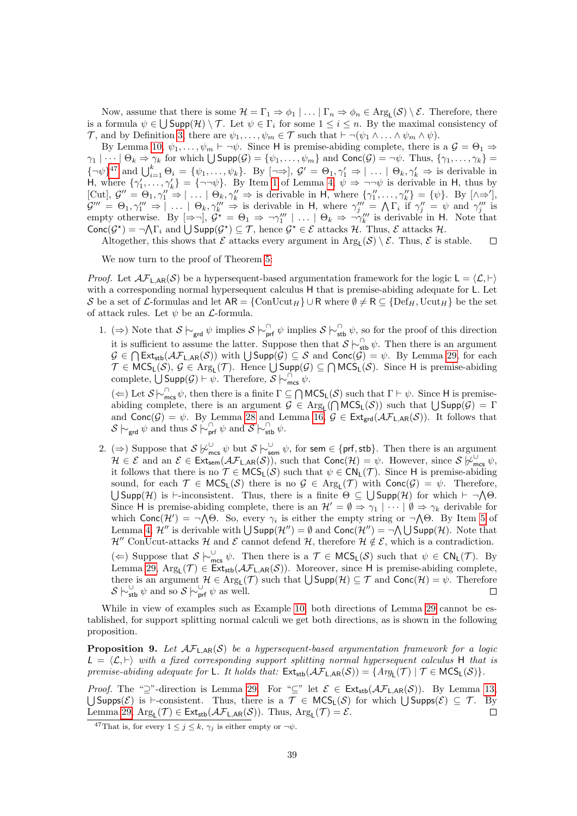Now, assume that there is some  $\mathcal{H} = \Gamma_1 \Rightarrow \phi_1 \mid \ldots \mid \Gamma_n \Rightarrow \phi_n \in \text{Arg}_{L}(\mathcal{S}) \setminus \mathcal{E}$ . Therefore, there is a formula  $\psi \in \bigcup \textsf{Supp}(\mathcal{H}) \setminus \mathcal{T}$ . Let  $\psi \in \Gamma_i$  for some  $1 \leq i \leq n$ . By the maximal consistency of T, and by Definition [3,](#page-3-9) there are  $\psi_1, \ldots, \psi_m \in \mathcal{T}$  such that  $\vdash \neg(\psi_1 \land \ldots \land \psi_m \land \psi)$ .

By Lemma [10,](#page-24-2)  $\psi_1, \ldots, \psi_m \vdash \neg \psi$ . Since H is premise-abiding complete, there is a  $\mathcal{G} = \Theta_1 \Rightarrow$  $\gamma_1 | \cdots | \Theta_k \Rightarrow \gamma_k$  for which  $\bigcup \text{Supp}(\mathcal{G}) = \{\psi_1, \ldots, \psi_m\}$  and  $\text{Conc}(\mathcal{G}) = \neg \psi$ . Thus,  $\{\gamma_1, \ldots, \gamma_k\} =$  ${\{\neg \psi\}}^{47}$  ${\{\neg \psi\}}^{47}$  ${\{\neg \psi\}}^{47}$  and  $\bigcup_{i=1}^k \Theta_i = {\{\psi_1,\ldots,\psi_k\}}$ . By  $[\neg \Rightarrow]$ ,  $\mathcal{G}' = \Theta_1, \gamma_1' \Rightarrow |\ldots| \Theta_k, \gamma_k' \Rightarrow$  is derivable in H, where  $\{\gamma'_1,\ldots,\gamma'_k\} = \{\neg\neg\psi\}.$  By Item [1](#page-21-1) of Lemma [4,](#page-21-3)  $\psi \Rightarrow \neg\neg\psi$  is derivable in H, thus by [Cut],  $\mathcal{G}'' = \Theta_1, \gamma_1'' \Rightarrow |\dots| \Theta_k, \gamma_k'' \Rightarrow$  is derivable in H, where  $\{\gamma_1'', \dots, \gamma_k''\} = \{\psi\}.$  By  $[\wedge \Rightarrow']$ ,  $\mathcal{G}''' = \Theta_1, \gamma_1''' \Rightarrow |\dots| \Theta_k, \gamma_k''' \Rightarrow$  is derivable in H, where  $\gamma_j''' = \Lambda \Gamma_i$  if  $\gamma_j'' = \psi$  and  $\gamma_j'''$  is empty otherwise. By  $[\Rightarrow \neg], \mathcal{G}^* = \Theta_1 \Rightarrow \neg \gamma_1''' \mid ... \mid \Theta_k \Rightarrow \neg \gamma_k'''$  is derivable in H. Note that  $\text{Conc}(\mathcal{G}^*) = \neg \bigwedge \Gamma_i$  and  $\bigcup \text{Supp}(\mathcal{G}^*) \subseteq \mathcal{T}$ , hence  $\mathcal{G}^* \in \mathcal{E}$  attacks  $\mathcal{H}$ . Thus,  $\mathcal{E}$  attacks  $\mathcal{H}$ .

Altogether, this shows that  $\mathcal E$  attacks every argument in  $\mathrm{Arg}_L(\mathcal{S}) \setminus \mathcal{E}$ . Thus,  $\mathcal E$  is stable.  $\Box$ 

We now turn to the proof of Theorem [5:](#page-37-0)

*Proof.* Let  $\mathcal{AF}_{L,AR}(\mathcal{S})$  be a hypersequent-based argumentation framework for the logic  $L = \langle \mathcal{L}, \vdash \rangle$ with a corresponding normal hypersequent calculus H that is premise-abiding adequate for L. Let S be a set of L-formulas and let  $AR = \{ConUcut_H\} \cup R$  where  $\emptyset \neq R \subseteq \{Def_H, Ucut_H\}$  be the set of attack rules. Let  $\psi$  be an  $\mathcal{L}$ -formula.

1. (⇒) Note that  $S \nightharpoonup_{\text{grd}} \psi$  implies  $S \nightharpoonup_{\text{prf}}^{\cap} \psi$  implies  $S \nightharpoonup_{\text{stb}}^{\cap} \psi$ , so for the proof of this direction it is sufficient to assume the latter. Suppose then that  $S \n\sim_{\text{stb}}^{\cap} \psi$ . Then there is an argument  $\mathcal{G} \in \bigcap \mathsf{Ext}_{\mathsf{stb}}(\mathcal{AF}_{\mathsf{L},\mathsf{AR}}(\mathcal{S}))$  with  $\bigcup \mathsf{Supp}(\mathcal{G}) \subseteq \mathcal{S}$  and  $\mathsf{Conc}(\mathcal{G}) = \psi$ . By Lemma [29,](#page-37-1) for each  $\mathcal{T} \in \mathsf{MCS}_\mathsf{L}(\mathcal{S}), \mathcal{G} \in \mathrm{Arg}_\mathsf{L}(\mathcal{T})$ . Hence  $\bigcup \mathsf{Supp}(\mathcal{G}) \subseteq \bigcap \mathsf{MCS}_\mathsf{L}(\mathcal{S})$ . Since H is premise-abiding complete,  $\bigcup$  Supp $(\mathcal{G}) \vdash \psi$ . Therefore,  $\mathcal{S} \models_{\mathsf{mcs}}^{\cap} \psi$ .

( $\Leftarrow$ ) Let  $S \sim_{\mathsf{mcs}}^{\mathsf{O}} \psi$ , then there is a finite  $\Gamma \subseteq \bigcap \mathsf{MCS}_\mathsf{L}(\mathcal{S})$  such that  $\Gamma \vdash \psi$ . Since H is premiseabiding complete, there is an argument  $\mathcal{G} \in \text{Arg}_L(\bigcap \text{MCS}_L(\mathcal{S}))$  such that  $\bigcup \text{Supp}(\mathcal{G}) = \Gamma$ and  $Conc(\mathcal{G}) = \psi$ . By Lemma [28](#page-37-2) and Lemma [16,](#page-29-2)  $\mathcal{G} \in Ext_{\text{grd}}(\mathcal{AF}_{L,AR}(\mathcal{S}))$ . It follows that  $\mathcal{S} \hspace{0.2em}\sim_{\mathsf{grd}} \psi$  and thus  $\mathcal{S} \hspace{0.2em}\sim_{\mathsf{prf}}^{\cap} \psi$  and  $\mathcal{S} \hspace{0.2em}\sim_{\mathsf{stb}}^{\cap} \psi$ .

2. (⇒) Suppose that  $S \not\sim_{\text{mes}}^{\cup} \psi$  but  $S \not\sim_{\text{sem}}^{\cup} \psi$ , for sem  $\in$  {prf, stb}. Then there is an argument  $\mathcal{H} \in \mathcal{E}$  and an  $\mathcal{E} \in \text{Ext}_{sem}(\mathcal{AF}_{\mathsf{L},\mathsf{AR}}(\mathcal{S}))$ , such that  $Conc(\mathcal{H}) = \psi$ . However, since  $\mathcal{S} \not\upharpoonright_{mcs}^{\mathsf{U}} \psi$ , it follows that there is no  $\mathcal{T} \in \mathsf{MCS}_L(\mathcal{S})$  such that  $\psi \in \mathsf{CN}_L(\mathcal{T})$ . Since H is premise-abiding sound, for each  $\mathcal{T} \in \mathsf{MCS}_L(\mathcal{S})$  there is no  $\mathcal{G} \in \mathrm{Arg}_L(\mathcal{T})$  with  $\mathsf{Conc}(\mathcal{G}) = \psi$ . Therefore,  $\bigcup \text{Supp}(\mathcal{H})$  is  $\vdash$ -inconsistent. Thus, there is a finite  $\Theta \subseteq \bigcup \text{Supp}(\mathcal{H})$  for which  $\vdash \neg \Lambda \Theta$ . Since H is premise-abiding complete, there is an  $\mathcal{H}' = \emptyset \Rightarrow \gamma_1 \mid \cdots \mid \emptyset \Rightarrow \gamma_k$  derivable for which  $Conc(\mathcal{H}') = \neg \bigwedge \Theta$ . So, every  $\gamma_i$  is either the empty string or  $\neg \bigwedge \Theta$ . By Item [5](#page-21-4) of Lemma [4,](#page-21-3)  $\mathcal{H}''$  is derivable with  $\bigcup$  Supp $(\mathcal{H}'') = \emptyset$  and  $Conc(\mathcal{H}'') = \neg \bigwedge \bigcup$  Supp $(\mathcal{H})$ . Note that  $\mathcal{H}''$  ConUcut-attacks H and E cannot defend H, therefore  $\mathcal{H} \notin \mathcal{E}$ , which is a contradiction. (←) Suppose that  $S \n\vdash_{\sf mes}^{\cup} \psi$ . Then there is a  $\mathcal{T} \in \sf{MCS}_L(\mathcal{S})$  such that  $\psi \in \sf{CN}_L(\mathcal{T})$ . By Lemma [29,](#page-37-1)  $Arg_L(\mathcal{T}) \in Ext_{stb}(\mathcal{AF}_{L,AR}(\mathcal{S}))$ . Moreover, since H is premise-abiding complete, there is an argument  $\mathcal{H} \in \text{Arg}_{L}(\mathcal{T})$  such that  $\bigcup \text{Supp}(\mathcal{H}) \subseteq \mathcal{T}$  and  $\text{Conc}(\mathcal{H}) = \psi$ . Therefore  $\mathcal{S} \hspace{0.2em}\sim\hspace{-0.9em}\mid\hspace{0.58em} \mathbb{S} \hspace{0.1em}$   $\downarrow$  where  $\mathcal{S} \hspace{0.2em}\sim\hspace{-0.9em}\mid\hspace{0.58em} \mathbb{S} \hspace{0.1em}\mid\hspace{0.18em} \mathbb{S} \hspace{0.1em}\mid\hspace{0.18em} \mathbb{S} \hspace{0.1em}\mid\hspace{0.18em}$ 

While in view of examples such as Example [10,](#page-11-0) both directions of Lemma [29](#page-37-1) cannot be established, for support splitting normal calculi we get both directions, as is shown in the following proposition.

**Proposition 9.** Let  $AF<sub>L,AR</sub>(S)$  be a hypersequent-based argumentation framework for a logic  $L = \langle \mathcal{L}, \vdash \rangle$  with a fixed corresponding support splitting normal hypersequent calculus H that is premise-abiding adequate for L. It holds that:  $\text{Ext}_{\text{stb}}(\mathcal{AF}_{\text{L,AR}}(\mathcal{S})) = \{Arg_{\text{L}}(\mathcal{T}) \mid \mathcal{T} \in \text{MCS}_{\text{L}}(\mathcal{S})\}.$ 

*Proof.* The "⊇"-direction is Lemma [29.](#page-37-1) For "⊆" let  $\mathcal{E} \in Ext_{\text{stb}}(\mathcal{AF}_{\text{L,AR}}(\mathcal{S}))$ . By Lemma [13,](#page-28-1) U Supps(E) is  $\vdash$ -consistent. Thus, there is a  $\mathcal{T} \in \mathsf{MCS}_L(\mathcal{S})$  for which U Supps(E) ⊆  $\mathcal{T}$ . By Lemma [29,](#page-37-1)  $\text{Arg}_{L}(\mathcal{T}) \in \text{Ext}_{\text{stb}}(\mathcal{AF}_{L,AR}(\mathcal{S}))$ . Thus,  $\text{Arg}_{L}(\mathcal{T}) = \mathcal{E}$ .  $\Box$ 

<span id="page-38-0"></span><sup>&</sup>lt;sup>47</sup>That is, for every  $1 \leq j \leq k$ ,  $\gamma_i$  is either empty or  $\neg \psi$ .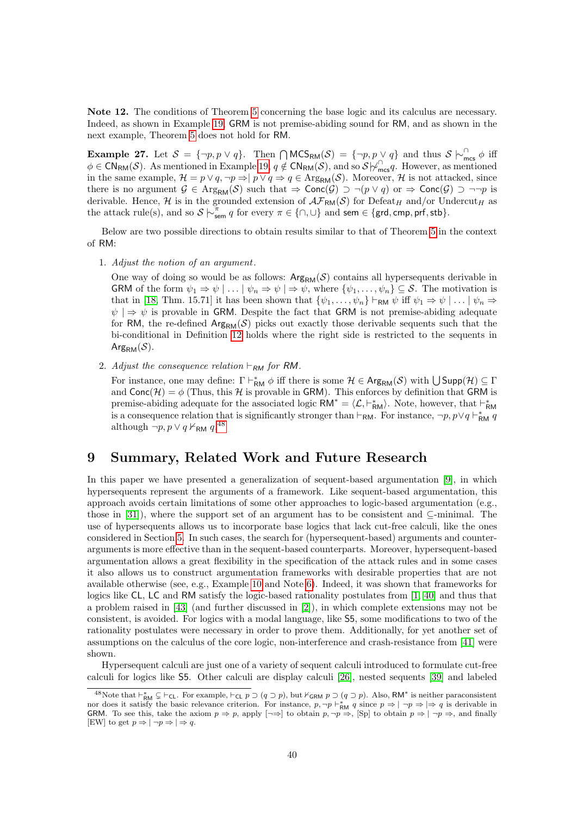Note 12. The conditions of Theorem [5](#page-37-0) concerning the base logic and its calculus are necessary. Indeed, as shown in Example [19,](#page-18-0) GRM is not premise-abiding sound for RM, and as shown in the next example, Theorem [5](#page-37-0) does not hold for RM.

**Example 27.** Let  $S = \{\neg p, p \lor q\}$ . Then  $\bigcap {\sf MCS}_{\sf RM}(\mathcal{S}) = \{\neg p, p \lor q\}$  and thus  $S \upharpoonright_{\sf mcs}^{\cap} \phi$  iff  $\phi \in \mathsf{CN}_{\mathsf{RM}}(\mathcal{S})$ . As mentioned in Example [19,](#page-18-0)  $q \notin \mathsf{CN}_{\mathsf{RM}}(\mathcal{S})$ , and so  $\mathcal{S}[\mathcal{S}]$ <sup>∩</sup><sub>mcs</sub>q. However, as mentioned in the same example,  $\mathcal{H} = p \vee q$ ,  $\neg p \Rightarrow |p \vee q \Rightarrow q \in \text{Arg}_{\text{RM}}(\mathcal{S})$ . Moreover,  $\mathcal{H}$  is not attacked, since there is no argument  $G \in \text{Arg}_{RM}(S)$  such that  $\Rightarrow \text{Conc}(\mathcal{G}) \supset \neg(p \vee q)$  or  $\Rightarrow \text{Conc}(\mathcal{G}) \supset \neg\neg p$  is derivable. Hence, H is in the grounded extension of  $\mathcal{AF}_{RM}(\mathcal{S})$  for Defeat<sub>H</sub> and/or Undercut<sub>H</sub> as the attack rule(s), and so  $S \n\sim_{\text{sem}}^{\pi} q$  for every  $\pi \in \{\cap, \cup\}$  and sem  $\in \{\text{grd}, \text{cmp}, \text{prf}, \text{stb}\}.$ 

Below are two possible directions to obtain results similar to that of Theorem [5](#page-37-0) in the context of RM:

1. Adjust the notion of an argument.

One way of doing so would be as follows:  $Arg_{RM}(S)$  contains all hypersequents derivable in GRM of the form  $\psi_1 \Rightarrow \psi \mid \ldots \mid \psi_n \Rightarrow \psi \mid \Rightarrow \psi$ , where  $\{\psi_1, \ldots, \psi_n\} \subseteq \mathcal{S}$ . The motivation is that in [\[18,](#page-42-10) Thm. 15.71] it has been shown that  $\{\psi_1, \ldots, \psi_n\} \vdash_{\mathsf{RM}} \psi$  iff  $\psi_1 \Rightarrow \psi \mid \ldots \mid \psi_n \Rightarrow$  $\psi$   $\Rightarrow$   $\psi$  is provable in GRM. Despite the fact that GRM is not premise-abiding adequate for RM, the re-defined  $Arg_{RM}(S)$  picks out exactly those derivable sequents such that the bi-conditional in Definition [12](#page-9-2) holds where the right side is restricted to the sequents in Arg<sub>RM</sub> $(S)$ .

2. Adjust the consequence relation  $\vdash_{\mathsf{RM}}$  for RM.

For instance, one may define:  $\Gamma \vdash^*_{\mathsf{RM}} \phi$  iff there is some  $\mathcal{H} \in \mathsf{Arg}_{\mathsf{RM}}(\mathcal{S})$  with  $\bigcup \mathsf{Supp}(\mathcal{H}) \subseteq \Gamma$ and  $Conc(\mathcal{H}) = \phi$  (Thus, this H is provable in GRM). This enforces by definition that GRM is premise-abiding adequate for the associated logic  $\mathsf{RM}^* = \langle \mathcal{L}, \vdash^*_{\mathsf{RM}} \rangle$ . Note, however, that  $\vdash^*_{\mathsf{RM}}$ is a consequence relation that is significantly stronger than  $\vdash_{RM}$ . For instance,  $\neg p, p \lor q \vdash_{RM}^* q$ although  $\neg p, p \lor q \nvdash_{\mathsf{RM}} q$ .<sup>[48](#page-39-1)</sup>

## <span id="page-39-0"></span>9 Summary, Related Work and Future Research

In this paper we have presented a generalization of sequent-based argumentation [\[9\]](#page-41-0), in which hypersequents represent the arguments of a framework. Like sequent-based argumentation, this approach avoids certain limitations of some other approaches to logic-based argumentation (e.g., those in [\[31\]](#page-42-1)), where the support set of an argument has to be consistent and  $\subset$ -minimal. The use of hypersequents allows us to incorporate base logics that lack cut-free calculi, like the ones considered in Section [5.](#page-12-1) In such cases, the search for (hypersequent-based) arguments and counterarguments is more effective than in the sequent-based counterparts. Moreover, hypersequent-based argumentation allows a great flexibility in the specification of the attack rules and in some cases it also allows us to construct argumentation frameworks with desirable properties that are not available otherwise (see, e.g., Example [10](#page-11-0) and Note [6\)](#page-12-0). Indeed, it was shown that frameworks for logics like CL, LC and RM satisfy the logic-based rationality postulates from [\[1,](#page-41-4) [40\]](#page-43-2) and thus that a problem raised in [\[43\]](#page-43-3) (and further discussed in [\[2\]](#page-41-5)), in which complete extensions may not be consistent, is avoided. For logics with a modal language, like S5, some modifications to two of the rationality postulates were necessary in order to prove them. Additionally, for yet another set of assumptions on the calculus of the core logic, non-interference and crash-resistance from [\[41\]](#page-43-6) were shown.

Hypersequent calculi are just one of a variety of sequent calculi introduced to formulate cut-free calculi for logics like S5. Other calculi are display calculi [\[26\]](#page-42-12), nested sequents [\[39\]](#page-43-15) and labeled

<span id="page-39-1"></span><sup>&</sup>lt;sup>48</sup>Note that  $\vdash_{\mathsf{RM}}^* \subsetneq \vdash_{\mathsf{CL}}$ . For example,  $\vdash_{\mathsf{CL}} p \supseteq (q \supset p)$ , but  $\vdash_{\mathsf{GRM}} p \supseteq (q \supset p)$ . Also, RM<sup>\*</sup> is neither paraconsistent nor does it satisfy the basic relevance criterion. For instance,  $p, \neg p \vdash^*_{\mathsf{RM}} q$  since  $p \Rightarrow |\neg p \Rightarrow \Rightarrow q$  is derivable in GRM. To see this, take the axiom  $p \Rightarrow p$ , apply  $\left[\Rightarrow\right]$  to obtain  $p, \neg p \Rightarrow$ ,  $\left[\text{Spl}\right]$  to obtain  $p \Rightarrow |\neg p \Rightarrow$ , and finally [EW] to get  $p \Rightarrow |\neg p \Rightarrow |\Rightarrow q$ .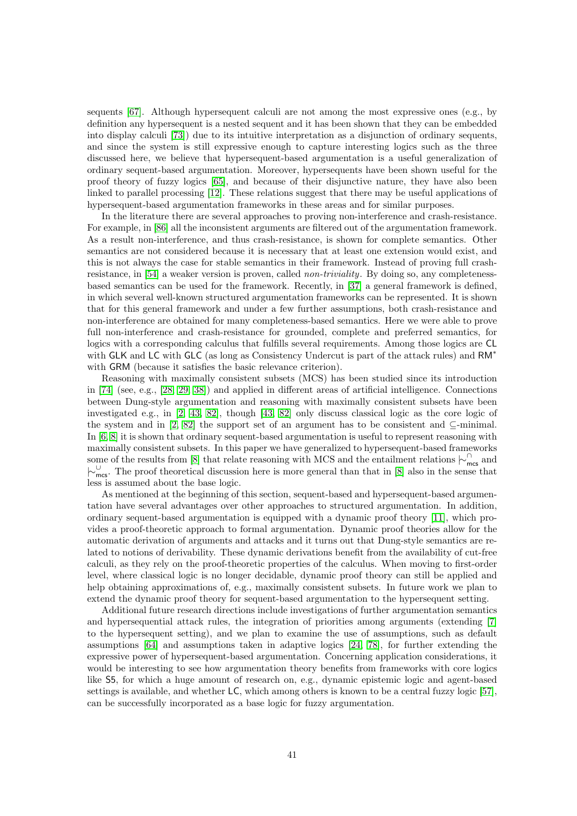sequents  $[67]$ . Although hypersequent calculi are not among the most expressive ones (e.g., by definition any hypersequent is a nested sequent and it has been shown that they can be embedded into display calculi [\[73\]](#page-45-17)) due to its intuitive interpretation as a disjunction of ordinary sequents, and since the system is still expressive enough to capture interesting logics such as the three discussed here, we believe that hypersequent-based argumentation is a useful generalization of ordinary sequent-based argumentation. Moreover, hypersequents have been shown useful for the proof theory of fuzzy logics [\[65\]](#page-44-4), and because of their disjunctive nature, they have also been linked to parallel processing [\[12\]](#page-41-13). These relations suggest that there may be useful applications of hypersequent-based argumentation frameworks in these areas and for similar purposes.

In the literature there are several approaches to proving non-interference and crash-resistance. For example, in [\[86\]](#page-45-18) all the inconsistent arguments are filtered out of the argumentation framework. As a result non-interference, and thus crash-resistance, is shown for complete semantics. Other semantics are not considered because it is necessary that at least one extension would exist, and this is not always the case for stable semantics in their framework. Instead of proving full crash-resistance, in [\[54\]](#page-44-14) a weaker version is proven, called *non-triviality*. By doing so, any completenessbased semantics can be used for the framework. Recently, in [\[37\]](#page-43-14) a general framework is defined, in which several well-known structured argumentation frameworks can be represented. It is shown that for this general framework and under a few further assumptions, both crash-resistance and non-interference are obtained for many completeness-based semantics. Here we were able to prove full non-interference and crash-resistance for grounded, complete and preferred semantics, for logics with a corresponding calculus that fulfills several requirements. Among those logics are CL with GLK and LC with GLC (as long as Consistency Undercut is part of the attack rules) and RM<sup>∗</sup> with GRM (because it satisfies the basic relevance criterion).

Reasoning with maximally consistent subsets (MCS) has been studied since its introduction in [\[74\]](#page-45-2) (see, e.g., [\[28,](#page-42-13) [29,](#page-42-14) [38\]](#page-43-16)) and applied in different areas of artificial intelligence. Connections between Dung-style argumentation and reasoning with maximally consistent subsets have been investigated e.g., in [\[2,](#page-41-5) [43,](#page-43-3) [82\]](#page-45-15), though [\[43,](#page-43-3) [82\]](#page-45-15) only discuss classical logic as the core logic of the system and in [\[2,](#page-41-5) [82\]](#page-45-15) the support set of an argument has to be consistent and  $\subseteq$ -minimal. In [\[6,](#page-41-6) [8\]](#page-41-11) it is shown that ordinary sequent-based argumentation is useful to represent reasoning with maximally consistent subsets. In this paper we have generalized to hypersequent-based frameworks some of the results from [\[8\]](#page-41-11) that relate reasoning with MCS and the entailment relations  $\sim_{\sf{mcs}}^{\cap}$  and |∼<sup>∪</sup> mcs. The proof theoretical discussion here is more general than that in [\[8\]](#page-41-11) also in the sense that less is assumed about the base logic.

As mentioned at the beginning of this section, sequent-based and hypersequent-based argumentation have several advantages over other approaches to structured argumentation. In addition, ordinary sequent-based argumentation is equipped with a dynamic proof theory [\[11\]](#page-41-2), which provides a proof-theoretic approach to formal argumentation. Dynamic proof theories allow for the automatic derivation of arguments and attacks and it turns out that Dung-style semantics are related to notions of derivability. These dynamic derivations benefit from the availability of cut-free calculi, as they rely on the proof-theoretic properties of the calculus. When moving to first-order level, where classical logic is no longer decidable, dynamic proof theory can still be applied and help obtaining approximations of, e.g., maximally consistent subsets. In future work we plan to extend the dynamic proof theory for sequent-based argumentation to the hypersequent setting.

Additional future research directions include investigations of further argumentation semantics and hypersequential attack rules, the integration of priorities among arguments (extending [\[7\]](#page-41-14) to the hypersequent setting), and we plan to examine the use of assumptions, such as default assumptions [\[64\]](#page-44-17) and assumptions taken in adaptive logics [\[24,](#page-42-15) [78\]](#page-45-19), for further extending the expressive power of hypersequent-based argumentation. Concerning application considerations, it would be interesting to see how argumentation theory benefits from frameworks with core logics like S5, for which a huge amount of research on, e.g., dynamic epistemic logic and agent-based settings is available, and whether LC, which among others is known to be a central fuzzy logic [\[57\]](#page-44-6), can be successfully incorporated as a base logic for fuzzy argumentation.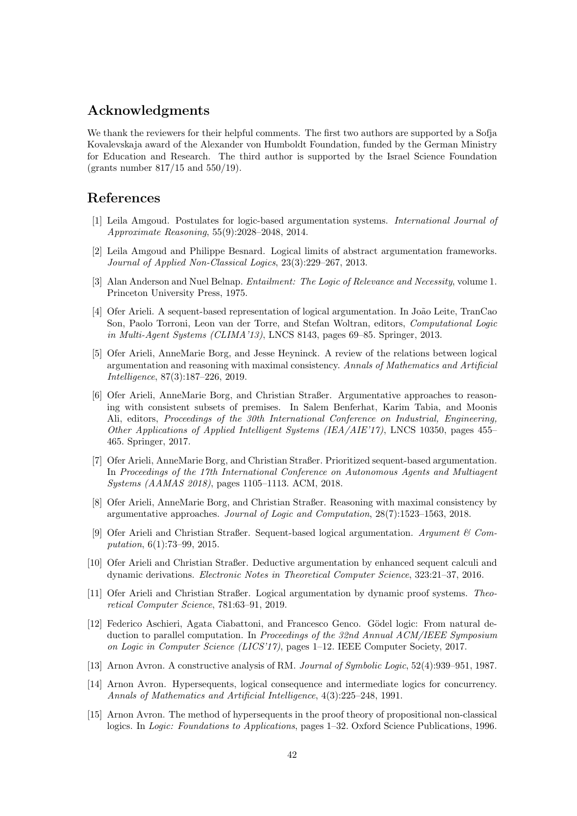## Acknowledgments

We thank the reviewers for their helpful comments. The first two authors are supported by a Sofja Kovalevskaja award of the Alexander von Humboldt Foundation, funded by the German Ministry for Education and Research. The third author is supported by the Israel Science Foundation (grants number 817/15 and 550/19).

## References

- <span id="page-41-4"></span>[1] Leila Amgoud. Postulates for logic-based argumentation systems. International Journal of Approximate Reasoning, 55(9):2028–2048, 2014.
- <span id="page-41-5"></span>[2] Leila Amgoud and Philippe Besnard. Logical limits of abstract argumentation frameworks. Journal of Applied Non-Classical Logics, 23(3):229–267, 2013.
- <span id="page-41-10"></span>[3] Alan Anderson and Nuel Belnap. *Entailment: The Logic of Relevance and Necessity*, volume 1. Princeton University Press, 1975.
- <span id="page-41-7"></span>[4] Ofer Arieli. A sequent-based representation of logical argumentation. In João Leite, TranCao Son, Paolo Torroni, Leon van der Torre, and Stefan Woltran, editors, Computational Logic in Multi-Agent Systems (CLIMA'13), LNCS 8143, pages 69–85. Springer, 2013.
- <span id="page-41-12"></span>[5] Ofer Arieli, AnneMarie Borg, and Jesse Heyninck. A review of the relations between logical argumentation and reasoning with maximal consistency. Annals of Mathematics and Artificial Intelligence, 87(3):187–226, 2019.
- <span id="page-41-6"></span>[6] Ofer Arieli, AnneMarie Borg, and Christian Straßer. Argumentative approaches to reasoning with consistent subsets of premises. In Salem Benferhat, Karim Tabia, and Moonis Ali, editors, Proceedings of the 30th International Conference on Industrial, Engineering, Other Applications of Applied Intelligent Systems (IEA/AIE'17), LNCS 10350, pages 455– 465. Springer, 2017.
- <span id="page-41-14"></span>[7] Ofer Arieli, AnneMarie Borg, and Christian Straßer. Prioritized sequent-based argumentation. In Proceedings of the 17th International Conference on Autonomous Agents and Multiagent Systems (AAMAS 2018), pages 1105–1113. ACM, 2018.
- <span id="page-41-11"></span>[8] Ofer Arieli, AnneMarie Borg, and Christian Straßer. Reasoning with maximal consistency by argumentative approaches. Journal of Logic and Computation, 28(7):1523–1563, 2018.
- <span id="page-41-0"></span>[9] Ofer Arieli and Christian Straßer. Sequent-based logical argumentation. Argument  $\mathcal{C}$  Computation, 6(1):73–99, 2015.
- <span id="page-41-1"></span>[10] Ofer Arieli and Christian Straßer. Deductive argumentation by enhanced sequent calculi and dynamic derivations. Electronic Notes in Theoretical Computer Science, 323:21–37, 2016.
- <span id="page-41-2"></span>[11] Ofer Arieli and Christian Straßer. Logical argumentation by dynamic proof systems. Theoretical Computer Science, 781:63–91, 2019.
- <span id="page-41-13"></span>[12] Federico Aschieri, Agata Ciabattoni, and Francesco Genco. Gödel logic: From natural deduction to parallel computation. In Proceedings of the 32nd Annual ACM/IEEE Symposium on Logic in Computer Science (LICS'17), pages 1–12. IEEE Computer Society, 2017.
- <span id="page-41-3"></span>[13] Arnon Avron. A constructive analysis of RM. Journal of Symbolic Logic, 52(4):939–951, 1987.
- <span id="page-41-9"></span>[14] Arnon Avron. Hypersequents, logical consequence and intermediate logics for concurrency. Annals of Mathematics and Artificial Intelligence, 4(3):225–248, 1991.
- <span id="page-41-8"></span>[15] Arnon Avron. The method of hypersequents in the proof theory of propositional non-classical logics. In Logic: Foundations to Applications, pages 1–32. Oxford Science Publications, 1996.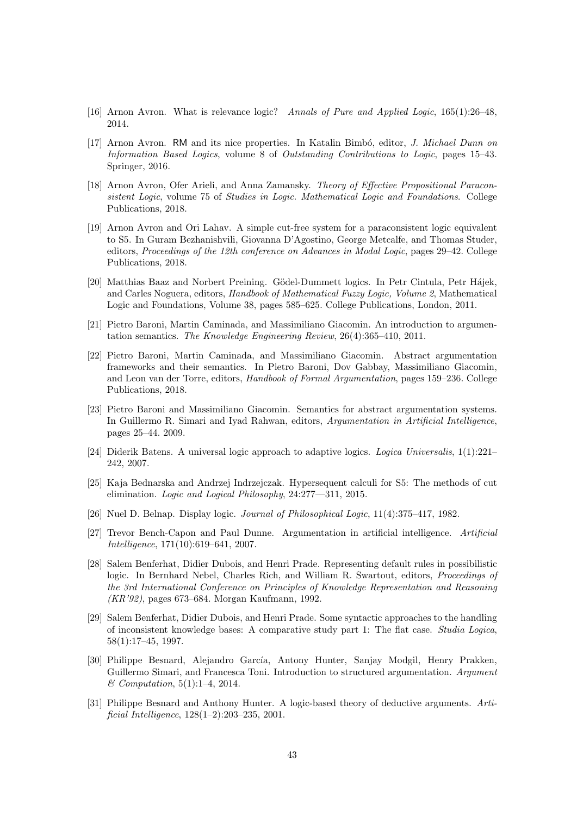- <span id="page-42-11"></span>[16] Arnon Avron. What is relevance logic? Annals of Pure and Applied Logic, 165(1):26–48, 2014.
- <span id="page-42-9"></span>[17] Arnon Avron. RM and its nice properties. In Katalin Bimbó, editor, J. Michael Dunn on Information Based Logics, volume 8 of Outstanding Contributions to Logic, pages 15–43. Springer, 2016.
- <span id="page-42-10"></span>[18] Arnon Avron, Ofer Arieli, and Anna Zamansky. Theory of Effective Propositional Paraconsistent Logic, volume 75 of Studies in Logic. Mathematical Logic and Foundations. College Publications, 2018.
- <span id="page-42-7"></span>[19] Arnon Avron and Ori Lahav. A simple cut-free system for a paraconsistent logic equivalent to S5. In Guram Bezhanishvili, Giovanna D'Agostino, George Metcalfe, and Thomas Studer, editors, Proceedings of the 12th conference on Advances in Modal Logic, pages 29–42. College Publications, 2018.
- <span id="page-42-6"></span>[20] Matthias Baaz and Norbert Preining. Gödel-Dummett logics. In Petr Cintula, Petr Hájek, and Carles Noguera, editors, Handbook of Mathematical Fuzzy Logic, Volume 2, Mathematical Logic and Foundations, Volume 38, pages 585–625. College Publications, London, 2011.
- <span id="page-42-2"></span>[21] Pietro Baroni, Martin Caminada, and Massimiliano Giacomin. An introduction to argumentation semantics. The Knowledge Engineering Review, 26(4):365–410, 2011.
- <span id="page-42-3"></span>[22] Pietro Baroni, Martin Caminada, and Massimiliano Giacomin. Abstract argumentation frameworks and their semantics. In Pietro Baroni, Dov Gabbay, Massimiliano Giacomin, and Leon van der Torre, editors, Handbook of Formal Argumentation, pages 159–236. College Publications, 2018.
- <span id="page-42-4"></span>[23] Pietro Baroni and Massimiliano Giacomin. Semantics for abstract argumentation systems. In Guillermo R. Simari and Iyad Rahwan, editors, Argumentation in Artificial Intelligence, pages 25–44. 2009.
- <span id="page-42-15"></span>[24] Diderik Batens. A universal logic approach to adaptive logics. Logica Universalis, 1(1):221– 242, 2007.
- <span id="page-42-8"></span>[25] Kaja Bednarska and Andrzej Indrzejczak. Hypersequent calculi for S5: The methods of cut elimination. Logic and Logical Philosophy, 24:277—311, 2015.
- <span id="page-42-12"></span>[26] Nuel D. Belnap. Display logic. Journal of Philosophical Logic, 11(4):375–417, 1982.
- <span id="page-42-0"></span>[27] Trevor Bench-Capon and Paul Dunne. Argumentation in artificial intelligence. Artificial Intelligence, 171(10):619–641, 2007.
- <span id="page-42-13"></span>[28] Salem Benferhat, Didier Dubois, and Henri Prade. Representing default rules in possibilistic logic. In Bernhard Nebel, Charles Rich, and William R. Swartout, editors, *Proceedings of* the 3rd International Conference on Principles of Knowledge Representation and Reasoning (KR'92), pages 673–684. Morgan Kaufmann, 1992.
- <span id="page-42-14"></span>[29] Salem Benferhat, Didier Dubois, and Henri Prade. Some syntactic approaches to the handling of inconsistent knowledge bases: A comparative study part 1: The flat case. Studia Logica, 58(1):17–45, 1997.
- <span id="page-42-5"></span>[30] Philippe Besnard, Alejandro García, Antony Hunter, Sanjay Modgil, Henry Prakken, Guillermo Simari, and Francesca Toni. Introduction to structured argumentation. Argument & Computation, 5(1):1–4, 2014.
- <span id="page-42-1"></span>[31] Philippe Besnard and Anthony Hunter. A logic-based theory of deductive arguments. Artificial Intelligence, 128(1–2):203–235, 2001.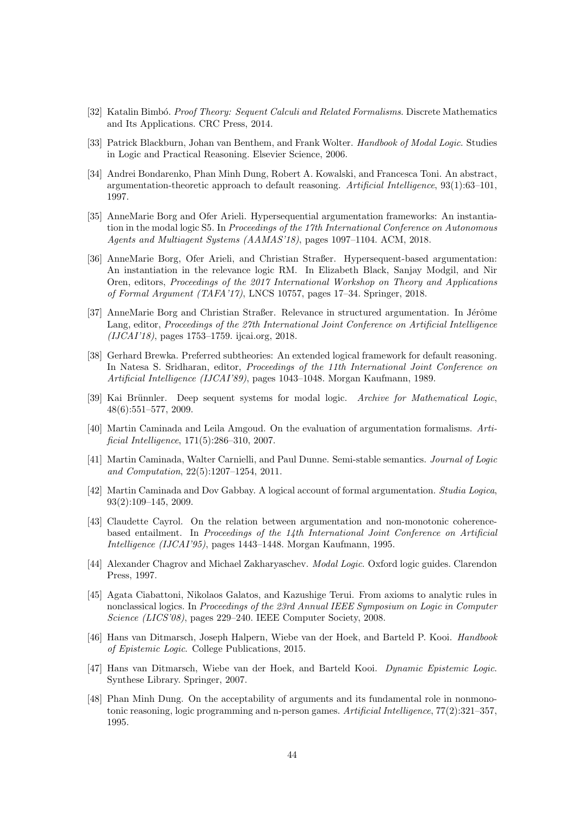- <span id="page-43-10"></span>[32] Katalin Bimbó. Proof Theory: Sequent Calculi and Related Formalisms. Discrete Mathematics and Its Applications. CRC Press, 2014.
- <span id="page-43-12"></span>[33] Patrick Blackburn, Johan van Benthem, and Frank Wolter. Handbook of Modal Logic. Studies in Logic and Practical Reasoning. Elsevier Science, 2006.
- <span id="page-43-0"></span>[34] Andrei Bondarenko, Phan Minh Dung, Robert A. Kowalski, and Francesca Toni. An abstract, argumentation-theoretic approach to default reasoning. Artificial Intelligence, 93(1):63–101, 1997.
- <span id="page-43-4"></span>[35] AnneMarie Borg and Ofer Arieli. Hypersequential argumentation frameworks: An instantiation in the modal logic S5. In Proceedings of the 17th International Conference on Autonomous Agents and Multiagent Systems (AAMAS'18), pages 1097–1104. ACM, 2018.
- <span id="page-43-5"></span>[36] AnneMarie Borg, Ofer Arieli, and Christian Straßer. Hypersequent-based argumentation: An instantiation in the relevance logic RM. In Elizabeth Black, Sanjay Modgil, and Nir Oren, editors, Proceedings of the 2017 International Workshop on Theory and Applications of Formal Argument (TAFA'17), LNCS 10757, pages 17–34. Springer, 2018.
- <span id="page-43-14"></span>[37] AnneMarie Borg and Christian Straßer. Relevance in structured argumentation. In Jérôme Lang, editor, Proceedings of the 27th International Joint Conference on Artificial Intelligence (IJCAI'18), pages 1753–1759. ijcai.org, 2018.
- <span id="page-43-16"></span>[38] Gerhard Brewka. Preferred subtheories: An extended logical framework for default reasoning. In Natesa S. Sridharan, editor, *Proceedings of the 11th International Joint Conference on* Artificial Intelligence (IJCAI'89), pages 1043–1048. Morgan Kaufmann, 1989.
- <span id="page-43-15"></span>[39] Kai Brünnler. Deep sequent systems for modal logic. Archive for Mathematical Logic, 48(6):551–577, 2009.
- <span id="page-43-2"></span>[40] Martin Caminada and Leila Amgoud. On the evaluation of argumentation formalisms. Artificial Intelligence, 171(5):286–310, 2007.
- <span id="page-43-6"></span>[41] Martin Caminada, Walter Carnielli, and Paul Dunne. Semi-stable semantics. Journal of Logic and Computation, 22(5):1207–1254, 2011.
- <span id="page-43-13"></span>[42] Martin Caminada and Dov Gabbay. A logical account of formal argumentation. Studia Logica, 93(2):109–145, 2009.
- <span id="page-43-3"></span>[43] Claudette Cayrol. On the relation between argumentation and non-monotonic coherencebased entailment. In Proceedings of the 14th International Joint Conference on Artificial Intelligence (IJCAI'95), pages 1443–1448. Morgan Kaufmann, 1995.
- <span id="page-43-8"></span>[44] Alexander Chagrov and Michael Zakharyaschev. Modal Logic. Oxford logic guides. Clarendon Press, 1997.
- <span id="page-43-1"></span>[45] Agata Ciabattoni, Nikolaos Galatos, and Kazushige Terui. From axioms to analytic rules in nonclassical logics. In Proceedings of the 23rd Annual IEEE Symposium on Logic in Computer Science (LICS'08), pages 229–240. IEEE Computer Society, 2008.
- <span id="page-43-9"></span>[46] Hans van Ditmarsch, Joseph Halpern, Wiebe van der Hoek, and Barteld P. Kooi. Handbook of Epistemic Logic. College Publications, 2015.
- <span id="page-43-11"></span>[47] Hans van Ditmarsch, Wiebe van der Hoek, and Barteld Kooi. Dynamic Epistemic Logic. Synthese Library. Springer, 2007.
- <span id="page-43-7"></span>[48] Phan Minh Dung. On the acceptability of arguments and its fundamental role in nonmonotonic reasoning, logic programming and n-person games. Artificial Intelligence, 77(2):321–357, 1995.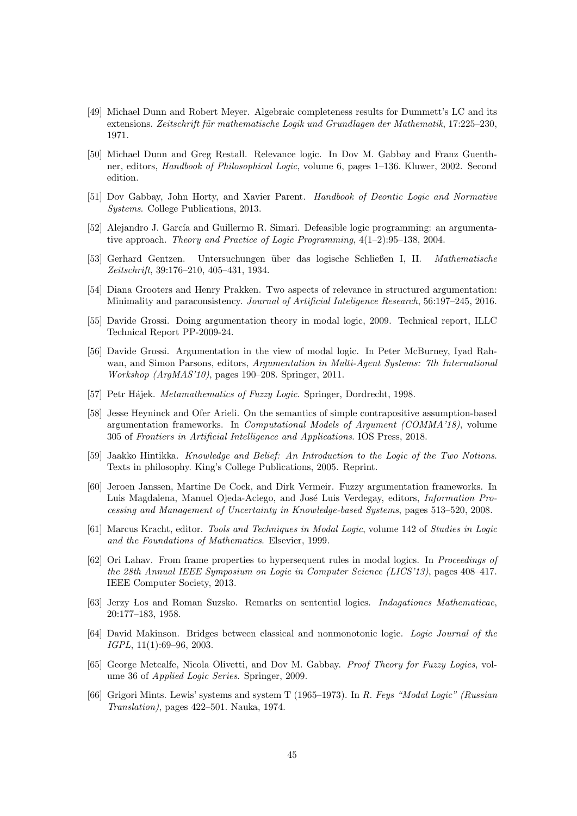- <span id="page-44-5"></span>[49] Michael Dunn and Robert Meyer. Algebraic completeness results for Dummett's LC and its extensions. Zeitschrift für mathematische Logik und Grundlagen der Mathematik, 17:225–230, 1971.
- <span id="page-44-13"></span>[50] Michael Dunn and Greg Restall. Relevance logic. In Dov M. Gabbay and Franz Guenthner, editors, Handbook of Philosophical Logic, volume 6, pages 1–136. Kluwer, 2002. Second edition.
- <span id="page-44-9"></span>[51] Dov Gabbay, John Horty, and Xavier Parent. Handbook of Deontic Logic and Normative Systems. College Publications, 2013.
- <span id="page-44-0"></span>[52] Alejandro J. García and Guillermo R. Simari. Defeasible logic programming: an argumentative approach. Theory and Practice of Logic Programming, 4(1–2):95–138, 2004.
- <span id="page-44-1"></span>[53] Gerhard Gentzen. Untersuchungen über das logische Schließen I, II. Mathematische Zeitschrift, 39:176–210, 405–431, 1934.
- <span id="page-44-14"></span>[54] Diana Grooters and Henry Prakken. Two aspects of relevance in structured argumentation: Minimality and paraconsistency. Journal of Artificial Inteligence Research, 56:197–245, 2016.
- <span id="page-44-11"></span>[55] Davide Grossi. Doing argumentation theory in modal logic, 2009. Technical report, ILLC Technical Report PP-2009-24.
- <span id="page-44-12"></span>[56] Davide Grossi. Argumentation in the view of modal logic. In Peter McBurney, Iyad Rahwan, and Simon Parsons, editors, Argumentation in Multi-Agent Systems: 7th International Workshop (ArgMAS'10), pages 190–208. Springer, 2011.
- <span id="page-44-6"></span>[57] Petr Hájek. Metamathematics of Fuzzy Logic. Springer, Dordrecht, 1998.
- <span id="page-44-16"></span>[58] Jesse Heyninck and Ofer Arieli. On the semantics of simple contrapositive assumption-based argumentation frameworks. In Computational Models of Argument (COMMA'18), volume 305 of Frontiers in Artificial Intelligence and Applications. IOS Press, 2018.
- <span id="page-44-8"></span>[59] Jaakko Hintikka. Knowledge and Belief: An Introduction to the Logic of the Two Notions. Texts in philosophy. King's College Publications, 2005. Reprint.
- <span id="page-44-7"></span>[60] Jeroen Janssen, Martine De Cock, and Dirk Vermeir. Fuzzy argumentation frameworks. In Luis Magdalena, Manuel Ojeda-Aciego, and José Luis Verdegay, editors, Information Processing and Management of Uncertainty in Knowledge-based Systems, pages 513–520, 2008.
- <span id="page-44-10"></span>[61] Marcus Kracht, editor. Tools and Techniques in Modal Logic, volume 142 of Studies in Logic and the Foundations of Mathematics. Elsevier, 1999.
- <span id="page-44-3"></span>[62] Ori Lahav. From frame properties to hypersequent rules in modal logics. In Proceedings of the 28th Annual IEEE Symposium on Logic in Computer Science (LICS'13), pages 408–417. IEEE Computer Society, 2013.
- <span id="page-44-15"></span>[63] Jerzy Los and Roman Suzsko. Remarks on sentential logics. Indagationes Mathematicae, 20:177–183, 1958.
- <span id="page-44-17"></span>[64] David Makinson. Bridges between classical and nonmonotonic logic. Logic Journal of the IGPL, 11(1):69–96, 2003.
- <span id="page-44-4"></span>[65] George Metcalfe, Nicola Olivetti, and Dov M. Gabbay. Proof Theory for Fuzzy Logics, volume 36 of Applied Logic Series. Springer, 2009.
- <span id="page-44-2"></span>[66] Grigori Mints. Lewis' systems and system T (1965–1973). In R. Feys "Modal Logic" (Russian Translation), pages 422–501. Nauka, 1974.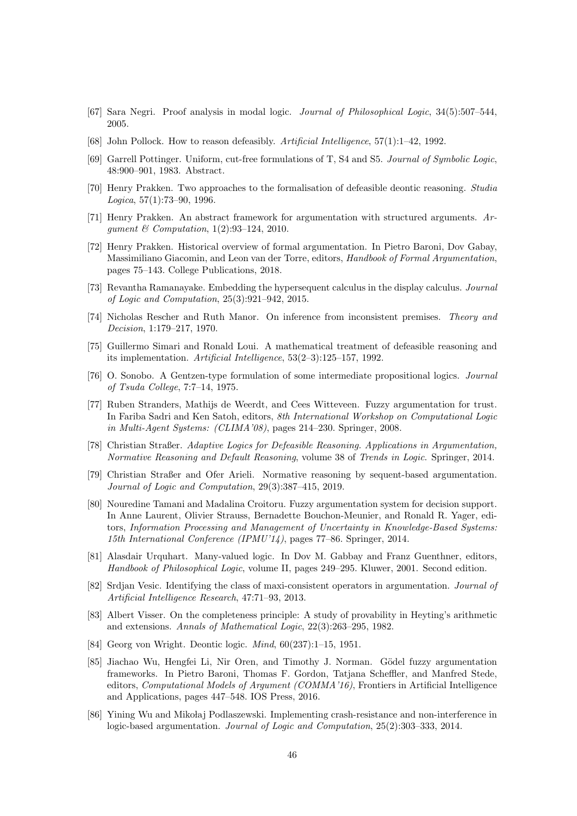- <span id="page-45-16"></span>[67] Sara Negri. Proof analysis in modal logic. Journal of Philosophical Logic, 34(5):507–544, 2005.
- <span id="page-45-3"></span>[68] John Pollock. How to reason defeasibly. Artificial Intelligence, 57(1):1–42, 1992.
- <span id="page-45-1"></span>[69] Garrell Pottinger. Uniform, cut-free formulations of T, S4 and S5. Journal of Symbolic Logic, 48:900–901, 1983. Abstract.
- <span id="page-45-4"></span>[70] Henry Prakken. Two approaches to the formalisation of defeasible deontic reasoning. Studia Logica, 57(1):73–90, 1996.
- <span id="page-45-0"></span>[71] Henry Prakken. An abstract framework for argumentation with structured arguments. Arqument  $\&$  Computation, 1(2):93-124, 2010.
- <span id="page-45-6"></span>[72] Henry Prakken. Historical overview of formal argumentation. In Pietro Baroni, Dov Gabay, Massimiliano Giacomin, and Leon van der Torre, editors, Handbook of Formal Argumentation, pages 75–143. College Publications, 2018.
- <span id="page-45-17"></span>[73] Revantha Ramanayake. Embedding the hypersequent calculus in the display calculus. Journal of Logic and Computation, 25(3):921–942, 2015.
- <span id="page-45-2"></span>[74] Nicholas Rescher and Ruth Manor. On inference from inconsistent premises. Theory and Decision, 1:179–217, 1970.
- <span id="page-45-5"></span>[75] Guillermo Simari and Ronald Loui. A mathematical treatment of defeasible reasoning and its implementation. Artificial Intelligence, 53(2–3):125–157, 1992.
- <span id="page-45-9"></span>[76] O. Sonobo. A Gentzen-type formulation of some intermediate propositional logics. Journal of Tsuda College, 7:7–14, 1975.
- <span id="page-45-10"></span>[77] Ruben Stranders, Mathijs de Weerdt, and Cees Witteveen. Fuzzy argumentation for trust. In Fariba Sadri and Ken Satoh, editors, 8th International Workshop on Computational Logic in Multi-Agent Systems: (CLIMA'08), pages 214–230. Springer, 2008.
- <span id="page-45-19"></span>[78] Christian Straßer. Adaptive Logics for Defeasible Reasoning. Applications in Argumentation, Normative Reasoning and Default Reasoning, volume 38 of Trends in Logic. Springer, 2014.
- <span id="page-45-7"></span>[79] Christian Straßer and Ofer Arieli. Normative reasoning by sequent-based argumentation. Journal of Logic and Computation, 29(3):387–415, 2019.
- <span id="page-45-11"></span>[80] Nouredine Tamani and Madalina Croitoru. Fuzzy argumentation system for decision support. In Anne Laurent, Olivier Strauss, Bernadette Bouchon-Meunier, and Ronald R. Yager, editors, Information Processing and Management of Uncertainty in Knowledge-Based Systems: 15th International Conference (IPMU'14), pages 77–86. Springer, 2014.
- <span id="page-45-14"></span>[81] Alasdair Urquhart. Many-valued logic. In Dov M. Gabbay and Franz Guenthner, editors, Handbook of Philosophical Logic, volume II, pages 249–295. Kluwer, 2001. Second edition.
- <span id="page-45-15"></span>[82] Srdjan Vesic. Identifying the class of maxi-consistent operators in argumentation. Journal of Artificial Intelligence Research, 47:71–93, 2013.
- <span id="page-45-8"></span>[83] Albert Visser. On the completeness principle: A study of provability in Heyting's arithmetic and extensions. Annals of Mathematical Logic, 22(3):263–295, 1982.
- <span id="page-45-13"></span>[84] Georg von Wright. Deontic logic. Mind, 60(237):1–15, 1951.
- <span id="page-45-12"></span>[85] Jiachao Wu, Hengfei Li, Nir Oren, and Timothy J. Norman. Gödel fuzzy argumentation frameworks. In Pietro Baroni, Thomas F. Gordon, Tatjana Scheffler, and Manfred Stede, editors, Computational Models of Argument (COMMA'16), Frontiers in Artificial Intelligence and Applications, pages 447–548. IOS Press, 2016.
- <span id="page-45-18"></span>[86] Yining Wu and Mikołaj Podlaszewski. Implementing crash-resistance and non-interference in logic-based argumentation. Journal of Logic and Computation, 25(2):303–333, 2014.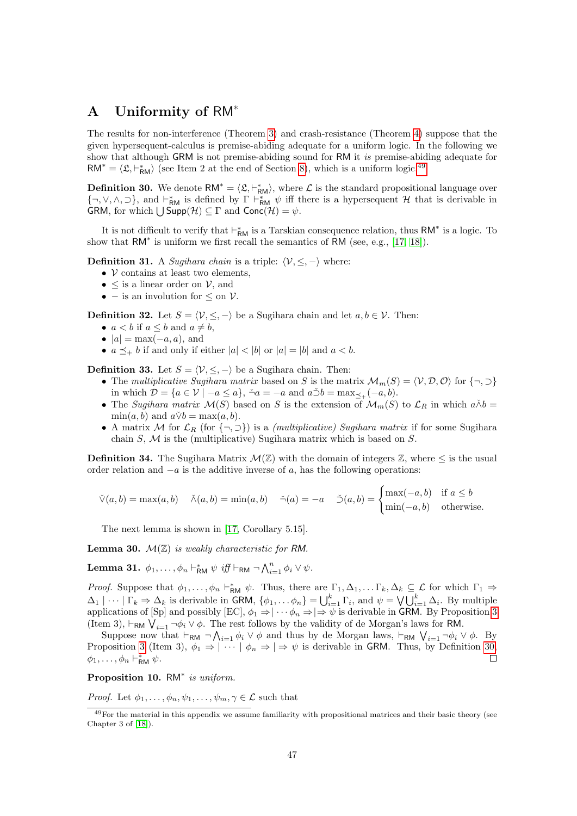## <span id="page-46-0"></span>A Uniformity of RM<sup>∗</sup>

The results for non-interference (Theorem [3\)](#page-34-0) and crash-resistance (Theorem [4\)](#page-36-1) suppose that the given hypersequent-calculus is premise-abiding adequate for a uniform logic. In the following we show that although GRM is not premise-abiding sound for RM it is premise-abiding adequate for  $RM^* = \langle \mathfrak{L}, \vdash^*_{\mathsf{RM}} \rangle$  (see Item 2 at the end of Section [8\)](#page-36-0), which is a uniform logic.<sup>[49](#page-46-1)</sup>

<span id="page-46-2"></span>**Definition 30.** We denote  $RM^* = \langle \mathfrak{L}, \vdash^*_{RM} \rangle$ , where  $\mathcal{L}$  is the standard propositional language over  $\{\neg, \vee, \wedge, \supset\}$ , and  $\vdash_{\mathsf{RM}}^*$  is defined by  $\Gamma \vdash_{\mathsf{RM}}^* \psi$  iff there is a hypersequent  $\mathcal H$  that is derivable in GRM, for which  $\bigcup$  Supp $(\mathcal{H}) \subseteq \Gamma$  and Conc $(\mathcal{H}) = \psi$ .

It is not difficult to verify that  $\vdash^*_{RM}$  is a Tarskian consequence relation, thus  $RM^*$  is a logic. To show that  $RM^*$  is uniform we first recall the semantics of RM (see, e.g., [\[17,](#page-42-9) [18\]](#page-42-10)).

**Definition 31.** A *Sugihara chain* is a triple:  $\langle V, \leq, -\rangle$  where:

- $V$  contains at least two elements,
- $\leq$  is a linear order on  $\mathcal{V}$ , and
- – is an involution for  $\leq$  on  $\mathcal{V}$ .

**Definition 32.** Let  $S = \langle V, \leq, -\rangle$  be a Sugihara chain and let  $a, b \in V$ . Then:

- $a < b$  if  $a \leq b$  and  $a \neq b$ ,
- $|a| = \max(-a, a)$ , and
- $a \preceq_{+} b$  if and only if either  $|a| < |b|$  or  $|a| = |b|$  and  $a < b$ .

**Definition 33.** Let  $S = \langle V, \leq, -\rangle$  be a Sugihara chain. Then:

- The multiplicative Sugihara matrix based on S is the matrix  $\mathcal{M}_m(S) = \langle \mathcal{V}, \mathcal{D}, \mathcal{O} \rangle$  for  $\{\neg, \varsupset\}$ in which  $\mathcal{D} = \{a \in \mathcal{V} \mid -a \leq a\}, \tilde{\neg}a = -a$  and  $a \tilde{\supset} b = \max_{\preceq \bot} (-a, b).$
- The Sugihara matrix  $\mathcal{M}(S)$  based on S is the extension of  $\mathcal{M}_m(S)$  to  $\mathcal{L}_R$  in which  $a \lambda b =$  $\min(a, b)$  and  $a \check{v}b = \max(a, b)$ .
- A matrix M for  $\mathcal{L}_R$  (for  $\{\neg, \neg\}\}\)$  is a *(multiplicative) Sugihara matrix* if for some Sugihara chain  $S, M$  is the (multiplicative) Sugihara matrix which is based on  $S$ .

**Definition 34.** The Sugihara Matrix  $\mathcal{M}(\mathbb{Z})$  with the domain of integers  $\mathbb{Z}$ , where  $\leq$  is the usual order relation and  $-a$  is the additive inverse of a, has the following operations:

$$
\check{\vee}(a,b) = \max(a,b) \quad \check{\wedge}(a,b) = \min(a,b) \quad \check{\neg}(a) = -a \quad \check{\neg}(a,b) = \begin{cases} \max(-a,b) & \text{if } a \le b \\ \min(-a,b) & \text{otherwise.} \end{cases}
$$

The next lemma is shown in [\[17,](#page-42-9) Corollary 5.15].

<span id="page-46-4"></span>**Lemma 30.**  $\mathcal{M}(\mathbb{Z})$  is weakly characteristic for RM.

<span id="page-46-3"></span>Lemma 31.  $\phi_1, \ldots, \phi_n \vdash_{\mathsf{RM}}^* \psi \text{ iff } \vdash_{\mathsf{RM}} \neg \bigwedge_{i=1}^n \phi_i \vee \psi.$ 

*Proof.* Suppose that  $\phi_1, \ldots, \phi_n \vdash_{\mathsf{RM}}^* \psi$ . Thus, there are  $\Gamma_1, \Delta_1, \ldots \Gamma_k, \Delta_k \subseteq \mathcal{L}$  for which  $\Gamma_1 \Rightarrow$  $\Delta_1 \mid \cdots \mid \Gamma_k \Rightarrow \Delta_k$  is derivable in GRM,  $\{\phi_1, \ldots \phi_n\} = \bigcup_{i=1}^k \Gamma_i$ , and  $\psi = \bigvee \bigcup_{i=1}^k \Delta_i$ . By multiple applications of [Sp] and possibly [EC],  $\phi_1 \Rightarrow |\cdots \phi_n \Rightarrow |\Rightarrow \psi$  is derivable in **GRM.** By Proposition [3](#page-17-4) (Item 3),  $\vdash_{\mathsf{RM}} \bigvee_{i=1} \neg \phi_i \vee \phi$ . The rest follows by the validity of de Morgan's laws for RM.

Suppose now that  $\vdash_{\mathsf{RM}} \neg \bigwedge_{i=1} \phi_i \vee \phi$  and thus by de Morgan laws,  $\vdash_{\mathsf{RM}} \bigvee_{i=1} \neg \phi_i \vee \phi$ . By Proposition [3](#page-17-4) (Item 3),  $\phi_1 \Rightarrow |\cdots| \phi_n \Rightarrow |\Rightarrow \psi$  is derivable in GRM. Thus, by Definition [30,](#page-46-2)  $\phi_1, \ldots, \phi_n \vdash_{\mathsf{RM}}^* \psi.$  $\Box$ 

Proposition 10. RM<sup>\*</sup> is uniform.

*Proof.* Let  $\phi_1, \ldots, \phi_n, \psi_1, \ldots, \psi_m, \gamma \in \mathcal{L}$  such that

<span id="page-46-1"></span><sup>&</sup>lt;sup>49</sup>For the material in this appendix we assume familiarity with propositional matrices and their basic theory (see Chapter 3 of [\[18\]](#page-42-10)).